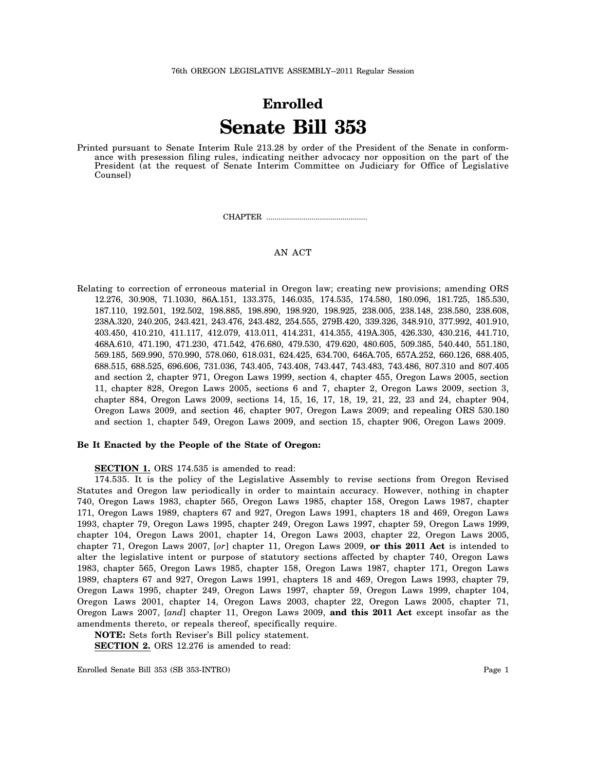# **Enrolled Senate Bill 353**

Printed pursuant to Senate Interim Rule 213.28 by order of the President of the Senate in conformance with presession filing rules, indicating neither advocacy nor opposition on the part of the President (at the request of Senate Interim Committee on Judiciary for Office of Legislative Counsel)

CHAPTER .................................................

# AN ACT

Relating to correction of erroneous material in Oregon law; creating new provisions; amending ORS 12.276, 30.908, 71.1030, 86A.151, 133.375, 146.035, 174.535, 174.580, 180.096, 181.725, 185.530, 187.110, 192.501, 192.502, 198.885, 198.890, 198.920, 198.925, 238.005, 238.148, 238.580, 238.608, 238A.320, 240.205, 243.421, 243.476, 243.482, 254.555, 279B.420, 339.326, 348.910, 377.992, 401.910, 403.450, 410.210, 411.117, 412.079, 413.011, 414.231, 414.355, 419A.305, 426.330, 430.216, 441.710, 468A.610, 471.190, 471.230, 471.542, 476.680, 479.530, 479.620, 480.605, 509.385, 540.440, 551.180, 569.185, 569.990, 570.990, 578.060, 618.031, 624.425, 634.700, 646A.705, 657A.252, 660.126, 688.405, 688.515, 688.525, 696.606, 731.036, 743.405, 743.408, 743.447, 743.483, 743.486, 807.310 and 807.405 and section 2, chapter 971, Oregon Laws 1999, section 4, chapter 455, Oregon Laws 2005, section 11, chapter 828, Oregon Laws 2005, sections 6 and 7, chapter 2, Oregon Laws 2009, section 3, chapter 884, Oregon Laws 2009, sections 14, 15, 16, 17, 18, 19, 21, 22, 23 and 24, chapter 904, Oregon Laws 2009, and section 46, chapter 907, Oregon Laws 2009; and repealing ORS 530.180 and section 1, chapter 549, Oregon Laws 2009, and section 15, chapter 906, Oregon Laws 2009.

## **Be It Enacted by the People of the State of Oregon:**

## **SECTION 1.** ORS 174.535 is amended to read:

174.535. It is the policy of the Legislative Assembly to revise sections from Oregon Revised Statutes and Oregon law periodically in order to maintain accuracy. However, nothing in chapter 740, Oregon Laws 1983, chapter 565, Oregon Laws 1985, chapter 158, Oregon Laws 1987, chapter 171, Oregon Laws 1989, chapters 67 and 927, Oregon Laws 1991, chapters 18 and 469, Oregon Laws 1993, chapter 79, Oregon Laws 1995, chapter 249, Oregon Laws 1997, chapter 59, Oregon Laws 1999, chapter 104, Oregon Laws 2001, chapter 14, Oregon Laws 2003, chapter 22, Oregon Laws 2005, chapter 71, Oregon Laws 2007, [*or*] chapter 11, Oregon Laws 2009, **or this 2011 Act** is intended to alter the legislative intent or purpose of statutory sections affected by chapter 740, Oregon Laws 1983, chapter 565, Oregon Laws 1985, chapter 158, Oregon Laws 1987, chapter 171, Oregon Laws 1989, chapters 67 and 927, Oregon Laws 1991, chapters 18 and 469, Oregon Laws 1993, chapter 79, Oregon Laws 1995, chapter 249, Oregon Laws 1997, chapter 59, Oregon Laws 1999, chapter 104, Oregon Laws 2001, chapter 14, Oregon Laws 2003, chapter 22, Oregon Laws 2005, chapter 71, Oregon Laws 2007, [*and*] chapter 11, Oregon Laws 2009, **and this 2011 Act** except insofar as the amendments thereto, or repeals thereof, specifically require.

**NOTE:** Sets forth Reviser's Bill policy statement.

**SECTION 2.** ORS 12.276 is amended to read: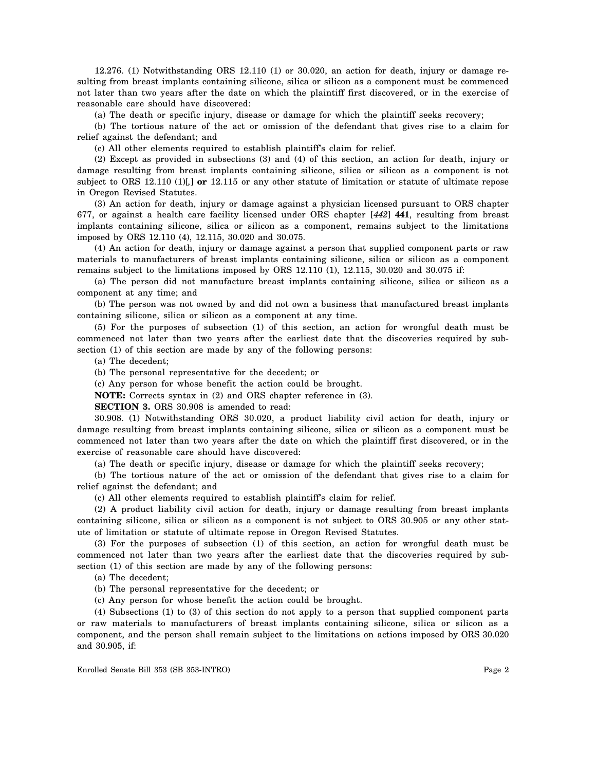12.276. (1) Notwithstanding ORS 12.110 (1) or 30.020, an action for death, injury or damage resulting from breast implants containing silicone, silica or silicon as a component must be commenced not later than two years after the date on which the plaintiff first discovered, or in the exercise of reasonable care should have discovered:

(a) The death or specific injury, disease or damage for which the plaintiff seeks recovery;

(b) The tortious nature of the act or omission of the defendant that gives rise to a claim for relief against the defendant; and

(c) All other elements required to establish plaintiff's claim for relief.

(2) Except as provided in subsections (3) and (4) of this section, an action for death, injury or damage resulting from breast implants containing silicone, silica or silicon as a component is not subject to ORS 12.110 (1)[*,*] **or** 12.115 or any other statute of limitation or statute of ultimate repose in Oregon Revised Statutes.

(3) An action for death, injury or damage against a physician licensed pursuant to ORS chapter 677, or against a health care facility licensed under ORS chapter [*442*] **441**, resulting from breast implants containing silicone, silica or silicon as a component, remains subject to the limitations imposed by ORS 12.110 (4), 12.115, 30.020 and 30.075.

(4) An action for death, injury or damage against a person that supplied component parts or raw materials to manufacturers of breast implants containing silicone, silica or silicon as a component remains subject to the limitations imposed by ORS 12.110 (1), 12.115, 30.020 and 30.075 if:

(a) The person did not manufacture breast implants containing silicone, silica or silicon as a component at any time; and

(b) The person was not owned by and did not own a business that manufactured breast implants containing silicone, silica or silicon as a component at any time.

(5) For the purposes of subsection (1) of this section, an action for wrongful death must be commenced not later than two years after the earliest date that the discoveries required by subsection (1) of this section are made by any of the following persons:

(a) The decedent;

(b) The personal representative for the decedent; or

(c) Any person for whose benefit the action could be brought.

**NOTE:** Corrects syntax in (2) and ORS chapter reference in (3).

**SECTION 3.** ORS 30.908 is amended to read:

30.908. (1) Notwithstanding ORS 30.020, a product liability civil action for death, injury or damage resulting from breast implants containing silicone, silica or silicon as a component must be commenced not later than two years after the date on which the plaintiff first discovered, or in the exercise of reasonable care should have discovered:

(a) The death or specific injury, disease or damage for which the plaintiff seeks recovery;

(b) The tortious nature of the act or omission of the defendant that gives rise to a claim for relief against the defendant; and

(c) All other elements required to establish plaintiff's claim for relief.

(2) A product liability civil action for death, injury or damage resulting from breast implants containing silicone, silica or silicon as a component is not subject to ORS 30.905 or any other statute of limitation or statute of ultimate repose in Oregon Revised Statutes.

(3) For the purposes of subsection (1) of this section, an action for wrongful death must be commenced not later than two years after the earliest date that the discoveries required by subsection (1) of this section are made by any of the following persons:

(a) The decedent;

- (b) The personal representative for the decedent; or
- (c) Any person for whose benefit the action could be brought.

(4) Subsections (1) to (3) of this section do not apply to a person that supplied component parts or raw materials to manufacturers of breast implants containing silicone, silica or silicon as a component, and the person shall remain subject to the limitations on actions imposed by ORS 30.020 and 30.905, if: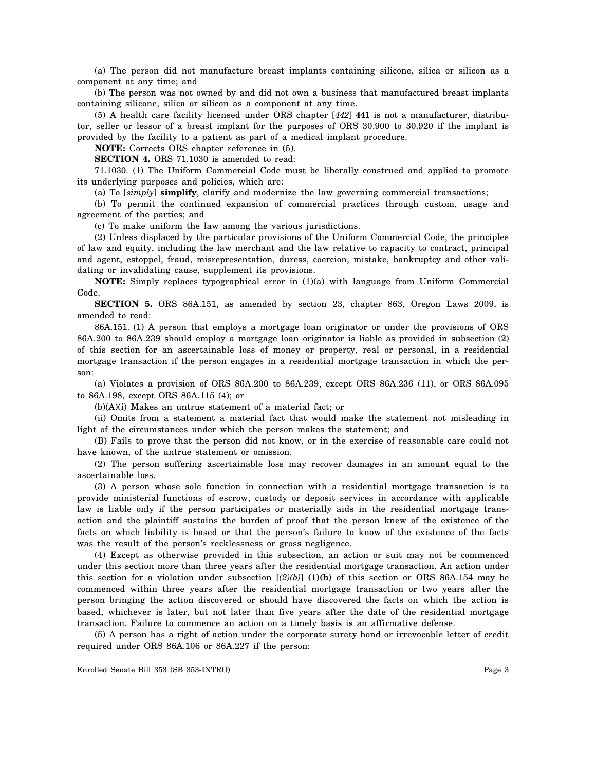(a) The person did not manufacture breast implants containing silicone, silica or silicon as a component at any time; and

(b) The person was not owned by and did not own a business that manufactured breast implants containing silicone, silica or silicon as a component at any time.

(5) A health care facility licensed under ORS chapter [*442*] **441** is not a manufacturer, distributor, seller or lessor of a breast implant for the purposes of ORS 30.900 to 30.920 if the implant is provided by the facility to a patient as part of a medical implant procedure.

**NOTE:** Corrects ORS chapter reference in (5).

**SECTION 4.** ORS 71.1030 is amended to read:

71.1030. (1) The Uniform Commercial Code must be liberally construed and applied to promote its underlying purposes and policies, which are:

(a) To [*simply*] **simplify**, clarify and modernize the law governing commercial transactions;

(b) To permit the continued expansion of commercial practices through custom, usage and agreement of the parties; and

(c) To make uniform the law among the various jurisdictions.

(2) Unless displaced by the particular provisions of the Uniform Commercial Code, the principles of law and equity, including the law merchant and the law relative to capacity to contract, principal and agent, estoppel, fraud, misrepresentation, duress, coercion, mistake, bankruptcy and other validating or invalidating cause, supplement its provisions.

**NOTE:** Simply replaces typographical error in (1)(a) with language from Uniform Commercial Code.

**SECTION 5.** ORS 86A.151, as amended by section 23, chapter 863, Oregon Laws 2009, is amended to read:

86A.151. (1) A person that employs a mortgage loan originator or under the provisions of ORS 86A.200 to 86A.239 should employ a mortgage loan originator is liable as provided in subsection (2) of this section for an ascertainable loss of money or property, real or personal, in a residential mortgage transaction if the person engages in a residential mortgage transaction in which the person:

(a) Violates a provision of ORS 86A.200 to 86A.239, except ORS 86A.236 (11), or ORS 86A.095 to 86A.198, except ORS 86A.115 (4); or

(b)(A)(i) Makes an untrue statement of a material fact; or

(ii) Omits from a statement a material fact that would make the statement not misleading in light of the circumstances under which the person makes the statement; and

(B) Fails to prove that the person did not know, or in the exercise of reasonable care could not have known, of the untrue statement or omission.

(2) The person suffering ascertainable loss may recover damages in an amount equal to the ascertainable loss.

(3) A person whose sole function in connection with a residential mortgage transaction is to provide ministerial functions of escrow, custody or deposit services in accordance with applicable law is liable only if the person participates or materially aids in the residential mortgage transaction and the plaintiff sustains the burden of proof that the person knew of the existence of the facts on which liability is based or that the person's failure to know of the existence of the facts was the result of the person's recklessness or gross negligence.

(4) Except as otherwise provided in this subsection, an action or suit may not be commenced under this section more than three years after the residential mortgage transaction. An action under this section for a violation under subsection  $[(2)(b)]$  (1)(b) of this section or ORS 86A.154 may be commenced within three years after the residential mortgage transaction or two years after the person bringing the action discovered or should have discovered the facts on which the action is based, whichever is later, but not later than five years after the date of the residential mortgage transaction. Failure to commence an action on a timely basis is an affirmative defense.

(5) A person has a right of action under the corporate surety bond or irrevocable letter of credit required under ORS 86A.106 or 86A.227 if the person: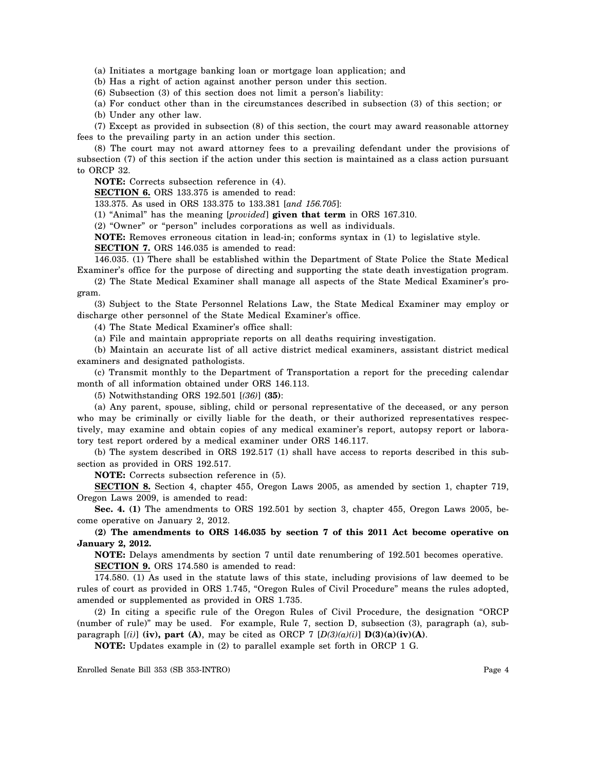(a) Initiates a mortgage banking loan or mortgage loan application; and

(b) Has a right of action against another person under this section.

(6) Subsection (3) of this section does not limit a person's liability:

(a) For conduct other than in the circumstances described in subsection (3) of this section; or

(b) Under any other law.

(7) Except as provided in subsection (8) of this section, the court may award reasonable attorney fees to the prevailing party in an action under this section.

(8) The court may not award attorney fees to a prevailing defendant under the provisions of subsection (7) of this section if the action under this section is maintained as a class action pursuant to ORCP 32.

**NOTE:** Corrects subsection reference in (4).

**SECTION 6.** ORS 133.375 is amended to read:

133.375. As used in ORS 133.375 to 133.381 [*and 156.705*]:

(1) "Animal" has the meaning [*provided*] **given that term** in ORS 167.310.

(2) "Owner" or "person" includes corporations as well as individuals.

**NOTE:** Removes erroneous citation in lead-in; conforms syntax in (1) to legislative style.

**SECTION 7.** ORS 146.035 is amended to read:

146.035. (1) There shall be established within the Department of State Police the State Medical Examiner's office for the purpose of directing and supporting the state death investigation program.

(2) The State Medical Examiner shall manage all aspects of the State Medical Examiner's program.

(3) Subject to the State Personnel Relations Law, the State Medical Examiner may employ or discharge other personnel of the State Medical Examiner's office.

(4) The State Medical Examiner's office shall:

(a) File and maintain appropriate reports on all deaths requiring investigation.

(b) Maintain an accurate list of all active district medical examiners, assistant district medical examiners and designated pathologists.

(c) Transmit monthly to the Department of Transportation a report for the preceding calendar month of all information obtained under ORS 146.113.

(5) Notwithstanding ORS 192.501 [*(36)*] **(35)**:

(a) Any parent, spouse, sibling, child or personal representative of the deceased, or any person who may be criminally or civilly liable for the death, or their authorized representatives respectively, may examine and obtain copies of any medical examiner's report, autopsy report or laboratory test report ordered by a medical examiner under ORS 146.117.

(b) The system described in ORS 192.517 (1) shall have access to reports described in this subsection as provided in ORS 192.517.

**NOTE:** Corrects subsection reference in (5).

**SECTION 8.** Section 4, chapter 455, Oregon Laws 2005, as amended by section 1, chapter 719, Oregon Laws 2009, is amended to read:

**Sec. 4. (1)** The amendments to ORS 192.501 by section 3, chapter 455, Oregon Laws 2005, become operative on January 2, 2012.

**(2) The amendments to ORS 146.035 by section 7 of this 2011 Act become operative on January 2, 2012.** 

**NOTE:** Delays amendments by section 7 until date renumbering of 192.501 becomes operative. **SECTION 9.** ORS 174.580 is amended to read:

174.580. (1) As used in the statute laws of this state, including provisions of law deemed to be rules of court as provided in ORS 1.745, "Oregon Rules of Civil Procedure" means the rules adopted, amended or supplemented as provided in ORS 1.735.

(2) In citing a specific rule of the Oregon Rules of Civil Procedure, the designation "ORCP (number of rule)" may be used. For example, Rule 7, section D, subsection (3), paragraph (a), subparagraph  $[(i)]$  (iv), part (A), may be cited as ORCP 7  $[D(3)(a)(i)]$   $D(3)(a)(iv)(A)$ .

**NOTE:** Updates example in (2) to parallel example set forth in ORCP 1 G.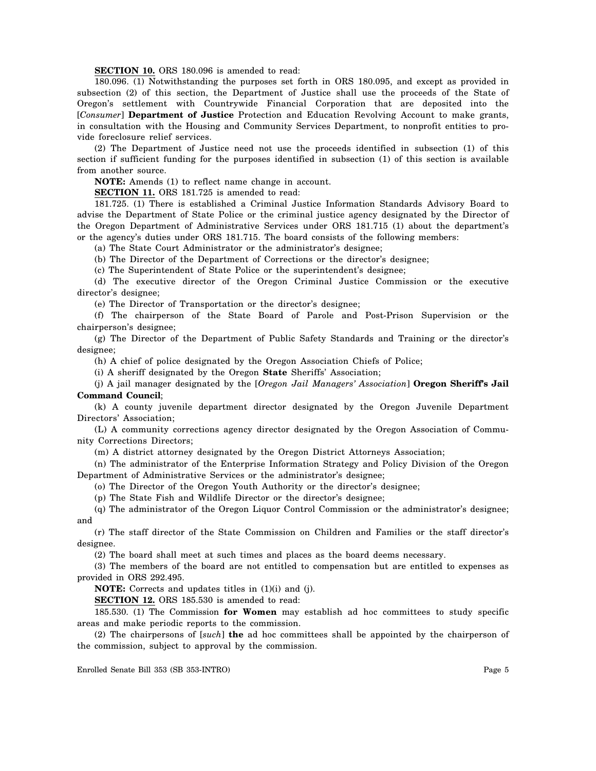**SECTION 10.** ORS 180.096 is amended to read:

180.096. (1) Notwithstanding the purposes set forth in ORS 180.095, and except as provided in subsection (2) of this section, the Department of Justice shall use the proceeds of the State of Oregon's settlement with Countrywide Financial Corporation that are deposited into the [*Consumer*] **Department of Justice** Protection and Education Revolving Account to make grants, in consultation with the Housing and Community Services Department, to nonprofit entities to provide foreclosure relief services.

(2) The Department of Justice need not use the proceeds identified in subsection (1) of this section if sufficient funding for the purposes identified in subsection (1) of this section is available from another source.

**NOTE:** Amends (1) to reflect name change in account.

**SECTION 11.** ORS 181.725 is amended to read:

181.725. (1) There is established a Criminal Justice Information Standards Advisory Board to advise the Department of State Police or the criminal justice agency designated by the Director of the Oregon Department of Administrative Services under ORS 181.715 (1) about the department's or the agency's duties under ORS 181.715. The board consists of the following members:

(a) The State Court Administrator or the administrator's designee;

(b) The Director of the Department of Corrections or the director's designee;

(c) The Superintendent of State Police or the superintendent's designee;

(d) The executive director of the Oregon Criminal Justice Commission or the executive director's designee;

(e) The Director of Transportation or the director's designee;

(f) The chairperson of the State Board of Parole and Post-Prison Supervision or the chairperson's designee;

(g) The Director of the Department of Public Safety Standards and Training or the director's designee;

(h) A chief of police designated by the Oregon Association Chiefs of Police;

(i) A sheriff designated by the Oregon **State** Sheriffs' Association;

(j) A jail manager designated by the [*Oregon Jail Managers' Association*] **Oregon Sheriff's Jail Command Council**;

(k) A county juvenile department director designated by the Oregon Juvenile Department Directors' Association;

(L) A community corrections agency director designated by the Oregon Association of Community Corrections Directors;

(m) A district attorney designated by the Oregon District Attorneys Association;

(n) The administrator of the Enterprise Information Strategy and Policy Division of the Oregon Department of Administrative Services or the administrator's designee;

(o) The Director of the Oregon Youth Authority or the director's designee;

(p) The State Fish and Wildlife Director or the director's designee;

(q) The administrator of the Oregon Liquor Control Commission or the administrator's designee; and

(r) The staff director of the State Commission on Children and Families or the staff director's designee.

(2) The board shall meet at such times and places as the board deems necessary.

(3) The members of the board are not entitled to compensation but are entitled to expenses as provided in ORS 292.495.

**NOTE:** Corrects and updates titles in (1)(i) and (j).

**SECTION 12.** ORS 185.530 is amended to read:

185.530. (1) The Commission **for Women** may establish ad hoc committees to study specific areas and make periodic reports to the commission.

(2) The chairpersons of [*such*] **the** ad hoc committees shall be appointed by the chairperson of the commission, subject to approval by the commission.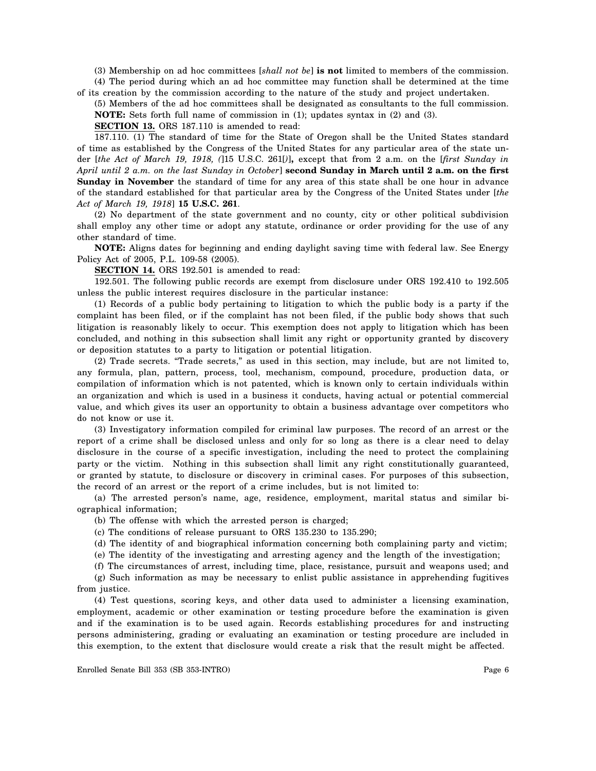(3) Membership on ad hoc committees [*shall not be*] **is not** limited to members of the commission. (4) The period during which an ad hoc committee may function shall be determined at the time

of its creation by the commission according to the nature of the study and project undertaken.

(5) Members of the ad hoc committees shall be designated as consultants to the full commission. **NOTE:** Sets forth full name of commission in (1); updates syntax in (2) and (3).

**SECTION 13.** ORS 187.110 is amended to read:

187.110. (1) The standard of time for the State of Oregon shall be the United States standard of time as established by the Congress of the United States for any particular area of the state under [*the Act of March 19, 1918, (*]15 U.S.C. 261[*)*]**,** except that from 2 a.m. on the [*first Sunday in April until 2 a.m. on the last Sunday in October*] **second Sunday in March until 2 a.m. on the first Sunday in November** the standard of time for any area of this state shall be one hour in advance of the standard established for that particular area by the Congress of the United States under [*the Act of March 19, 1918*] **15 U.S.C. 261**.

(2) No department of the state government and no county, city or other political subdivision shall employ any other time or adopt any statute, ordinance or order providing for the use of any other standard of time.

**NOTE:** Aligns dates for beginning and ending daylight saving time with federal law. See Energy Policy Act of 2005, P.L. 109-58 (2005).

**SECTION 14.** ORS 192.501 is amended to read:

192.501. The following public records are exempt from disclosure under ORS 192.410 to 192.505 unless the public interest requires disclosure in the particular instance:

(1) Records of a public body pertaining to litigation to which the public body is a party if the complaint has been filed, or if the complaint has not been filed, if the public body shows that such litigation is reasonably likely to occur. This exemption does not apply to litigation which has been concluded, and nothing in this subsection shall limit any right or opportunity granted by discovery or deposition statutes to a party to litigation or potential litigation.

(2) Trade secrets. "Trade secrets," as used in this section, may include, but are not limited to, any formula, plan, pattern, process, tool, mechanism, compound, procedure, production data, or compilation of information which is not patented, which is known only to certain individuals within an organization and which is used in a business it conducts, having actual or potential commercial value, and which gives its user an opportunity to obtain a business advantage over competitors who do not know or use it.

(3) Investigatory information compiled for criminal law purposes. The record of an arrest or the report of a crime shall be disclosed unless and only for so long as there is a clear need to delay disclosure in the course of a specific investigation, including the need to protect the complaining party or the victim. Nothing in this subsection shall limit any right constitutionally guaranteed, or granted by statute, to disclosure or discovery in criminal cases. For purposes of this subsection, the record of an arrest or the report of a crime includes, but is not limited to:

(a) The arrested person's name, age, residence, employment, marital status and similar biographical information;

(b) The offense with which the arrested person is charged;

(c) The conditions of release pursuant to ORS 135.230 to 135.290;

(d) The identity of and biographical information concerning both complaining party and victim;

(e) The identity of the investigating and arresting agency and the length of the investigation;

(f) The circumstances of arrest, including time, place, resistance, pursuit and weapons used; and

(g) Such information as may be necessary to enlist public assistance in apprehending fugitives from justice.

(4) Test questions, scoring keys, and other data used to administer a licensing examination, employment, academic or other examination or testing procedure before the examination is given and if the examination is to be used again. Records establishing procedures for and instructing persons administering, grading or evaluating an examination or testing procedure are included in this exemption, to the extent that disclosure would create a risk that the result might be affected.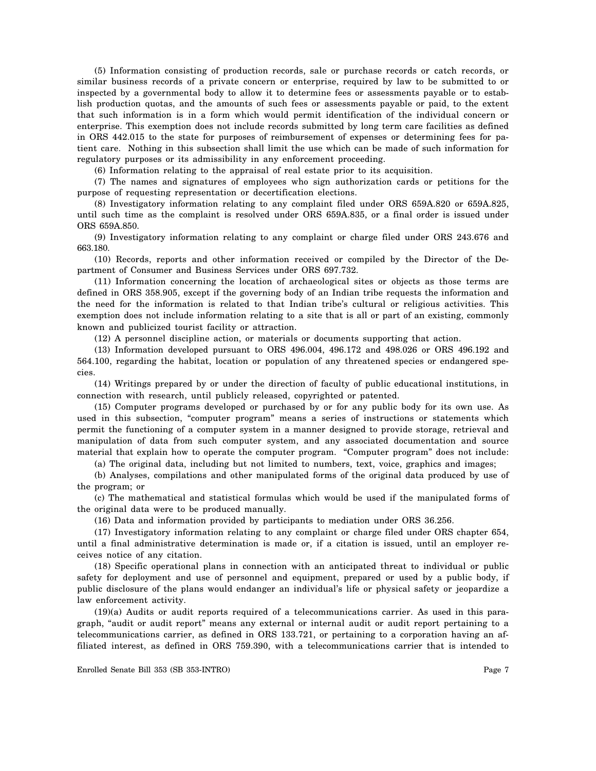(5) Information consisting of production records, sale or purchase records or catch records, or similar business records of a private concern or enterprise, required by law to be submitted to or inspected by a governmental body to allow it to determine fees or assessments payable or to establish production quotas, and the amounts of such fees or assessments payable or paid, to the extent that such information is in a form which would permit identification of the individual concern or enterprise. This exemption does not include records submitted by long term care facilities as defined in ORS 442.015 to the state for purposes of reimbursement of expenses or determining fees for patient care. Nothing in this subsection shall limit the use which can be made of such information for regulatory purposes or its admissibility in any enforcement proceeding.

(6) Information relating to the appraisal of real estate prior to its acquisition.

(7) The names and signatures of employees who sign authorization cards or petitions for the purpose of requesting representation or decertification elections.

(8) Investigatory information relating to any complaint filed under ORS 659A.820 or 659A.825, until such time as the complaint is resolved under ORS 659A.835, or a final order is issued under ORS 659A.850.

(9) Investigatory information relating to any complaint or charge filed under ORS 243.676 and 663.180.

(10) Records, reports and other information received or compiled by the Director of the Department of Consumer and Business Services under ORS 697.732.

(11) Information concerning the location of archaeological sites or objects as those terms are defined in ORS 358.905, except if the governing body of an Indian tribe requests the information and the need for the information is related to that Indian tribe's cultural or religious activities. This exemption does not include information relating to a site that is all or part of an existing, commonly known and publicized tourist facility or attraction.

(12) A personnel discipline action, or materials or documents supporting that action.

(13) Information developed pursuant to ORS 496.004, 496.172 and 498.026 or ORS 496.192 and 564.100, regarding the habitat, location or population of any threatened species or endangered species.

(14) Writings prepared by or under the direction of faculty of public educational institutions, in connection with research, until publicly released, copyrighted or patented.

(15) Computer programs developed or purchased by or for any public body for its own use. As used in this subsection, "computer program" means a series of instructions or statements which permit the functioning of a computer system in a manner designed to provide storage, retrieval and manipulation of data from such computer system, and any associated documentation and source material that explain how to operate the computer program. "Computer program" does not include:

(a) The original data, including but not limited to numbers, text, voice, graphics and images;

(b) Analyses, compilations and other manipulated forms of the original data produced by use of the program; or

(c) The mathematical and statistical formulas which would be used if the manipulated forms of the original data were to be produced manually.

(16) Data and information provided by participants to mediation under ORS 36.256.

(17) Investigatory information relating to any complaint or charge filed under ORS chapter 654, until a final administrative determination is made or, if a citation is issued, until an employer receives notice of any citation.

(18) Specific operational plans in connection with an anticipated threat to individual or public safety for deployment and use of personnel and equipment, prepared or used by a public body, if public disclosure of the plans would endanger an individual's life or physical safety or jeopardize a law enforcement activity.

(19)(a) Audits or audit reports required of a telecommunications carrier. As used in this paragraph, "audit or audit report" means any external or internal audit or audit report pertaining to a telecommunications carrier, as defined in ORS 133.721, or pertaining to a corporation having an affiliated interest, as defined in ORS 759.390, with a telecommunications carrier that is intended to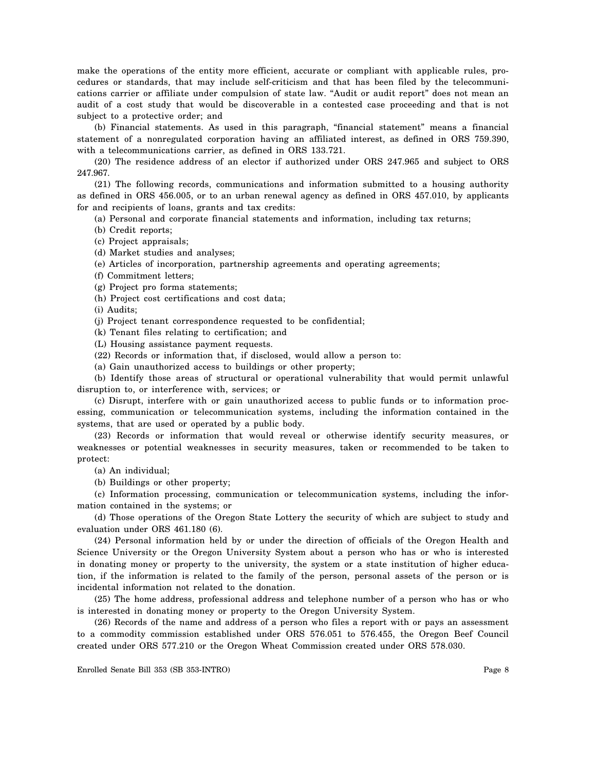make the operations of the entity more efficient, accurate or compliant with applicable rules, procedures or standards, that may include self-criticism and that has been filed by the telecommunications carrier or affiliate under compulsion of state law. "Audit or audit report" does not mean an audit of a cost study that would be discoverable in a contested case proceeding and that is not subject to a protective order; and

(b) Financial statements. As used in this paragraph, "financial statement" means a financial statement of a nonregulated corporation having an affiliated interest, as defined in ORS 759.390, with a telecommunications carrier, as defined in ORS 133.721.

(20) The residence address of an elector if authorized under ORS 247.965 and subject to ORS 247.967.

(21) The following records, communications and information submitted to a housing authority as defined in ORS 456.005, or to an urban renewal agency as defined in ORS 457.010, by applicants for and recipients of loans, grants and tax credits:

(a) Personal and corporate financial statements and information, including tax returns;

- (b) Credit reports;
- (c) Project appraisals;
- (d) Market studies and analyses;
- (e) Articles of incorporation, partnership agreements and operating agreements;
- (f) Commitment letters;
- (g) Project pro forma statements;
- (h) Project cost certifications and cost data;

(i) Audits;

- (j) Project tenant correspondence requested to be confidential;
- (k) Tenant files relating to certification; and
- (L) Housing assistance payment requests.
- (22) Records or information that, if disclosed, would allow a person to:
- (a) Gain unauthorized access to buildings or other property;

(b) Identify those areas of structural or operational vulnerability that would permit unlawful disruption to, or interference with, services; or

(c) Disrupt, interfere with or gain unauthorized access to public funds or to information processing, communication or telecommunication systems, including the information contained in the systems, that are used or operated by a public body.

(23) Records or information that would reveal or otherwise identify security measures, or weaknesses or potential weaknesses in security measures, taken or recommended to be taken to protect:

(a) An individual;

(b) Buildings or other property;

(c) Information processing, communication or telecommunication systems, including the information contained in the systems; or

(d) Those operations of the Oregon State Lottery the security of which are subject to study and evaluation under ORS 461.180 (6).

(24) Personal information held by or under the direction of officials of the Oregon Health and Science University or the Oregon University System about a person who has or who is interested in donating money or property to the university, the system or a state institution of higher education, if the information is related to the family of the person, personal assets of the person or is incidental information not related to the donation.

(25) The home address, professional address and telephone number of a person who has or who is interested in donating money or property to the Oregon University System.

(26) Records of the name and address of a person who files a report with or pays an assessment to a commodity commission established under ORS 576.051 to 576.455, the Oregon Beef Council created under ORS 577.210 or the Oregon Wheat Commission created under ORS 578.030.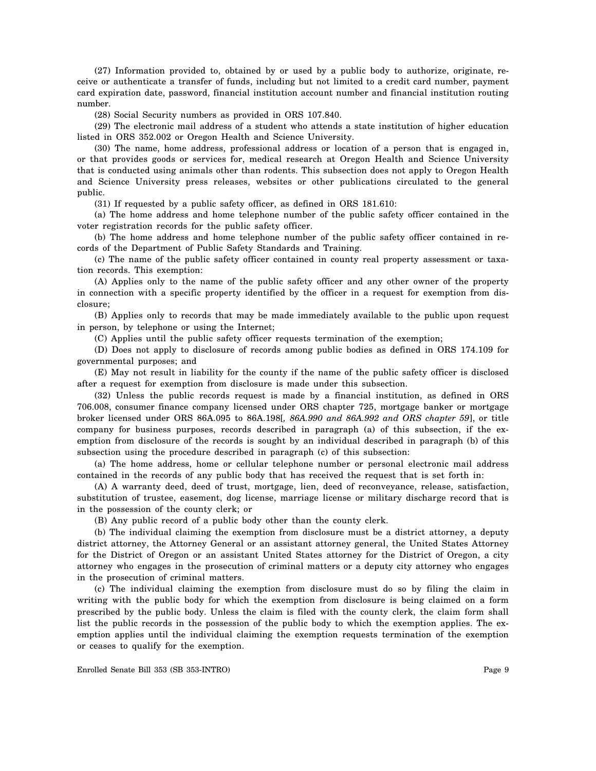(27) Information provided to, obtained by or used by a public body to authorize, originate, receive or authenticate a transfer of funds, including but not limited to a credit card number, payment card expiration date, password, financial institution account number and financial institution routing number.

(28) Social Security numbers as provided in ORS 107.840.

(29) The electronic mail address of a student who attends a state institution of higher education listed in ORS 352.002 or Oregon Health and Science University.

(30) The name, home address, professional address or location of a person that is engaged in, or that provides goods or services for, medical research at Oregon Health and Science University that is conducted using animals other than rodents. This subsection does not apply to Oregon Health and Science University press releases, websites or other publications circulated to the general public.

(31) If requested by a public safety officer, as defined in ORS 181.610:

(a) The home address and home telephone number of the public safety officer contained in the voter registration records for the public safety officer.

(b) The home address and home telephone number of the public safety officer contained in records of the Department of Public Safety Standards and Training.

(c) The name of the public safety officer contained in county real property assessment or taxation records. This exemption:

(A) Applies only to the name of the public safety officer and any other owner of the property in connection with a specific property identified by the officer in a request for exemption from disclosure;

(B) Applies only to records that may be made immediately available to the public upon request in person, by telephone or using the Internet;

(C) Applies until the public safety officer requests termination of the exemption;

(D) Does not apply to disclosure of records among public bodies as defined in ORS 174.109 for governmental purposes; and

(E) May not result in liability for the county if the name of the public safety officer is disclosed after a request for exemption from disclosure is made under this subsection.

(32) Unless the public records request is made by a financial institution, as defined in ORS 706.008, consumer finance company licensed under ORS chapter 725, mortgage banker or mortgage broker licensed under ORS 86A.095 to 86A.198[*, 86A.990 and 86A.992 and ORS chapter 59*], or title company for business purposes, records described in paragraph (a) of this subsection, if the exemption from disclosure of the records is sought by an individual described in paragraph (b) of this subsection using the procedure described in paragraph (c) of this subsection:

(a) The home address, home or cellular telephone number or personal electronic mail address contained in the records of any public body that has received the request that is set forth in:

(A) A warranty deed, deed of trust, mortgage, lien, deed of reconveyance, release, satisfaction, substitution of trustee, easement, dog license, marriage license or military discharge record that is in the possession of the county clerk; or

(B) Any public record of a public body other than the county clerk.

(b) The individual claiming the exemption from disclosure must be a district attorney, a deputy district attorney, the Attorney General or an assistant attorney general, the United States Attorney for the District of Oregon or an assistant United States attorney for the District of Oregon, a city attorney who engages in the prosecution of criminal matters or a deputy city attorney who engages in the prosecution of criminal matters.

(c) The individual claiming the exemption from disclosure must do so by filing the claim in writing with the public body for which the exemption from disclosure is being claimed on a form prescribed by the public body. Unless the claim is filed with the county clerk, the claim form shall list the public records in the possession of the public body to which the exemption applies. The exemption applies until the individual claiming the exemption requests termination of the exemption or ceases to qualify for the exemption.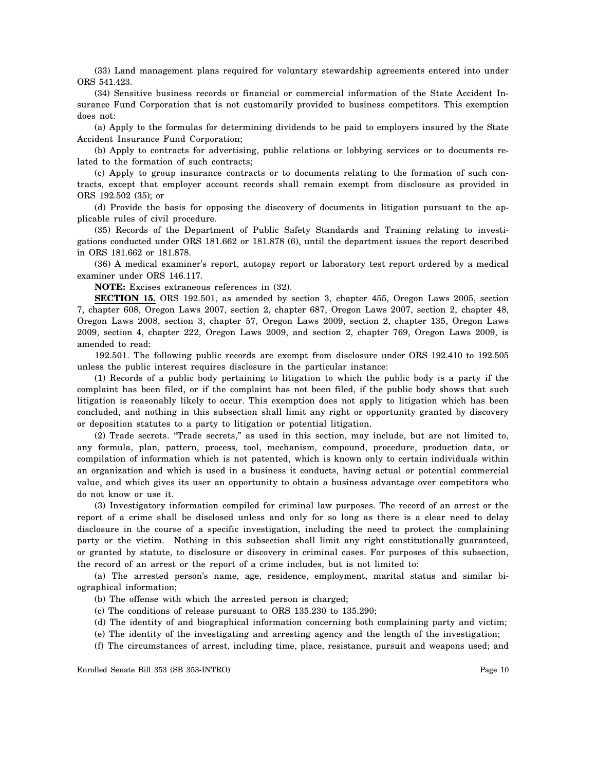(33) Land management plans required for voluntary stewardship agreements entered into under ORS 541.423.

(34) Sensitive business records or financial or commercial information of the State Accident Insurance Fund Corporation that is not customarily provided to business competitors. This exemption does not:

(a) Apply to the formulas for determining dividends to be paid to employers insured by the State Accident Insurance Fund Corporation;

(b) Apply to contracts for advertising, public relations or lobbying services or to documents related to the formation of such contracts;

(c) Apply to group insurance contracts or to documents relating to the formation of such contracts, except that employer account records shall remain exempt from disclosure as provided in ORS 192.502 (35); or

(d) Provide the basis for opposing the discovery of documents in litigation pursuant to the applicable rules of civil procedure.

(35) Records of the Department of Public Safety Standards and Training relating to investigations conducted under ORS 181.662 or 181.878 (6), until the department issues the report described in ORS 181.662 or 181.878.

(36) A medical examiner's report, autopsy report or laboratory test report ordered by a medical examiner under ORS 146.117.

**NOTE:** Excises extraneous references in (32).

**SECTION 15.** ORS 192.501, as amended by section 3, chapter 455, Oregon Laws 2005, section 7, chapter 608, Oregon Laws 2007, section 2, chapter 687, Oregon Laws 2007, section 2, chapter 48, Oregon Laws 2008, section 3, chapter 57, Oregon Laws 2009, section 2, chapter 135, Oregon Laws 2009, section 4, chapter 222, Oregon Laws 2009, and section 2, chapter 769, Oregon Laws 2009, is amended to read:

192.501. The following public records are exempt from disclosure under ORS 192.410 to 192.505 unless the public interest requires disclosure in the particular instance:

(1) Records of a public body pertaining to litigation to which the public body is a party if the complaint has been filed, or if the complaint has not been filed, if the public body shows that such litigation is reasonably likely to occur. This exemption does not apply to litigation which has been concluded, and nothing in this subsection shall limit any right or opportunity granted by discovery or deposition statutes to a party to litigation or potential litigation.

(2) Trade secrets. "Trade secrets," as used in this section, may include, but are not limited to, any formula, plan, pattern, process, tool, mechanism, compound, procedure, production data, or compilation of information which is not patented, which is known only to certain individuals within an organization and which is used in a business it conducts, having actual or potential commercial value, and which gives its user an opportunity to obtain a business advantage over competitors who do not know or use it.

(3) Investigatory information compiled for criminal law purposes. The record of an arrest or the report of a crime shall be disclosed unless and only for so long as there is a clear need to delay disclosure in the course of a specific investigation, including the need to protect the complaining party or the victim. Nothing in this subsection shall limit any right constitutionally guaranteed, or granted by statute, to disclosure or discovery in criminal cases. For purposes of this subsection, the record of an arrest or the report of a crime includes, but is not limited to:

(a) The arrested person's name, age, residence, employment, marital status and similar biographical information;

(b) The offense with which the arrested person is charged;

- (c) The conditions of release pursuant to ORS 135.230 to 135.290;
- (d) The identity of and biographical information concerning both complaining party and victim;
- (e) The identity of the investigating and arresting agency and the length of the investigation;

(f) The circumstances of arrest, including time, place, resistance, pursuit and weapons used; and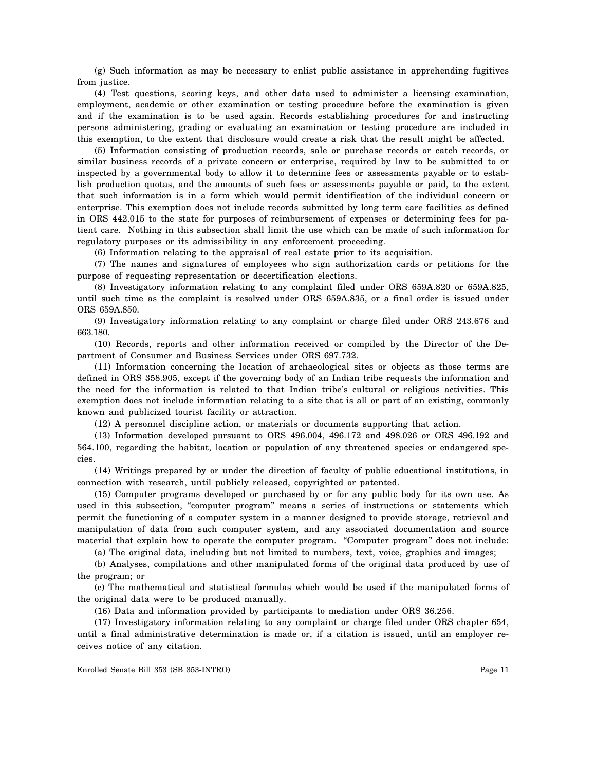(g) Such information as may be necessary to enlist public assistance in apprehending fugitives from justice.

(4) Test questions, scoring keys, and other data used to administer a licensing examination, employment, academic or other examination or testing procedure before the examination is given and if the examination is to be used again. Records establishing procedures for and instructing persons administering, grading or evaluating an examination or testing procedure are included in this exemption, to the extent that disclosure would create a risk that the result might be affected.

(5) Information consisting of production records, sale or purchase records or catch records, or similar business records of a private concern or enterprise, required by law to be submitted to or inspected by a governmental body to allow it to determine fees or assessments payable or to establish production quotas, and the amounts of such fees or assessments payable or paid, to the extent that such information is in a form which would permit identification of the individual concern or enterprise. This exemption does not include records submitted by long term care facilities as defined in ORS 442.015 to the state for purposes of reimbursement of expenses or determining fees for patient care. Nothing in this subsection shall limit the use which can be made of such information for regulatory purposes or its admissibility in any enforcement proceeding.

(6) Information relating to the appraisal of real estate prior to its acquisition.

(7) The names and signatures of employees who sign authorization cards or petitions for the purpose of requesting representation or decertification elections.

(8) Investigatory information relating to any complaint filed under ORS 659A.820 or 659A.825, until such time as the complaint is resolved under ORS 659A.835, or a final order is issued under ORS 659A.850.

(9) Investigatory information relating to any complaint or charge filed under ORS 243.676 and 663.180.

(10) Records, reports and other information received or compiled by the Director of the Department of Consumer and Business Services under ORS 697.732.

(11) Information concerning the location of archaeological sites or objects as those terms are defined in ORS 358.905, except if the governing body of an Indian tribe requests the information and the need for the information is related to that Indian tribe's cultural or religious activities. This exemption does not include information relating to a site that is all or part of an existing, commonly known and publicized tourist facility or attraction.

(12) A personnel discipline action, or materials or documents supporting that action.

(13) Information developed pursuant to ORS 496.004, 496.172 and 498.026 or ORS 496.192 and 564.100, regarding the habitat, location or population of any threatened species or endangered species.

(14) Writings prepared by or under the direction of faculty of public educational institutions, in connection with research, until publicly released, copyrighted or patented.

(15) Computer programs developed or purchased by or for any public body for its own use. As used in this subsection, "computer program" means a series of instructions or statements which permit the functioning of a computer system in a manner designed to provide storage, retrieval and manipulation of data from such computer system, and any associated documentation and source material that explain how to operate the computer program. "Computer program" does not include:

(a) The original data, including but not limited to numbers, text, voice, graphics and images;

(b) Analyses, compilations and other manipulated forms of the original data produced by use of the program; or

(c) The mathematical and statistical formulas which would be used if the manipulated forms of the original data were to be produced manually.

(16) Data and information provided by participants to mediation under ORS 36.256.

(17) Investigatory information relating to any complaint or charge filed under ORS chapter 654, until a final administrative determination is made or, if a citation is issued, until an employer receives notice of any citation.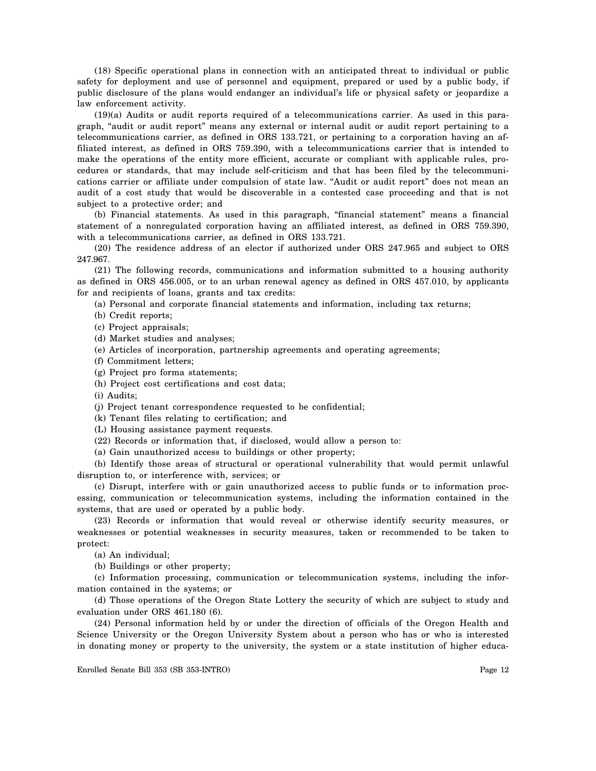(18) Specific operational plans in connection with an anticipated threat to individual or public safety for deployment and use of personnel and equipment, prepared or used by a public body, if public disclosure of the plans would endanger an individual's life or physical safety or jeopardize a law enforcement activity.

(19)(a) Audits or audit reports required of a telecommunications carrier. As used in this paragraph, "audit or audit report" means any external or internal audit or audit report pertaining to a telecommunications carrier, as defined in ORS 133.721, or pertaining to a corporation having an affiliated interest, as defined in ORS 759.390, with a telecommunications carrier that is intended to make the operations of the entity more efficient, accurate or compliant with applicable rules, procedures or standards, that may include self-criticism and that has been filed by the telecommunications carrier or affiliate under compulsion of state law. "Audit or audit report" does not mean an audit of a cost study that would be discoverable in a contested case proceeding and that is not subject to a protective order; and

(b) Financial statements. As used in this paragraph, "financial statement" means a financial statement of a nonregulated corporation having an affiliated interest, as defined in ORS 759.390, with a telecommunications carrier, as defined in ORS 133.721.

(20) The residence address of an elector if authorized under ORS 247.965 and subject to ORS 247.967.

(21) The following records, communications and information submitted to a housing authority as defined in ORS 456.005, or to an urban renewal agency as defined in ORS 457.010, by applicants for and recipients of loans, grants and tax credits:

(a) Personal and corporate financial statements and information, including tax returns;

(b) Credit reports;

(c) Project appraisals;

(d) Market studies and analyses;

(e) Articles of incorporation, partnership agreements and operating agreements;

(f) Commitment letters;

(g) Project pro forma statements;

(h) Project cost certifications and cost data;

(i) Audits;

(j) Project tenant correspondence requested to be confidential;

(k) Tenant files relating to certification; and

(L) Housing assistance payment requests.

(22) Records or information that, if disclosed, would allow a person to:

(a) Gain unauthorized access to buildings or other property;

(b) Identify those areas of structural or operational vulnerability that would permit unlawful disruption to, or interference with, services; or

(c) Disrupt, interfere with or gain unauthorized access to public funds or to information processing, communication or telecommunication systems, including the information contained in the systems, that are used or operated by a public body.

(23) Records or information that would reveal or otherwise identify security measures, or weaknesses or potential weaknesses in security measures, taken or recommended to be taken to protect:

(a) An individual;

(b) Buildings or other property;

(c) Information processing, communication or telecommunication systems, including the information contained in the systems; or

(d) Those operations of the Oregon State Lottery the security of which are subject to study and evaluation under ORS 461.180 (6).

(24) Personal information held by or under the direction of officials of the Oregon Health and Science University or the Oregon University System about a person who has or who is interested in donating money or property to the university, the system or a state institution of higher educa-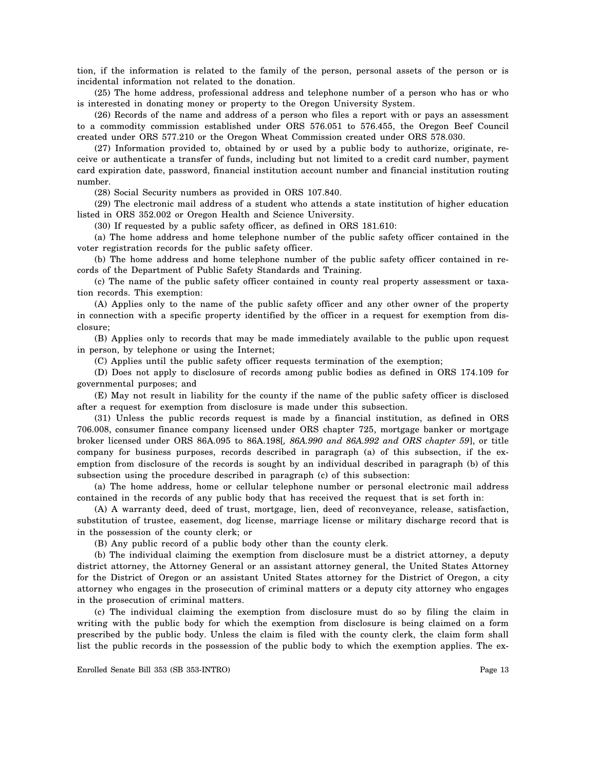tion, if the information is related to the family of the person, personal assets of the person or is incidental information not related to the donation.

(25) The home address, professional address and telephone number of a person who has or who is interested in donating money or property to the Oregon University System.

(26) Records of the name and address of a person who files a report with or pays an assessment to a commodity commission established under ORS 576.051 to 576.455, the Oregon Beef Council created under ORS 577.210 or the Oregon Wheat Commission created under ORS 578.030.

(27) Information provided to, obtained by or used by a public body to authorize, originate, receive or authenticate a transfer of funds, including but not limited to a credit card number, payment card expiration date, password, financial institution account number and financial institution routing number.

(28) Social Security numbers as provided in ORS 107.840.

(29) The electronic mail address of a student who attends a state institution of higher education listed in ORS 352.002 or Oregon Health and Science University.

(30) If requested by a public safety officer, as defined in ORS 181.610:

(a) The home address and home telephone number of the public safety officer contained in the voter registration records for the public safety officer.

(b) The home address and home telephone number of the public safety officer contained in records of the Department of Public Safety Standards and Training.

(c) The name of the public safety officer contained in county real property assessment or taxation records. This exemption:

(A) Applies only to the name of the public safety officer and any other owner of the property in connection with a specific property identified by the officer in a request for exemption from disclosure;

(B) Applies only to records that may be made immediately available to the public upon request in person, by telephone or using the Internet;

(C) Applies until the public safety officer requests termination of the exemption;

(D) Does not apply to disclosure of records among public bodies as defined in ORS 174.109 for governmental purposes; and

(E) May not result in liability for the county if the name of the public safety officer is disclosed after a request for exemption from disclosure is made under this subsection.

(31) Unless the public records request is made by a financial institution, as defined in ORS 706.008, consumer finance company licensed under ORS chapter 725, mortgage banker or mortgage broker licensed under ORS 86A.095 to 86A.198[*, 86A.990 and 86A.992 and ORS chapter 59*], or title company for business purposes, records described in paragraph (a) of this subsection, if the exemption from disclosure of the records is sought by an individual described in paragraph (b) of this subsection using the procedure described in paragraph (c) of this subsection:

(a) The home address, home or cellular telephone number or personal electronic mail address contained in the records of any public body that has received the request that is set forth in:

(A) A warranty deed, deed of trust, mortgage, lien, deed of reconveyance, release, satisfaction, substitution of trustee, easement, dog license, marriage license or military discharge record that is in the possession of the county clerk; or

(B) Any public record of a public body other than the county clerk.

(b) The individual claiming the exemption from disclosure must be a district attorney, a deputy district attorney, the Attorney General or an assistant attorney general, the United States Attorney for the District of Oregon or an assistant United States attorney for the District of Oregon, a city attorney who engages in the prosecution of criminal matters or a deputy city attorney who engages in the prosecution of criminal matters.

(c) The individual claiming the exemption from disclosure must do so by filing the claim in writing with the public body for which the exemption from disclosure is being claimed on a form prescribed by the public body. Unless the claim is filed with the county clerk, the claim form shall list the public records in the possession of the public body to which the exemption applies. The ex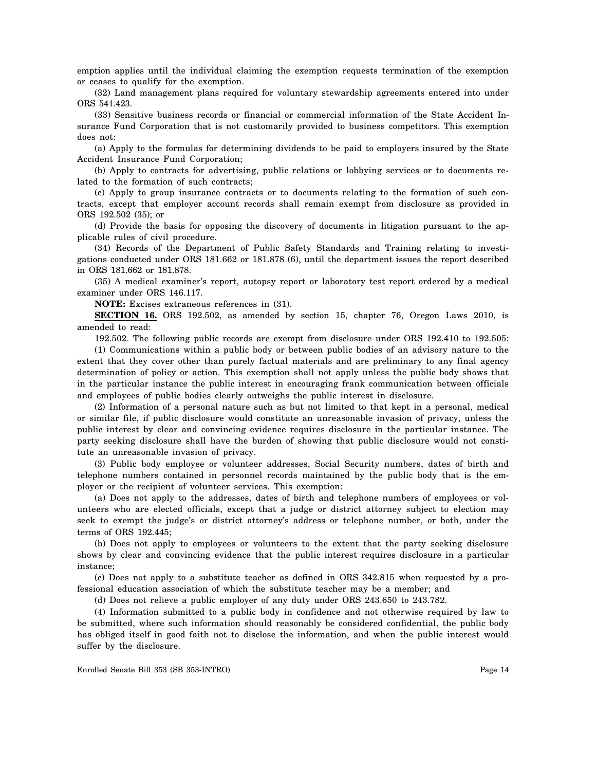emption applies until the individual claiming the exemption requests termination of the exemption or ceases to qualify for the exemption.

(32) Land management plans required for voluntary stewardship agreements entered into under ORS 541.423.

(33) Sensitive business records or financial or commercial information of the State Accident Insurance Fund Corporation that is not customarily provided to business competitors. This exemption does not:

(a) Apply to the formulas for determining dividends to be paid to employers insured by the State Accident Insurance Fund Corporation;

(b) Apply to contracts for advertising, public relations or lobbying services or to documents related to the formation of such contracts;

(c) Apply to group insurance contracts or to documents relating to the formation of such contracts, except that employer account records shall remain exempt from disclosure as provided in ORS 192.502 (35); or

(d) Provide the basis for opposing the discovery of documents in litigation pursuant to the applicable rules of civil procedure.

(34) Records of the Department of Public Safety Standards and Training relating to investigations conducted under ORS 181.662 or 181.878 (6), until the department issues the report described in ORS 181.662 or 181.878.

(35) A medical examiner's report, autopsy report or laboratory test report ordered by a medical examiner under ORS 146.117.

**NOTE:** Excises extraneous references in (31).

**SECTION 16.** ORS 192.502, as amended by section 15, chapter 76, Oregon Laws 2010, is amended to read:

192.502. The following public records are exempt from disclosure under ORS 192.410 to 192.505:

(1) Communications within a public body or between public bodies of an advisory nature to the extent that they cover other than purely factual materials and are preliminary to any final agency determination of policy or action. This exemption shall not apply unless the public body shows that in the particular instance the public interest in encouraging frank communication between officials and employees of public bodies clearly outweighs the public interest in disclosure.

(2) Information of a personal nature such as but not limited to that kept in a personal, medical or similar file, if public disclosure would constitute an unreasonable invasion of privacy, unless the public interest by clear and convincing evidence requires disclosure in the particular instance. The party seeking disclosure shall have the burden of showing that public disclosure would not constitute an unreasonable invasion of privacy.

(3) Public body employee or volunteer addresses, Social Security numbers, dates of birth and telephone numbers contained in personnel records maintained by the public body that is the employer or the recipient of volunteer services. This exemption:

(a) Does not apply to the addresses, dates of birth and telephone numbers of employees or volunteers who are elected officials, except that a judge or district attorney subject to election may seek to exempt the judge's or district attorney's address or telephone number, or both, under the terms of ORS 192.445;

(b) Does not apply to employees or volunteers to the extent that the party seeking disclosure shows by clear and convincing evidence that the public interest requires disclosure in a particular instance;

(c) Does not apply to a substitute teacher as defined in ORS 342.815 when requested by a professional education association of which the substitute teacher may be a member; and

(d) Does not relieve a public employer of any duty under ORS 243.650 to 243.782.

(4) Information submitted to a public body in confidence and not otherwise required by law to be submitted, where such information should reasonably be considered confidential, the public body has obliged itself in good faith not to disclose the information, and when the public interest would suffer by the disclosure.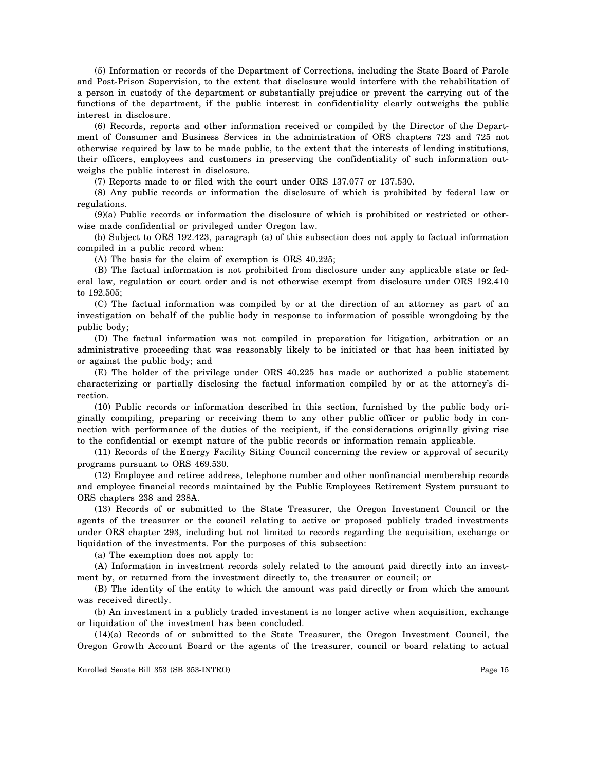(5) Information or records of the Department of Corrections, including the State Board of Parole and Post-Prison Supervision, to the extent that disclosure would interfere with the rehabilitation of a person in custody of the department or substantially prejudice or prevent the carrying out of the functions of the department, if the public interest in confidentiality clearly outweighs the public interest in disclosure.

(6) Records, reports and other information received or compiled by the Director of the Department of Consumer and Business Services in the administration of ORS chapters 723 and 725 not otherwise required by law to be made public, to the extent that the interests of lending institutions, their officers, employees and customers in preserving the confidentiality of such information outweighs the public interest in disclosure.

(7) Reports made to or filed with the court under ORS 137.077 or 137.530.

(8) Any public records or information the disclosure of which is prohibited by federal law or regulations.

(9)(a) Public records or information the disclosure of which is prohibited or restricted or otherwise made confidential or privileged under Oregon law.

(b) Subject to ORS 192.423, paragraph (a) of this subsection does not apply to factual information compiled in a public record when:

(A) The basis for the claim of exemption is ORS 40.225;

(B) The factual information is not prohibited from disclosure under any applicable state or federal law, regulation or court order and is not otherwise exempt from disclosure under ORS 192.410 to 192.505;

(C) The factual information was compiled by or at the direction of an attorney as part of an investigation on behalf of the public body in response to information of possible wrongdoing by the public body;

(D) The factual information was not compiled in preparation for litigation, arbitration or an administrative proceeding that was reasonably likely to be initiated or that has been initiated by or against the public body; and

(E) The holder of the privilege under ORS 40.225 has made or authorized a public statement characterizing or partially disclosing the factual information compiled by or at the attorney's direction.

(10) Public records or information described in this section, furnished by the public body originally compiling, preparing or receiving them to any other public officer or public body in connection with performance of the duties of the recipient, if the considerations originally giving rise to the confidential or exempt nature of the public records or information remain applicable.

(11) Records of the Energy Facility Siting Council concerning the review or approval of security programs pursuant to ORS 469.530.

(12) Employee and retiree address, telephone number and other nonfinancial membership records and employee financial records maintained by the Public Employees Retirement System pursuant to ORS chapters 238 and 238A.

(13) Records of or submitted to the State Treasurer, the Oregon Investment Council or the agents of the treasurer or the council relating to active or proposed publicly traded investments under ORS chapter 293, including but not limited to records regarding the acquisition, exchange or liquidation of the investments. For the purposes of this subsection:

(a) The exemption does not apply to:

(A) Information in investment records solely related to the amount paid directly into an investment by, or returned from the investment directly to, the treasurer or council; or

(B) The identity of the entity to which the amount was paid directly or from which the amount was received directly.

(b) An investment in a publicly traded investment is no longer active when acquisition, exchange or liquidation of the investment has been concluded.

(14)(a) Records of or submitted to the State Treasurer, the Oregon Investment Council, the Oregon Growth Account Board or the agents of the treasurer, council or board relating to actual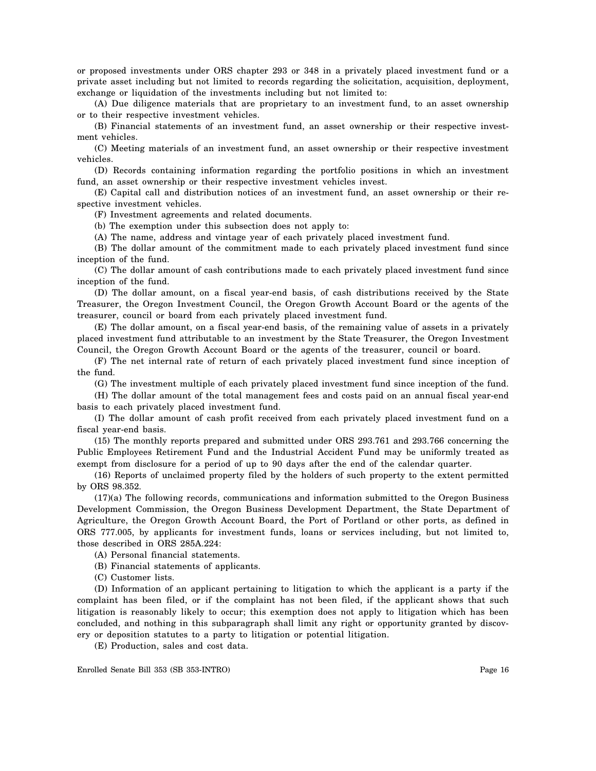or proposed investments under ORS chapter 293 or 348 in a privately placed investment fund or a private asset including but not limited to records regarding the solicitation, acquisition, deployment, exchange or liquidation of the investments including but not limited to:

(A) Due diligence materials that are proprietary to an investment fund, to an asset ownership or to their respective investment vehicles.

(B) Financial statements of an investment fund, an asset ownership or their respective investment vehicles.

(C) Meeting materials of an investment fund, an asset ownership or their respective investment vehicles.

(D) Records containing information regarding the portfolio positions in which an investment fund, an asset ownership or their respective investment vehicles invest.

(E) Capital call and distribution notices of an investment fund, an asset ownership or their respective investment vehicles.

(F) Investment agreements and related documents.

(b) The exemption under this subsection does not apply to:

(A) The name, address and vintage year of each privately placed investment fund.

(B) The dollar amount of the commitment made to each privately placed investment fund since inception of the fund.

(C) The dollar amount of cash contributions made to each privately placed investment fund since inception of the fund.

(D) The dollar amount, on a fiscal year-end basis, of cash distributions received by the State Treasurer, the Oregon Investment Council, the Oregon Growth Account Board or the agents of the treasurer, council or board from each privately placed investment fund.

(E) The dollar amount, on a fiscal year-end basis, of the remaining value of assets in a privately placed investment fund attributable to an investment by the State Treasurer, the Oregon Investment Council, the Oregon Growth Account Board or the agents of the treasurer, council or board.

(F) The net internal rate of return of each privately placed investment fund since inception of the fund.

(G) The investment multiple of each privately placed investment fund since inception of the fund.

(H) The dollar amount of the total management fees and costs paid on an annual fiscal year-end basis to each privately placed investment fund.

(I) The dollar amount of cash profit received from each privately placed investment fund on a fiscal year-end basis.

(15) The monthly reports prepared and submitted under ORS 293.761 and 293.766 concerning the Public Employees Retirement Fund and the Industrial Accident Fund may be uniformly treated as exempt from disclosure for a period of up to 90 days after the end of the calendar quarter.

(16) Reports of unclaimed property filed by the holders of such property to the extent permitted by ORS 98.352.

(17)(a) The following records, communications and information submitted to the Oregon Business Development Commission, the Oregon Business Development Department, the State Department of Agriculture, the Oregon Growth Account Board, the Port of Portland or other ports, as defined in ORS 777.005, by applicants for investment funds, loans or services including, but not limited to, those described in ORS 285A.224:

(A) Personal financial statements.

(B) Financial statements of applicants.

(C) Customer lists.

(D) Information of an applicant pertaining to litigation to which the applicant is a party if the complaint has been filed, or if the complaint has not been filed, if the applicant shows that such litigation is reasonably likely to occur; this exemption does not apply to litigation which has been concluded, and nothing in this subparagraph shall limit any right or opportunity granted by discovery or deposition statutes to a party to litigation or potential litigation.

(E) Production, sales and cost data.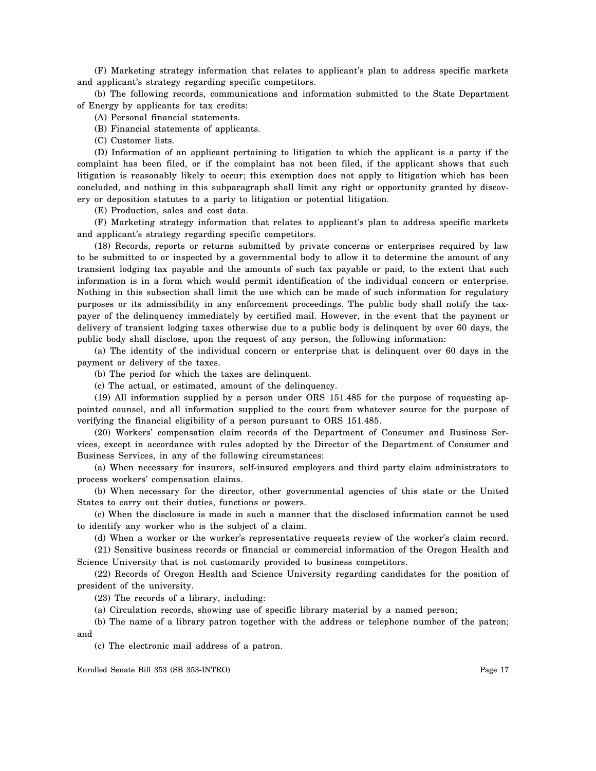(F) Marketing strategy information that relates to applicant's plan to address specific markets and applicant's strategy regarding specific competitors.

(b) The following records, communications and information submitted to the State Department of Energy by applicants for tax credits:

(A) Personal financial statements.

(B) Financial statements of applicants.

(C) Customer lists.

(D) Information of an applicant pertaining to litigation to which the applicant is a party if the complaint has been filed, or if the complaint has not been filed, if the applicant shows that such litigation is reasonably likely to occur; this exemption does not apply to litigation which has been concluded, and nothing in this subparagraph shall limit any right or opportunity granted by discovery or deposition statutes to a party to litigation or potential litigation.

(E) Production, sales and cost data.

(F) Marketing strategy information that relates to applicant's plan to address specific markets and applicant's strategy regarding specific competitors.

(18) Records, reports or returns submitted by private concerns or enterprises required by law to be submitted to or inspected by a governmental body to allow it to determine the amount of any transient lodging tax payable and the amounts of such tax payable or paid, to the extent that such information is in a form which would permit identification of the individual concern or enterprise. Nothing in this subsection shall limit the use which can be made of such information for regulatory purposes or its admissibility in any enforcement proceedings. The public body shall notify the taxpayer of the delinquency immediately by certified mail. However, in the event that the payment or delivery of transient lodging taxes otherwise due to a public body is delinquent by over 60 days, the public body shall disclose, upon the request of any person, the following information:

(a) The identity of the individual concern or enterprise that is delinquent over 60 days in the payment or delivery of the taxes.

(b) The period for which the taxes are delinquent.

(c) The actual, or estimated, amount of the delinquency.

(19) All information supplied by a person under ORS 151.485 for the purpose of requesting appointed counsel, and all information supplied to the court from whatever source for the purpose of verifying the financial eligibility of a person pursuant to ORS 151.485.

(20) Workers' compensation claim records of the Department of Consumer and Business Services, except in accordance with rules adopted by the Director of the Department of Consumer and Business Services, in any of the following circumstances:

(a) When necessary for insurers, self-insured employers and third party claim administrators to process workers' compensation claims.

(b) When necessary for the director, other governmental agencies of this state or the United States to carry out their duties, functions or powers.

(c) When the disclosure is made in such a manner that the disclosed information cannot be used to identify any worker who is the subject of a claim.

(d) When a worker or the worker's representative requests review of the worker's claim record.

(21) Sensitive business records or financial or commercial information of the Oregon Health and Science University that is not customarily provided to business competitors.

(22) Records of Oregon Health and Science University regarding candidates for the position of president of the university.

(23) The records of a library, including:

(a) Circulation records, showing use of specific library material by a named person;

(b) The name of a library patron together with the address or telephone number of the patron; and

(c) The electronic mail address of a patron.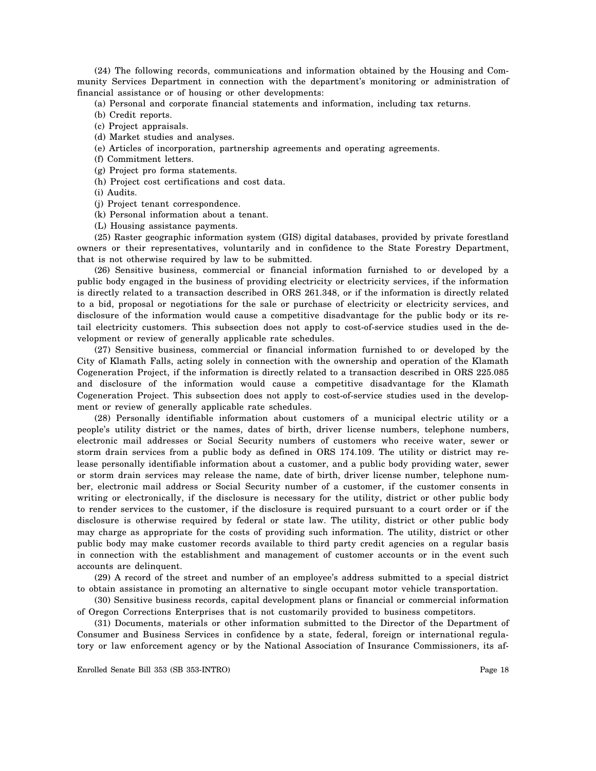(24) The following records, communications and information obtained by the Housing and Community Services Department in connection with the department's monitoring or administration of financial assistance or of housing or other developments:

(a) Personal and corporate financial statements and information, including tax returns.

- (b) Credit reports.
- (c) Project appraisals.
- (d) Market studies and analyses.
- (e) Articles of incorporation, partnership agreements and operating agreements.
- (f) Commitment letters.
- (g) Project pro forma statements.
- (h) Project cost certifications and cost data.

(i) Audits.

- (j) Project tenant correspondence.
- (k) Personal information about a tenant.
- (L) Housing assistance payments.

(25) Raster geographic information system (GIS) digital databases, provided by private forestland owners or their representatives, voluntarily and in confidence to the State Forestry Department, that is not otherwise required by law to be submitted.

(26) Sensitive business, commercial or financial information furnished to or developed by a public body engaged in the business of providing electricity or electricity services, if the information is directly related to a transaction described in ORS 261.348, or if the information is directly related to a bid, proposal or negotiations for the sale or purchase of electricity or electricity services, and disclosure of the information would cause a competitive disadvantage for the public body or its retail electricity customers. This subsection does not apply to cost-of-service studies used in the development or review of generally applicable rate schedules.

(27) Sensitive business, commercial or financial information furnished to or developed by the City of Klamath Falls, acting solely in connection with the ownership and operation of the Klamath Cogeneration Project, if the information is directly related to a transaction described in ORS 225.085 and disclosure of the information would cause a competitive disadvantage for the Klamath Cogeneration Project. This subsection does not apply to cost-of-service studies used in the development or review of generally applicable rate schedules.

(28) Personally identifiable information about customers of a municipal electric utility or a people's utility district or the names, dates of birth, driver license numbers, telephone numbers, electronic mail addresses or Social Security numbers of customers who receive water, sewer or storm drain services from a public body as defined in ORS 174.109. The utility or district may release personally identifiable information about a customer, and a public body providing water, sewer or storm drain services may release the name, date of birth, driver license number, telephone number, electronic mail address or Social Security number of a customer, if the customer consents in writing or electronically, if the disclosure is necessary for the utility, district or other public body to render services to the customer, if the disclosure is required pursuant to a court order or if the disclosure is otherwise required by federal or state law. The utility, district or other public body may charge as appropriate for the costs of providing such information. The utility, district or other public body may make customer records available to third party credit agencies on a regular basis in connection with the establishment and management of customer accounts or in the event such accounts are delinquent.

(29) A record of the street and number of an employee's address submitted to a special district to obtain assistance in promoting an alternative to single occupant motor vehicle transportation.

(30) Sensitive business records, capital development plans or financial or commercial information of Oregon Corrections Enterprises that is not customarily provided to business competitors.

(31) Documents, materials or other information submitted to the Director of the Department of Consumer and Business Services in confidence by a state, federal, foreign or international regulatory or law enforcement agency or by the National Association of Insurance Commissioners, its af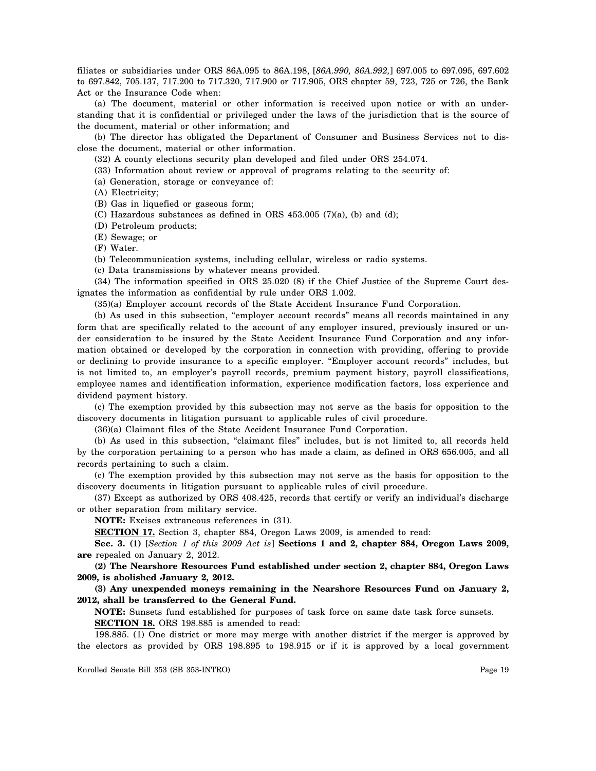filiates or subsidiaries under ORS 86A.095 to 86A.198, [*86A.990, 86A.992,*] 697.005 to 697.095, 697.602 to 697.842, 705.137, 717.200 to 717.320, 717.900 or 717.905, ORS chapter 59, 723, 725 or 726, the Bank Act or the Insurance Code when:

(a) The document, material or other information is received upon notice or with an understanding that it is confidential or privileged under the laws of the jurisdiction that is the source of the document, material or other information; and

(b) The director has obligated the Department of Consumer and Business Services not to disclose the document, material or other information.

(32) A county elections security plan developed and filed under ORS 254.074.

(33) Information about review or approval of programs relating to the security of:

(a) Generation, storage or conveyance of:

(A) Electricity;

(B) Gas in liquefied or gaseous form;

(C) Hazardous substances as defined in ORS 453.005 (7)(a), (b) and (d);

(D) Petroleum products;

(E) Sewage; or

(F) Water.

(b) Telecommunication systems, including cellular, wireless or radio systems.

(c) Data transmissions by whatever means provided.

(34) The information specified in ORS 25.020 (8) if the Chief Justice of the Supreme Court designates the information as confidential by rule under ORS 1.002.

(35)(a) Employer account records of the State Accident Insurance Fund Corporation.

(b) As used in this subsection, "employer account records" means all records maintained in any form that are specifically related to the account of any employer insured, previously insured or under consideration to be insured by the State Accident Insurance Fund Corporation and any information obtained or developed by the corporation in connection with providing, offering to provide or declining to provide insurance to a specific employer. "Employer account records" includes, but is not limited to, an employer's payroll records, premium payment history, payroll classifications, employee names and identification information, experience modification factors, loss experience and dividend payment history.

(c) The exemption provided by this subsection may not serve as the basis for opposition to the discovery documents in litigation pursuant to applicable rules of civil procedure.

(36)(a) Claimant files of the State Accident Insurance Fund Corporation.

(b) As used in this subsection, "claimant files" includes, but is not limited to, all records held by the corporation pertaining to a person who has made a claim, as defined in ORS 656.005, and all records pertaining to such a claim.

(c) The exemption provided by this subsection may not serve as the basis for opposition to the discovery documents in litigation pursuant to applicable rules of civil procedure.

(37) Except as authorized by ORS 408.425, records that certify or verify an individual's discharge or other separation from military service.

**NOTE:** Excises extraneous references in (31).

**SECTION 17.** Section 3, chapter 884, Oregon Laws 2009, is amended to read:

**Sec. 3. (1)** [*Section 1 of this 2009 Act is*] **Sections 1 and 2, chapter 884, Oregon Laws 2009, are** repealed on January 2, 2012.

**(2) The Nearshore Resources Fund established under section 2, chapter 884, Oregon Laws 2009, is abolished January 2, 2012.** 

**(3) Any unexpended moneys remaining in the Nearshore Resources Fund on January 2, 2012, shall be transferred to the General Fund.** 

**NOTE:** Sunsets fund established for purposes of task force on same date task force sunsets. **SECTION 18.** ORS 198.885 is amended to read:

198.885. (1) One district or more may merge with another district if the merger is approved by the electors as provided by ORS 198.895 to 198.915 or if it is approved by a local government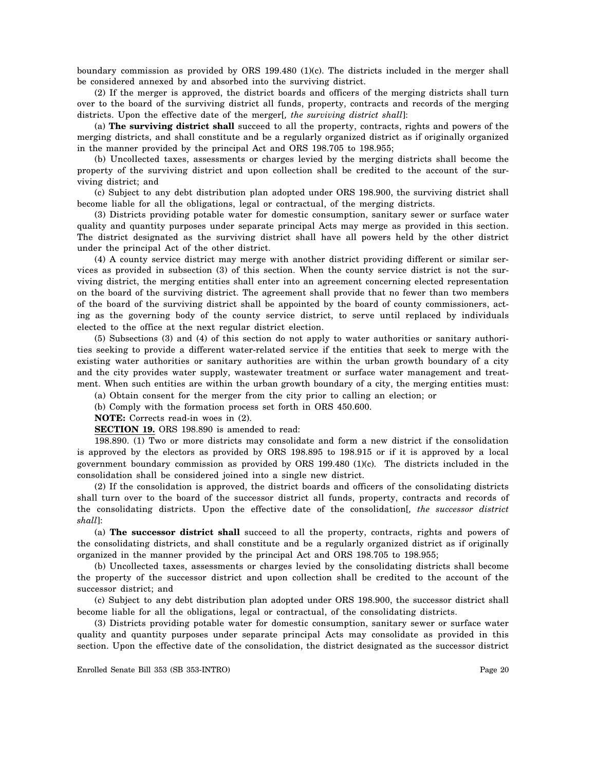boundary commission as provided by ORS 199.480 (1)(c). The districts included in the merger shall be considered annexed by and absorbed into the surviving district.

(2) If the merger is approved, the district boards and officers of the merging districts shall turn over to the board of the surviving district all funds, property, contracts and records of the merging districts. Upon the effective date of the merger[*, the surviving district shall*]:

(a) **The surviving district shall** succeed to all the property, contracts, rights and powers of the merging districts, and shall constitute and be a regularly organized district as if originally organized in the manner provided by the principal Act and ORS 198.705 to 198.955;

(b) Uncollected taxes, assessments or charges levied by the merging districts shall become the property of the surviving district and upon collection shall be credited to the account of the surviving district; and

(c) Subject to any debt distribution plan adopted under ORS 198.900, the surviving district shall become liable for all the obligations, legal or contractual, of the merging districts.

(3) Districts providing potable water for domestic consumption, sanitary sewer or surface water quality and quantity purposes under separate principal Acts may merge as provided in this section. The district designated as the surviving district shall have all powers held by the other district under the principal Act of the other district.

(4) A county service district may merge with another district providing different or similar services as provided in subsection (3) of this section. When the county service district is not the surviving district, the merging entities shall enter into an agreement concerning elected representation on the board of the surviving district. The agreement shall provide that no fewer than two members of the board of the surviving district shall be appointed by the board of county commissioners, acting as the governing body of the county service district, to serve until replaced by individuals elected to the office at the next regular district election.

(5) Subsections (3) and (4) of this section do not apply to water authorities or sanitary authorities seeking to provide a different water-related service if the entities that seek to merge with the existing water authorities or sanitary authorities are within the urban growth boundary of a city and the city provides water supply, wastewater treatment or surface water management and treatment. When such entities are within the urban growth boundary of a city, the merging entities must:

(a) Obtain consent for the merger from the city prior to calling an election; or

(b) Comply with the formation process set forth in ORS 450.600.

**NOTE:** Corrects read-in woes in (2).

**SECTION 19.** ORS 198.890 is amended to read:

198.890. (1) Two or more districts may consolidate and form a new district if the consolidation is approved by the electors as provided by ORS 198.895 to 198.915 or if it is approved by a local government boundary commission as provided by ORS 199.480 (1)(c). The districts included in the consolidation shall be considered joined into a single new district.

(2) If the consolidation is approved, the district boards and officers of the consolidating districts shall turn over to the board of the successor district all funds, property, contracts and records of the consolidating districts. Upon the effective date of the consolidation[*, the successor district shall*]:

(a) **The successor district shall** succeed to all the property, contracts, rights and powers of the consolidating districts, and shall constitute and be a regularly organized district as if originally organized in the manner provided by the principal Act and ORS 198.705 to 198.955;

(b) Uncollected taxes, assessments or charges levied by the consolidating districts shall become the property of the successor district and upon collection shall be credited to the account of the successor district; and

(c) Subject to any debt distribution plan adopted under ORS 198.900, the successor district shall become liable for all the obligations, legal or contractual, of the consolidating districts.

(3) Districts providing potable water for domestic consumption, sanitary sewer or surface water quality and quantity purposes under separate principal Acts may consolidate as provided in this section. Upon the effective date of the consolidation, the district designated as the successor district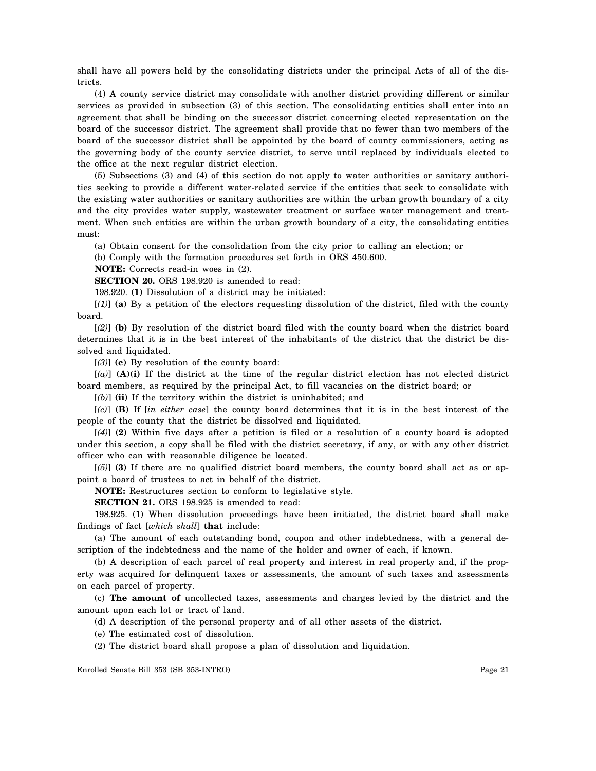shall have all powers held by the consolidating districts under the principal Acts of all of the districts.

(4) A county service district may consolidate with another district providing different or similar services as provided in subsection (3) of this section. The consolidating entities shall enter into an agreement that shall be binding on the successor district concerning elected representation on the board of the successor district. The agreement shall provide that no fewer than two members of the board of the successor district shall be appointed by the board of county commissioners, acting as the governing body of the county service district, to serve until replaced by individuals elected to the office at the next regular district election.

(5) Subsections (3) and (4) of this section do not apply to water authorities or sanitary authorities seeking to provide a different water-related service if the entities that seek to consolidate with the existing water authorities or sanitary authorities are within the urban growth boundary of a city and the city provides water supply, wastewater treatment or surface water management and treatment. When such entities are within the urban growth boundary of a city, the consolidating entities must:

(a) Obtain consent for the consolidation from the city prior to calling an election; or

(b) Comply with the formation procedures set forth in ORS 450.600.

**NOTE:** Corrects read-in woes in (2).

**SECTION 20.** ORS 198.920 is amended to read:

198.920. **(1)** Dissolution of a district may be initiated:

[*(1)*] **(a)** By a petition of the electors requesting dissolution of the district, filed with the county board.

[*(2)*] **(b)** By resolution of the district board filed with the county board when the district board determines that it is in the best interest of the inhabitants of the district that the district be dissolved and liquidated.

[*(3)*] **(c)** By resolution of the county board:

[*(a)*] **(A)(i)** If the district at the time of the regular district election has not elected district board members, as required by the principal Act, to fill vacancies on the district board; or

[*(b)*] **(ii)** If the territory within the district is uninhabited; and

[*(c)*] **(B)** If [*in either case*] the county board determines that it is in the best interest of the people of the county that the district be dissolved and liquidated.

[*(4)*] **(2)** Within five days after a petition is filed or a resolution of a county board is adopted under this section, a copy shall be filed with the district secretary, if any, or with any other district officer who can with reasonable diligence be located.

[*(5)*] **(3)** If there are no qualified district board members, the county board shall act as or appoint a board of trustees to act in behalf of the district.

**NOTE:** Restructures section to conform to legislative style.

**SECTION 21.** ORS 198.925 is amended to read:

198.925. (1) When dissolution proceedings have been initiated, the district board shall make findings of fact [*which shall*] **that** include:

(a) The amount of each outstanding bond, coupon and other indebtedness, with a general description of the indebtedness and the name of the holder and owner of each, if known.

(b) A description of each parcel of real property and interest in real property and, if the property was acquired for delinquent taxes or assessments, the amount of such taxes and assessments on each parcel of property.

(c) **The amount of** uncollected taxes, assessments and charges levied by the district and the amount upon each lot or tract of land.

(d) A description of the personal property and of all other assets of the district.

(e) The estimated cost of dissolution.

(2) The district board shall propose a plan of dissolution and liquidation.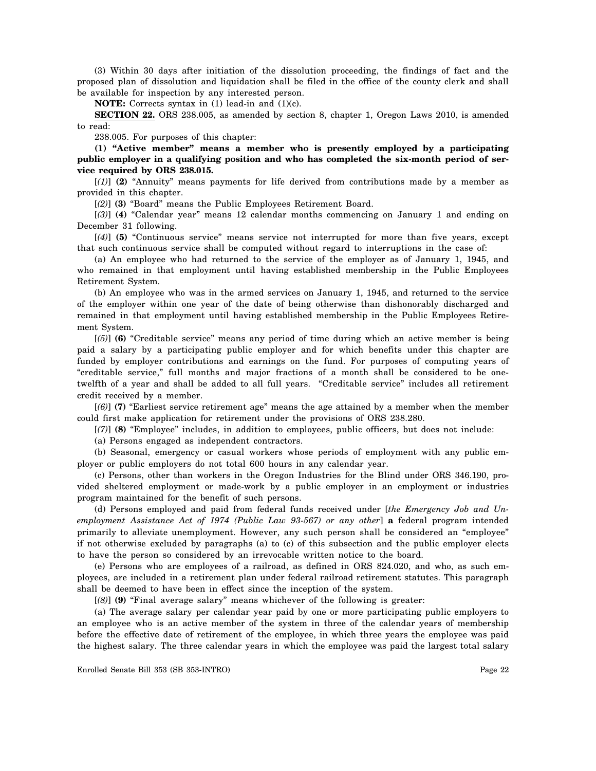(3) Within 30 days after initiation of the dissolution proceeding, the findings of fact and the proposed plan of dissolution and liquidation shall be filed in the office of the county clerk and shall be available for inspection by any interested person.

**NOTE:** Corrects syntax in (1) lead-in and (1)(c).

**SECTION 22.** ORS 238.005, as amended by section 8, chapter 1, Oregon Laws 2010, is amended to read:

238.005. For purposes of this chapter:

**(1) "Active member" means a member who is presently employed by a participating public employer in a qualifying position and who has completed the six-month period of service required by ORS 238.015.** 

[*(1)*] **(2)** "Annuity" means payments for life derived from contributions made by a member as provided in this chapter.

[*(2)*] **(3)** "Board" means the Public Employees Retirement Board.

[*(3)*] **(4)** "Calendar year" means 12 calendar months commencing on January 1 and ending on December 31 following.

[*(4)*] **(5)** "Continuous service" means service not interrupted for more than five years, except that such continuous service shall be computed without regard to interruptions in the case of:

(a) An employee who had returned to the service of the employer as of January 1, 1945, and who remained in that employment until having established membership in the Public Employees Retirement System.

(b) An employee who was in the armed services on January 1, 1945, and returned to the service of the employer within one year of the date of being otherwise than dishonorably discharged and remained in that employment until having established membership in the Public Employees Retirement System.

[*(5)*] **(6)** "Creditable service" means any period of time during which an active member is being paid a salary by a participating public employer and for which benefits under this chapter are funded by employer contributions and earnings on the fund. For purposes of computing years of "creditable service," full months and major fractions of a month shall be considered to be onetwelfth of a year and shall be added to all full years. "Creditable service" includes all retirement credit received by a member.

[*(6)*] **(7)** "Earliest service retirement age" means the age attained by a member when the member could first make application for retirement under the provisions of ORS 238.280.

[*(7)*] **(8)** "Employee" includes, in addition to employees, public officers, but does not include:

(a) Persons engaged as independent contractors.

(b) Seasonal, emergency or casual workers whose periods of employment with any public employer or public employers do not total 600 hours in any calendar year.

(c) Persons, other than workers in the Oregon Industries for the Blind under ORS 346.190, provided sheltered employment or made-work by a public employer in an employment or industries program maintained for the benefit of such persons.

(d) Persons employed and paid from federal funds received under [*the Emergency Job and Unemployment Assistance Act of 1974 (Public Law 93-567) or any other*] **a** federal program intended primarily to alleviate unemployment. However, any such person shall be considered an "employee" if not otherwise excluded by paragraphs (a) to (c) of this subsection and the public employer elects to have the person so considered by an irrevocable written notice to the board.

(e) Persons who are employees of a railroad, as defined in ORS 824.020, and who, as such employees, are included in a retirement plan under federal railroad retirement statutes. This paragraph shall be deemed to have been in effect since the inception of the system.

[*(8)*] **(9)** "Final average salary" means whichever of the following is greater:

(a) The average salary per calendar year paid by one or more participating public employers to an employee who is an active member of the system in three of the calendar years of membership before the effective date of retirement of the employee, in which three years the employee was paid the highest salary. The three calendar years in which the employee was paid the largest total salary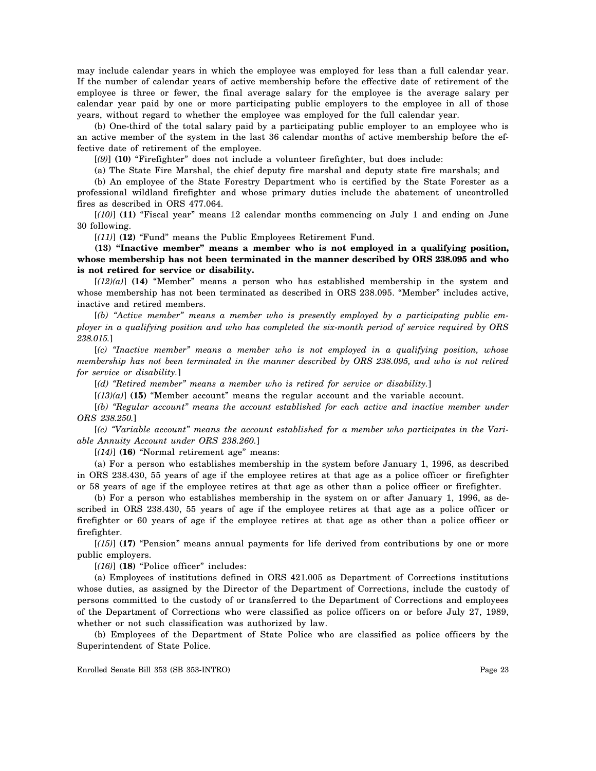may include calendar years in which the employee was employed for less than a full calendar year. If the number of calendar years of active membership before the effective date of retirement of the employee is three or fewer, the final average salary for the employee is the average salary per calendar year paid by one or more participating public employers to the employee in all of those years, without regard to whether the employee was employed for the full calendar year.

(b) One-third of the total salary paid by a participating public employer to an employee who is an active member of the system in the last 36 calendar months of active membership before the effective date of retirement of the employee.

[*(9)*] **(10)** "Firefighter" does not include a volunteer firefighter, but does include:

(a) The State Fire Marshal, the chief deputy fire marshal and deputy state fire marshals; and (b) An employee of the State Forestry Department who is certified by the State Forester as a professional wildland firefighter and whose primary duties include the abatement of uncontrolled fires as described in ORS 477.064.

[*(10)*] **(11)** "Fiscal year" means 12 calendar months commencing on July 1 and ending on June 30 following.

[*(11)*] **(12)** "Fund" means the Public Employees Retirement Fund.

**(13) "Inactive member" means a member who is not employed in a qualifying position, whose membership has not been terminated in the manner described by ORS 238.095 and who is not retired for service or disability.** 

[*(12)(a)*] **(14)** "Member" means a person who has established membership in the system and whose membership has not been terminated as described in ORS 238.095. "Member" includes active, inactive and retired members.

[*(b) "Active member" means a member who is presently employed by a participating public employer in a qualifying position and who has completed the six-month period of service required by ORS 238.015.*]

[*(c) "Inactive member" means a member who is not employed in a qualifying position, whose membership has not been terminated in the manner described by ORS 238.095, and who is not retired for service or disability.*]

[*(d) "Retired member" means a member who is retired for service or disability.*]

[*(13)(a)*] **(15)** "Member account" means the regular account and the variable account.

[*(b) "Regular account" means the account established for each active and inactive member under ORS 238.250.*]

[*(c) "Variable account" means the account established for a member who participates in the Variable Annuity Account under ORS 238.260.*]

[*(14)*] **(16)** "Normal retirement age" means:

(a) For a person who establishes membership in the system before January 1, 1996, as described in ORS 238.430, 55 years of age if the employee retires at that age as a police officer or firefighter or 58 years of age if the employee retires at that age as other than a police officer or firefighter.

(b) For a person who establishes membership in the system on or after January 1, 1996, as described in ORS 238.430, 55 years of age if the employee retires at that age as a police officer or firefighter or 60 years of age if the employee retires at that age as other than a police officer or firefighter.

[*(15)*] **(17)** "Pension" means annual payments for life derived from contributions by one or more public employers.

[*(16)*] **(18)** "Police officer" includes:

(a) Employees of institutions defined in ORS 421.005 as Department of Corrections institutions whose duties, as assigned by the Director of the Department of Corrections, include the custody of persons committed to the custody of or transferred to the Department of Corrections and employees of the Department of Corrections who were classified as police officers on or before July 27, 1989, whether or not such classification was authorized by law.

(b) Employees of the Department of State Police who are classified as police officers by the Superintendent of State Police.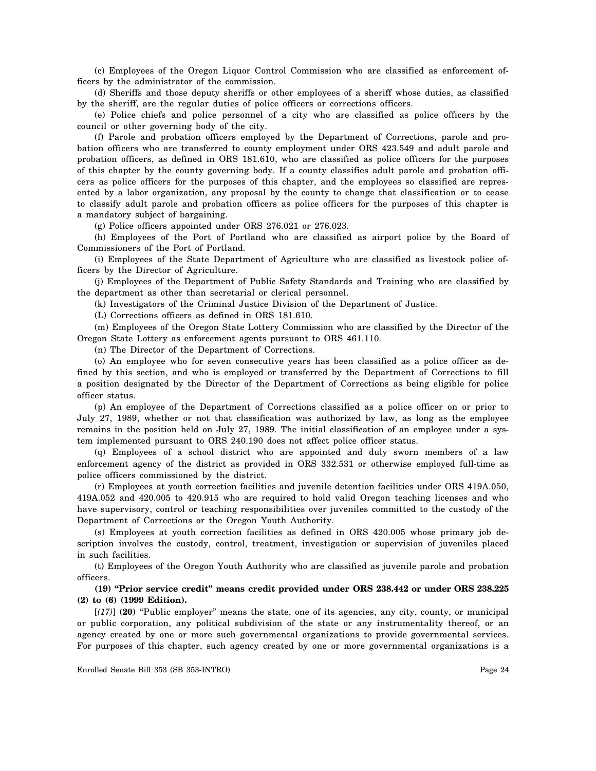(c) Employees of the Oregon Liquor Control Commission who are classified as enforcement officers by the administrator of the commission.

(d) Sheriffs and those deputy sheriffs or other employees of a sheriff whose duties, as classified by the sheriff, are the regular duties of police officers or corrections officers.

(e) Police chiefs and police personnel of a city who are classified as police officers by the council or other governing body of the city.

(f) Parole and probation officers employed by the Department of Corrections, parole and probation officers who are transferred to county employment under ORS 423.549 and adult parole and probation officers, as defined in ORS 181.610, who are classified as police officers for the purposes of this chapter by the county governing body. If a county classifies adult parole and probation officers as police officers for the purposes of this chapter, and the employees so classified are represented by a labor organization, any proposal by the county to change that classification or to cease to classify adult parole and probation officers as police officers for the purposes of this chapter is a mandatory subject of bargaining.

(g) Police officers appointed under ORS 276.021 or 276.023.

(h) Employees of the Port of Portland who are classified as airport police by the Board of Commissioners of the Port of Portland.

(i) Employees of the State Department of Agriculture who are classified as livestock police officers by the Director of Agriculture.

(j) Employees of the Department of Public Safety Standards and Training who are classified by the department as other than secretarial or clerical personnel.

(k) Investigators of the Criminal Justice Division of the Department of Justice.

(L) Corrections officers as defined in ORS 181.610.

(m) Employees of the Oregon State Lottery Commission who are classified by the Director of the Oregon State Lottery as enforcement agents pursuant to ORS 461.110.

(n) The Director of the Department of Corrections.

(o) An employee who for seven consecutive years has been classified as a police officer as defined by this section, and who is employed or transferred by the Department of Corrections to fill a position designated by the Director of the Department of Corrections as being eligible for police officer status.

(p) An employee of the Department of Corrections classified as a police officer on or prior to July 27, 1989, whether or not that classification was authorized by law, as long as the employee remains in the position held on July 27, 1989. The initial classification of an employee under a system implemented pursuant to ORS 240.190 does not affect police officer status.

(q) Employees of a school district who are appointed and duly sworn members of a law enforcement agency of the district as provided in ORS 332.531 or otherwise employed full-time as police officers commissioned by the district.

(r) Employees at youth correction facilities and juvenile detention facilities under ORS 419A.050, 419A.052 and 420.005 to 420.915 who are required to hold valid Oregon teaching licenses and who have supervisory, control or teaching responsibilities over juveniles committed to the custody of the Department of Corrections or the Oregon Youth Authority.

(s) Employees at youth correction facilities as defined in ORS 420.005 whose primary job description involves the custody, control, treatment, investigation or supervision of juveniles placed in such facilities.

(t) Employees of the Oregon Youth Authority who are classified as juvenile parole and probation officers.

# **(19) "Prior service credit" means credit provided under ORS 238.442 or under ORS 238.225 (2) to (6) (1999 Edition).**

[*(17)*] **(20)** "Public employer" means the state, one of its agencies, any city, county, or municipal or public corporation, any political subdivision of the state or any instrumentality thereof, or an agency created by one or more such governmental organizations to provide governmental services. For purposes of this chapter, such agency created by one or more governmental organizations is a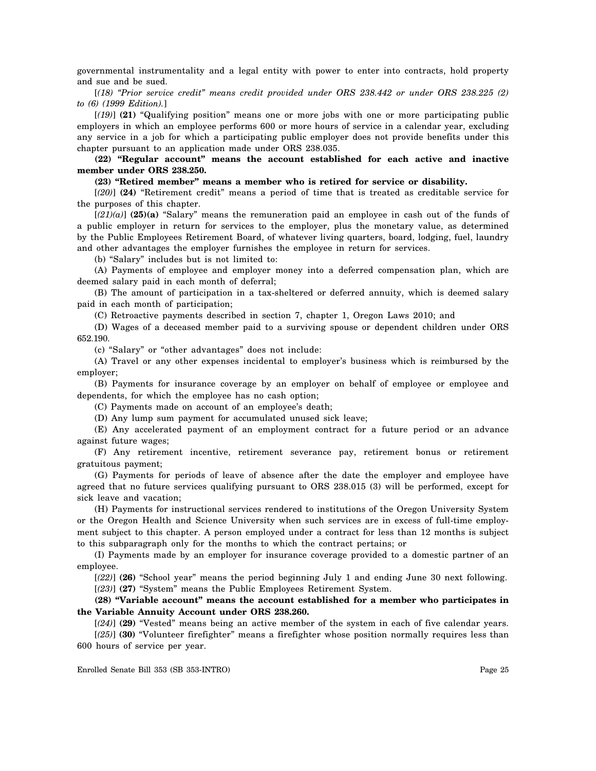governmental instrumentality and a legal entity with power to enter into contracts, hold property and sue and be sued.

[*(18) "Prior service credit" means credit provided under ORS 238.442 or under ORS 238.225 (2) to (6) (1999 Edition).*]

[*(19)*] **(21)** "Qualifying position" means one or more jobs with one or more participating public employers in which an employee performs 600 or more hours of service in a calendar year, excluding any service in a job for which a participating public employer does not provide benefits under this chapter pursuant to an application made under ORS 238.035.

**(22) "Regular account" means the account established for each active and inactive member under ORS 238.250.** 

#### **(23) "Retired member" means a member who is retired for service or disability.**

[*(20)*] **(24)** "Retirement credit" means a period of time that is treated as creditable service for the purposes of this chapter.

 $[(21)(a)]$  (25)(a) "Salary" means the remuneration paid an employee in cash out of the funds of a public employer in return for services to the employer, plus the monetary value, as determined by the Public Employees Retirement Board, of whatever living quarters, board, lodging, fuel, laundry and other advantages the employer furnishes the employee in return for services.

(b) "Salary" includes but is not limited to:

(A) Payments of employee and employer money into a deferred compensation plan, which are deemed salary paid in each month of deferral;

(B) The amount of participation in a tax-sheltered or deferred annuity, which is deemed salary paid in each month of participation;

(C) Retroactive payments described in section 7, chapter 1, Oregon Laws 2010; and

(D) Wages of a deceased member paid to a surviving spouse or dependent children under ORS 652.190.

(c) "Salary" or "other advantages" does not include:

(A) Travel or any other expenses incidental to employer's business which is reimbursed by the employer;

(B) Payments for insurance coverage by an employer on behalf of employee or employee and dependents, for which the employee has no cash option;

(C) Payments made on account of an employee's death;

(D) Any lump sum payment for accumulated unused sick leave;

(E) Any accelerated payment of an employment contract for a future period or an advance against future wages;

(F) Any retirement incentive, retirement severance pay, retirement bonus or retirement gratuitous payment;

(G) Payments for periods of leave of absence after the date the employer and employee have agreed that no future services qualifying pursuant to ORS 238.015 (3) will be performed, except for sick leave and vacation;

(H) Payments for instructional services rendered to institutions of the Oregon University System or the Oregon Health and Science University when such services are in excess of full-time employment subject to this chapter. A person employed under a contract for less than 12 months is subject to this subparagraph only for the months to which the contract pertains; or

(I) Payments made by an employer for insurance coverage provided to a domestic partner of an employee.

[*(22)*] **(26)** "School year" means the period beginning July 1 and ending June 30 next following. [*(23)*] **(27)** "System" means the Public Employees Retirement System.

# **(28) "Variable account" means the account established for a member who participates in the Variable Annuity Account under ORS 238.260.**

[*(24)*] **(29)** "Vested" means being an active member of the system in each of five calendar years. [*(25)*] **(30)** "Volunteer firefighter" means a firefighter whose position normally requires less than 600 hours of service per year.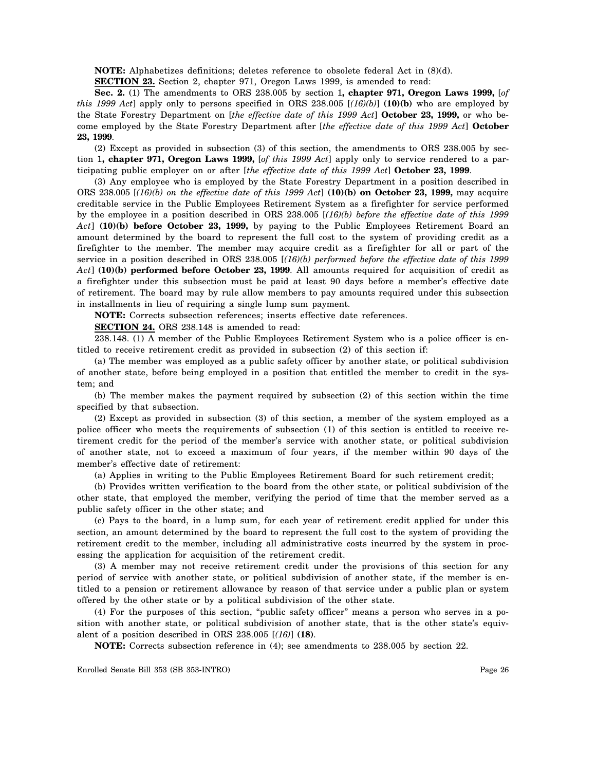**NOTE:** Alphabetizes definitions; deletes reference to obsolete federal Act in (8)(d).

**SECTION 23.** Section 2, chapter 971, Oregon Laws 1999, is amended to read:

**Sec. 2.** (1) The amendments to ORS 238.005 by section 1**, chapter 971, Oregon Laws 1999,** [*of this 1999 Act*] apply only to persons specified in ORS 238.005 [*(16)(b)*] **(10)(b)** who are employed by the State Forestry Department on [*the effective date of this 1999 Act*] **October 23, 1999,** or who become employed by the State Forestry Department after [*the effective date of this 1999 Act*] **October 23, 1999**.

(2) Except as provided in subsection (3) of this section, the amendments to ORS 238.005 by section 1**, chapter 971, Oregon Laws 1999,** [*of this 1999 Act*] apply only to service rendered to a participating public employer on or after [*the effective date of this 1999 Act*] **October 23, 1999**.

(3) Any employee who is employed by the State Forestry Department in a position described in ORS 238.005 [*(16)(b) on the effective date of this 1999 Act*] **(10)(b) on October 23, 1999,** may acquire creditable service in the Public Employees Retirement System as a firefighter for service performed by the employee in a position described in ORS 238.005 [*(16)(b) before the effective date of this 1999 Act*] **(10)(b) before October 23, 1999,** by paying to the Public Employees Retirement Board an amount determined by the board to represent the full cost to the system of providing credit as a firefighter to the member. The member may acquire credit as a firefighter for all or part of the service in a position described in ORS 238.005 [*(16)(b) performed before the effective date of this 1999 Act*] **(10)(b) performed before October 23, 1999**. All amounts required for acquisition of credit as a firefighter under this subsection must be paid at least 90 days before a member's effective date of retirement. The board may by rule allow members to pay amounts required under this subsection in installments in lieu of requiring a single lump sum payment.

**NOTE:** Corrects subsection references; inserts effective date references.

**SECTION 24.** ORS 238.148 is amended to read:

238.148. (1) A member of the Public Employees Retirement System who is a police officer is entitled to receive retirement credit as provided in subsection (2) of this section if:

(a) The member was employed as a public safety officer by another state, or political subdivision of another state, before being employed in a position that entitled the member to credit in the system; and

(b) The member makes the payment required by subsection (2) of this section within the time specified by that subsection.

(2) Except as provided in subsection (3) of this section, a member of the system employed as a police officer who meets the requirements of subsection (1) of this section is entitled to receive retirement credit for the period of the member's service with another state, or political subdivision of another state, not to exceed a maximum of four years, if the member within 90 days of the member's effective date of retirement:

(a) Applies in writing to the Public Employees Retirement Board for such retirement credit;

(b) Provides written verification to the board from the other state, or political subdivision of the other state, that employed the member, verifying the period of time that the member served as a public safety officer in the other state; and

(c) Pays to the board, in a lump sum, for each year of retirement credit applied for under this section, an amount determined by the board to represent the full cost to the system of providing the retirement credit to the member, including all administrative costs incurred by the system in processing the application for acquisition of the retirement credit.

(3) A member may not receive retirement credit under the provisions of this section for any period of service with another state, or political subdivision of another state, if the member is entitled to a pension or retirement allowance by reason of that service under a public plan or system offered by the other state or by a political subdivision of the other state.

(4) For the purposes of this section, "public safety officer" means a person who serves in a position with another state, or political subdivision of another state, that is the other state's equivalent of a position described in ORS 238.005 [*(16)*] **(18)**.

**NOTE:** Corrects subsection reference in (4); see amendments to 238.005 by section 22.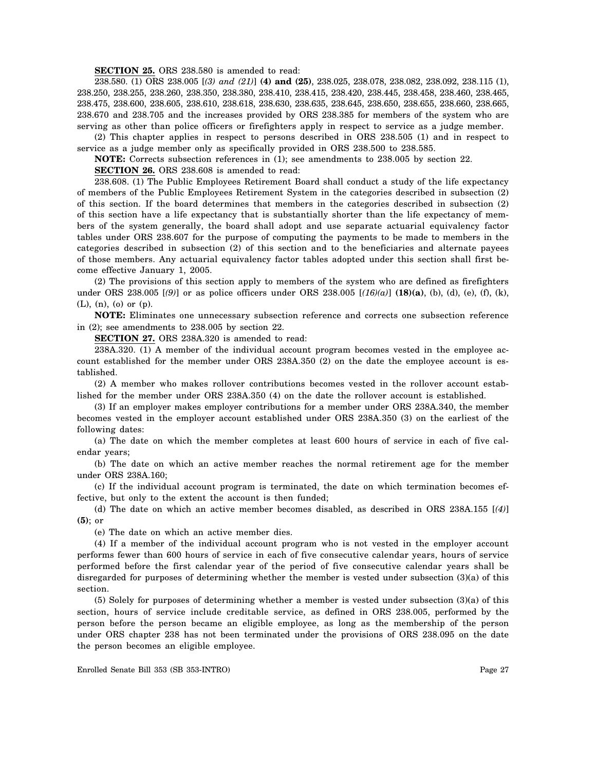**SECTION 25.** ORS 238.580 is amended to read:

238.580. (1) ORS 238.005 [*(3) and (21)*] **(4) and (25)**, 238.025, 238.078, 238.082, 238.092, 238.115 (1), 238.250, 238.255, 238.260, 238.350, 238.380, 238.410, 238.415, 238.420, 238.445, 238.458, 238.460, 238.465, 238.475, 238.600, 238.605, 238.610, 238.618, 238.630, 238.635, 238.645, 238.650, 238.655, 238.660, 238.665, 238.670 and 238.705 and the increases provided by ORS 238.385 for members of the system who are serving as other than police officers or firefighters apply in respect to service as a judge member.

(2) This chapter applies in respect to persons described in ORS 238.505 (1) and in respect to service as a judge member only as specifically provided in ORS 238.500 to 238.585.

**NOTE:** Corrects subsection references in (1); see amendments to 238.005 by section 22.

**SECTION 26.** ORS 238.608 is amended to read:

238.608. (1) The Public Employees Retirement Board shall conduct a study of the life expectancy of members of the Public Employees Retirement System in the categories described in subsection (2) of this section. If the board determines that members in the categories described in subsection (2) of this section have a life expectancy that is substantially shorter than the life expectancy of members of the system generally, the board shall adopt and use separate actuarial equivalency factor tables under ORS 238.607 for the purpose of computing the payments to be made to members in the categories described in subsection (2) of this section and to the beneficiaries and alternate payees of those members. Any actuarial equivalency factor tables adopted under this section shall first become effective January 1, 2005.

(2) The provisions of this section apply to members of the system who are defined as firefighters under ORS 238.005 [*(9)*] or as police officers under ORS 238.005 [*(16)(a)*] **(18)(a)**, (b), (d), (e), (f), (k), (L), (n), (o) or (p).

**NOTE:** Eliminates one unnecessary subsection reference and corrects one subsection reference in (2); see amendments to 238.005 by section 22.

**SECTION 27.** ORS 238A.320 is amended to read:

238A.320. (1) A member of the individual account program becomes vested in the employee account established for the member under ORS 238A.350 (2) on the date the employee account is established.

(2) A member who makes rollover contributions becomes vested in the rollover account established for the member under ORS 238A.350 (4) on the date the rollover account is established.

(3) If an employer makes employer contributions for a member under ORS 238A.340, the member becomes vested in the employer account established under ORS 238A.350 (3) on the earliest of the following dates:

(a) The date on which the member completes at least 600 hours of service in each of five calendar years;

(b) The date on which an active member reaches the normal retirement age for the member under ORS 238A.160;

(c) If the individual account program is terminated, the date on which termination becomes effective, but only to the extent the account is then funded;

(d) The date on which an active member becomes disabled, as described in ORS 238A.155 [*(4)*] **(5)**; or

(e) The date on which an active member dies.

(4) If a member of the individual account program who is not vested in the employer account performs fewer than 600 hours of service in each of five consecutive calendar years, hours of service performed before the first calendar year of the period of five consecutive calendar years shall be disregarded for purposes of determining whether the member is vested under subsection (3)(a) of this section.

(5) Solely for purposes of determining whether a member is vested under subsection (3)(a) of this section, hours of service include creditable service, as defined in ORS 238.005, performed by the person before the person became an eligible employee, as long as the membership of the person under ORS chapter 238 has not been terminated under the provisions of ORS 238.095 on the date the person becomes an eligible employee.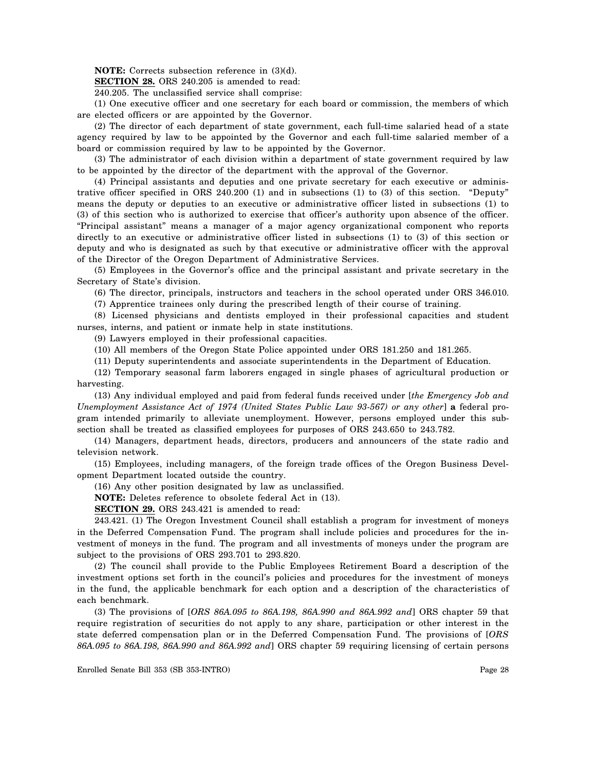**NOTE:** Corrects subsection reference in (3)(d).

**SECTION 28.** ORS 240.205 is amended to read:

240.205. The unclassified service shall comprise:

(1) One executive officer and one secretary for each board or commission, the members of which are elected officers or are appointed by the Governor.

(2) The director of each department of state government, each full-time salaried head of a state agency required by law to be appointed by the Governor and each full-time salaried member of a board or commission required by law to be appointed by the Governor.

(3) The administrator of each division within a department of state government required by law to be appointed by the director of the department with the approval of the Governor.

(4) Principal assistants and deputies and one private secretary for each executive or administrative officer specified in ORS 240.200 (1) and in subsections (1) to (3) of this section. "Deputy" means the deputy or deputies to an executive or administrative officer listed in subsections (1) to (3) of this section who is authorized to exercise that officer's authority upon absence of the officer. "Principal assistant" means a manager of a major agency organizational component who reports directly to an executive or administrative officer listed in subsections (1) to (3) of this section or deputy and who is designated as such by that executive or administrative officer with the approval of the Director of the Oregon Department of Administrative Services.

(5) Employees in the Governor's office and the principal assistant and private secretary in the Secretary of State's division.

(6) The director, principals, instructors and teachers in the school operated under ORS 346.010.

(7) Apprentice trainees only during the prescribed length of their course of training.

(8) Licensed physicians and dentists employed in their professional capacities and student nurses, interns, and patient or inmate help in state institutions.

(9) Lawyers employed in their professional capacities.

(10) All members of the Oregon State Police appointed under ORS 181.250 and 181.265.

(11) Deputy superintendents and associate superintendents in the Department of Education.

(12) Temporary seasonal farm laborers engaged in single phases of agricultural production or harvesting.

(13) Any individual employed and paid from federal funds received under [*the Emergency Job and Unemployment Assistance Act of 1974 (United States Public Law 93-567) or any other*] **a** federal program intended primarily to alleviate unemployment. However, persons employed under this subsection shall be treated as classified employees for purposes of ORS 243.650 to 243.782.

(14) Managers, department heads, directors, producers and announcers of the state radio and television network.

(15) Employees, including managers, of the foreign trade offices of the Oregon Business Development Department located outside the country.

(16) Any other position designated by law as unclassified.

**NOTE:** Deletes reference to obsolete federal Act in (13).

**SECTION 29.** ORS 243.421 is amended to read:

243.421. (1) The Oregon Investment Council shall establish a program for investment of moneys in the Deferred Compensation Fund. The program shall include policies and procedures for the investment of moneys in the fund. The program and all investments of moneys under the program are subject to the provisions of ORS 293.701 to 293.820.

(2) The council shall provide to the Public Employees Retirement Board a description of the investment options set forth in the council's policies and procedures for the investment of moneys in the fund, the applicable benchmark for each option and a description of the characteristics of each benchmark.

(3) The provisions of [*ORS 86A.095 to 86A.198, 86A.990 and 86A.992 and*] ORS chapter 59 that require registration of securities do not apply to any share, participation or other interest in the state deferred compensation plan or in the Deferred Compensation Fund. The provisions of [*ORS 86A.095 to 86A.198, 86A.990 and 86A.992 and*] ORS chapter 59 requiring licensing of certain persons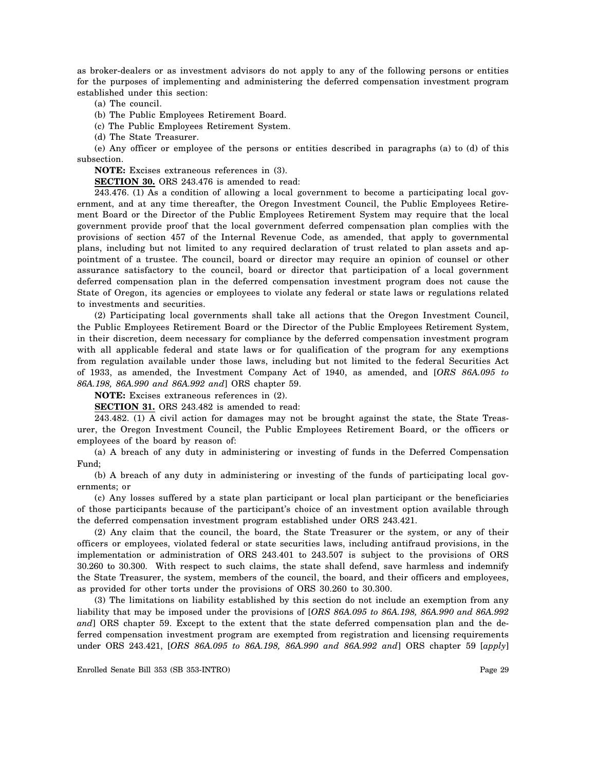as broker-dealers or as investment advisors do not apply to any of the following persons or entities for the purposes of implementing and administering the deferred compensation investment program established under this section:

(a) The council.

(b) The Public Employees Retirement Board.

(c) The Public Employees Retirement System.

(d) The State Treasurer.

(e) Any officer or employee of the persons or entities described in paragraphs (a) to (d) of this subsection.

**NOTE:** Excises extraneous references in (3).

**SECTION 30.** ORS 243.476 is amended to read:

243.476. (1) As a condition of allowing a local government to become a participating local government, and at any time thereafter, the Oregon Investment Council, the Public Employees Retirement Board or the Director of the Public Employees Retirement System may require that the local government provide proof that the local government deferred compensation plan complies with the provisions of section 457 of the Internal Revenue Code, as amended, that apply to governmental plans, including but not limited to any required declaration of trust related to plan assets and appointment of a trustee. The council, board or director may require an opinion of counsel or other assurance satisfactory to the council, board or director that participation of a local government deferred compensation plan in the deferred compensation investment program does not cause the State of Oregon, its agencies or employees to violate any federal or state laws or regulations related to investments and securities.

(2) Participating local governments shall take all actions that the Oregon Investment Council, the Public Employees Retirement Board or the Director of the Public Employees Retirement System, in their discretion, deem necessary for compliance by the deferred compensation investment program with all applicable federal and state laws or for qualification of the program for any exemptions from regulation available under those laws, including but not limited to the federal Securities Act of 1933, as amended, the Investment Company Act of 1940, as amended, and [*ORS 86A.095 to 86A.198, 86A.990 and 86A.992 and*] ORS chapter 59.

**NOTE:** Excises extraneous references in (2).

**SECTION 31.** ORS 243.482 is amended to read:

243.482. (1) A civil action for damages may not be brought against the state, the State Treasurer, the Oregon Investment Council, the Public Employees Retirement Board, or the officers or employees of the board by reason of:

(a) A breach of any duty in administering or investing of funds in the Deferred Compensation Fund;

(b) A breach of any duty in administering or investing of the funds of participating local governments; or

(c) Any losses suffered by a state plan participant or local plan participant or the beneficiaries of those participants because of the participant's choice of an investment option available through the deferred compensation investment program established under ORS 243.421.

(2) Any claim that the council, the board, the State Treasurer or the system, or any of their officers or employees, violated federal or state securities laws, including antifraud provisions, in the implementation or administration of ORS 243.401 to 243.507 is subject to the provisions of ORS 30.260 to 30.300. With respect to such claims, the state shall defend, save harmless and indemnify the State Treasurer, the system, members of the council, the board, and their officers and employees, as provided for other torts under the provisions of ORS 30.260 to 30.300.

(3) The limitations on liability established by this section do not include an exemption from any liability that may be imposed under the provisions of [*ORS 86A.095 to 86A.198, 86A.990 and 86A.992 and*] ORS chapter 59. Except to the extent that the state deferred compensation plan and the deferred compensation investment program are exempted from registration and licensing requirements under ORS 243.421, [*ORS 86A.095 to 86A.198, 86A.990 and 86A.992 and*] ORS chapter 59 [*apply*]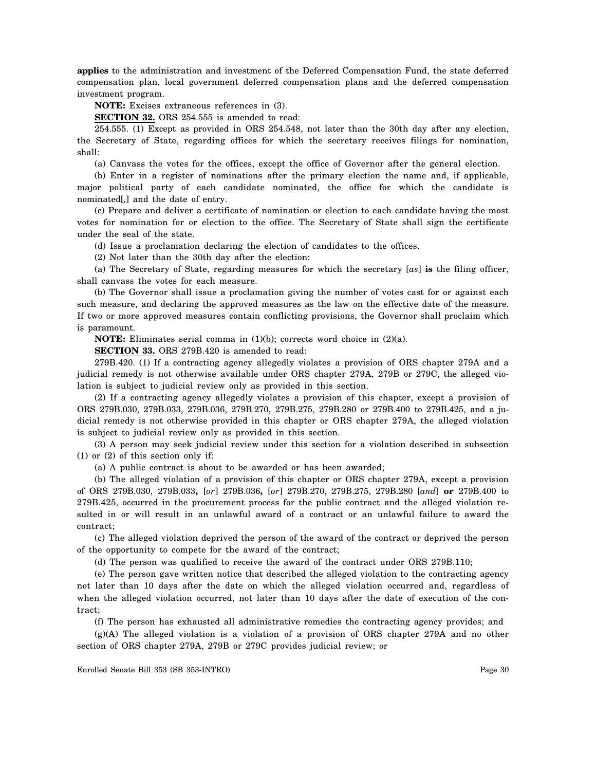**applies** to the administration and investment of the Deferred Compensation Fund, the state deferred compensation plan, local government deferred compensation plans and the deferred compensation investment program.

**NOTE:** Excises extraneous references in (3).

**SECTION 32.** ORS 254.555 is amended to read:

254.555. (1) Except as provided in ORS 254.548, not later than the 30th day after any election, the Secretary of State, regarding offices for which the secretary receives filings for nomination, shall:

(a) Canvass the votes for the offices, except the office of Governor after the general election.

(b) Enter in a register of nominations after the primary election the name and, if applicable, major political party of each candidate nominated, the office for which the candidate is nominated[*,*] and the date of entry.

(c) Prepare and deliver a certificate of nomination or election to each candidate having the most votes for nomination for or election to the office. The Secretary of State shall sign the certificate under the seal of the state.

(d) Issue a proclamation declaring the election of candidates to the offices.

(2) Not later than the 30th day after the election:

(a) The Secretary of State, regarding measures for which the secretary [*as*] **is** the filing officer, shall canvass the votes for each measure.

(b) The Governor shall issue a proclamation giving the number of votes cast for or against each such measure, and declaring the approved measures as the law on the effective date of the measure. If two or more approved measures contain conflicting provisions, the Governor shall proclaim which is paramount.

**NOTE:** Eliminates serial comma in (1)(b); corrects word choice in (2)(a).

**SECTION 33.** ORS 279B.420 is amended to read:

279B.420. (1) If a contracting agency allegedly violates a provision of ORS chapter 279A and a judicial remedy is not otherwise available under ORS chapter 279A, 279B or 279C, the alleged violation is subject to judicial review only as provided in this section.

(2) If a contracting agency allegedly violates a provision of this chapter, except a provision of ORS 279B.030, 279B.033, 279B.036, 279B.270, 279B.275, 279B.280 or 279B.400 to 279B.425, and a judicial remedy is not otherwise provided in this chapter or ORS chapter 279A, the alleged violation is subject to judicial review only as provided in this section.

(3) A person may seek judicial review under this section for a violation described in subsection (1) or (2) of this section only if:

(a) A public contract is about to be awarded or has been awarded;

(b) The alleged violation of a provision of this chapter or ORS chapter 279A, except a provision of ORS 279B.030, 279B.033**,** [*or*] 279B.036**,** [*or*] 279B.270, 279B.275, 279B.280 [*and*] **or** 279B.400 to 279B.425, occurred in the procurement process for the public contract and the alleged violation resulted in or will result in an unlawful award of a contract or an unlawful failure to award the contract;

(c) The alleged violation deprived the person of the award of the contract or deprived the person of the opportunity to compete for the award of the contract;

(d) The person was qualified to receive the award of the contract under ORS 279B.110;

(e) The person gave written notice that described the alleged violation to the contracting agency not later than 10 days after the date on which the alleged violation occurred and, regardless of when the alleged violation occurred, not later than 10 days after the date of execution of the contract;

(f) The person has exhausted all administrative remedies the contracting agency provides; and

(g)(A) The alleged violation is a violation of a provision of ORS chapter 279A and no other section of ORS chapter 279A, 279B or 279C provides judicial review; or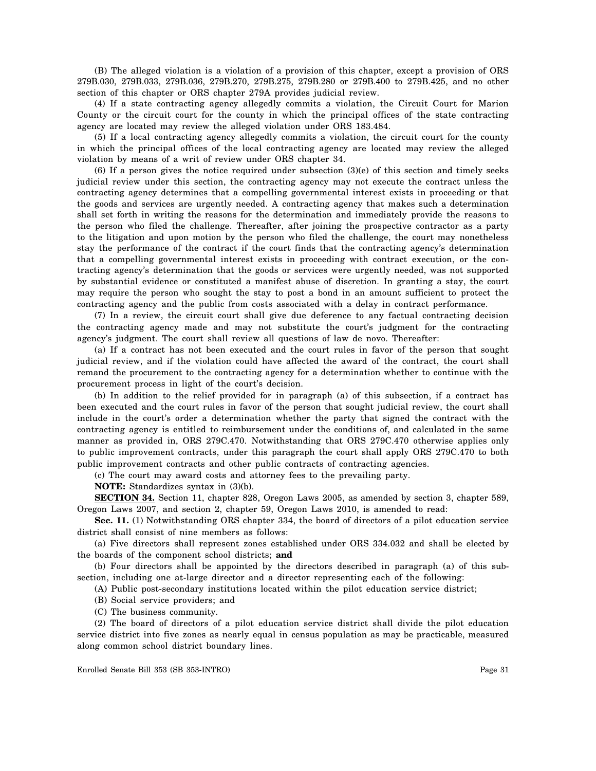(B) The alleged violation is a violation of a provision of this chapter, except a provision of ORS 279B.030, 279B.033, 279B.036, 279B.270, 279B.275, 279B.280 or 279B.400 to 279B.425, and no other section of this chapter or ORS chapter 279A provides judicial review.

(4) If a state contracting agency allegedly commits a violation, the Circuit Court for Marion County or the circuit court for the county in which the principal offices of the state contracting agency are located may review the alleged violation under ORS 183.484.

(5) If a local contracting agency allegedly commits a violation, the circuit court for the county in which the principal offices of the local contracting agency are located may review the alleged violation by means of a writ of review under ORS chapter 34.

(6) If a person gives the notice required under subsection (3)(e) of this section and timely seeks judicial review under this section, the contracting agency may not execute the contract unless the contracting agency determines that a compelling governmental interest exists in proceeding or that the goods and services are urgently needed. A contracting agency that makes such a determination shall set forth in writing the reasons for the determination and immediately provide the reasons to the person who filed the challenge. Thereafter, after joining the prospective contractor as a party to the litigation and upon motion by the person who filed the challenge, the court may nonetheless stay the performance of the contract if the court finds that the contracting agency's determination that a compelling governmental interest exists in proceeding with contract execution, or the contracting agency's determination that the goods or services were urgently needed, was not supported by substantial evidence or constituted a manifest abuse of discretion. In granting a stay, the court may require the person who sought the stay to post a bond in an amount sufficient to protect the contracting agency and the public from costs associated with a delay in contract performance.

(7) In a review, the circuit court shall give due deference to any factual contracting decision the contracting agency made and may not substitute the court's judgment for the contracting agency's judgment. The court shall review all questions of law de novo. Thereafter:

(a) If a contract has not been executed and the court rules in favor of the person that sought judicial review, and if the violation could have affected the award of the contract, the court shall remand the procurement to the contracting agency for a determination whether to continue with the procurement process in light of the court's decision.

(b) In addition to the relief provided for in paragraph (a) of this subsection, if a contract has been executed and the court rules in favor of the person that sought judicial review, the court shall include in the court's order a determination whether the party that signed the contract with the contracting agency is entitled to reimbursement under the conditions of, and calculated in the same manner as provided in, ORS 279C.470. Notwithstanding that ORS 279C.470 otherwise applies only to public improvement contracts, under this paragraph the court shall apply ORS 279C.470 to both public improvement contracts and other public contracts of contracting agencies.

(c) The court may award costs and attorney fees to the prevailing party.

**NOTE:** Standardizes syntax in (3)(b).

**SECTION 34.** Section 11, chapter 828, Oregon Laws 2005, as amended by section 3, chapter 589, Oregon Laws 2007, and section 2, chapter 59, Oregon Laws 2010, is amended to read:

**Sec. 11.** (1) Notwithstanding ORS chapter 334, the board of directors of a pilot education service district shall consist of nine members as follows:

(a) Five directors shall represent zones established under ORS 334.032 and shall be elected by the boards of the component school districts; **and** 

(b) Four directors shall be appointed by the directors described in paragraph (a) of this subsection, including one at-large director and a director representing each of the following:

(A) Public post-secondary institutions located within the pilot education service district;

(B) Social service providers; and

(C) The business community.

(2) The board of directors of a pilot education service district shall divide the pilot education service district into five zones as nearly equal in census population as may be practicable, measured along common school district boundary lines.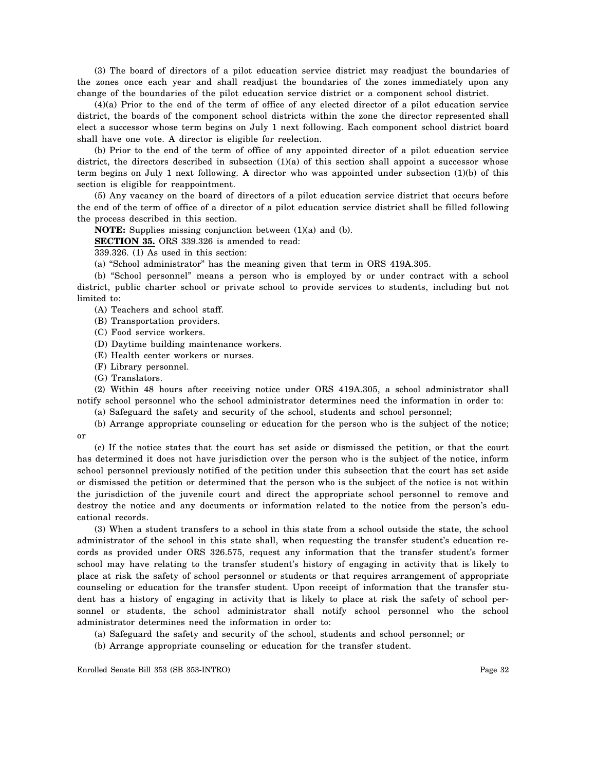(3) The board of directors of a pilot education service district may readjust the boundaries of the zones once each year and shall readjust the boundaries of the zones immediately upon any change of the boundaries of the pilot education service district or a component school district.

(4)(a) Prior to the end of the term of office of any elected director of a pilot education service district, the boards of the component school districts within the zone the director represented shall elect a successor whose term begins on July 1 next following. Each component school district board shall have one vote. A director is eligible for reelection.

(b) Prior to the end of the term of office of any appointed director of a pilot education service district, the directors described in subsection  $(1)(a)$  of this section shall appoint a successor whose term begins on July 1 next following. A director who was appointed under subsection (1)(b) of this section is eligible for reappointment.

(5) Any vacancy on the board of directors of a pilot education service district that occurs before the end of the term of office of a director of a pilot education service district shall be filled following the process described in this section.

**NOTE:** Supplies missing conjunction between (1)(a) and (b).

**SECTION 35.** ORS 339.326 is amended to read:

339.326. (1) As used in this section:

(a) "School administrator" has the meaning given that term in ORS 419A.305.

(b) "School personnel" means a person who is employed by or under contract with a school district, public charter school or private school to provide services to students, including but not limited to:

(A) Teachers and school staff.

(B) Transportation providers.

(C) Food service workers.

(D) Daytime building maintenance workers.

- (E) Health center workers or nurses.
- (F) Library personnel.
- (G) Translators.

(2) Within 48 hours after receiving notice under ORS 419A.305, a school administrator shall notify school personnel who the school administrator determines need the information in order to:

(a) Safeguard the safety and security of the school, students and school personnel;

(b) Arrange appropriate counseling or education for the person who is the subject of the notice; or

(c) If the notice states that the court has set aside or dismissed the petition, or that the court has determined it does not have jurisdiction over the person who is the subject of the notice, inform school personnel previously notified of the petition under this subsection that the court has set aside or dismissed the petition or determined that the person who is the subject of the notice is not within the jurisdiction of the juvenile court and direct the appropriate school personnel to remove and destroy the notice and any documents or information related to the notice from the person's educational records.

(3) When a student transfers to a school in this state from a school outside the state, the school administrator of the school in this state shall, when requesting the transfer student's education records as provided under ORS 326.575, request any information that the transfer student's former school may have relating to the transfer student's history of engaging in activity that is likely to place at risk the safety of school personnel or students or that requires arrangement of appropriate counseling or education for the transfer student. Upon receipt of information that the transfer student has a history of engaging in activity that is likely to place at risk the safety of school personnel or students, the school administrator shall notify school personnel who the school administrator determines need the information in order to:

(a) Safeguard the safety and security of the school, students and school personnel; or

(b) Arrange appropriate counseling or education for the transfer student.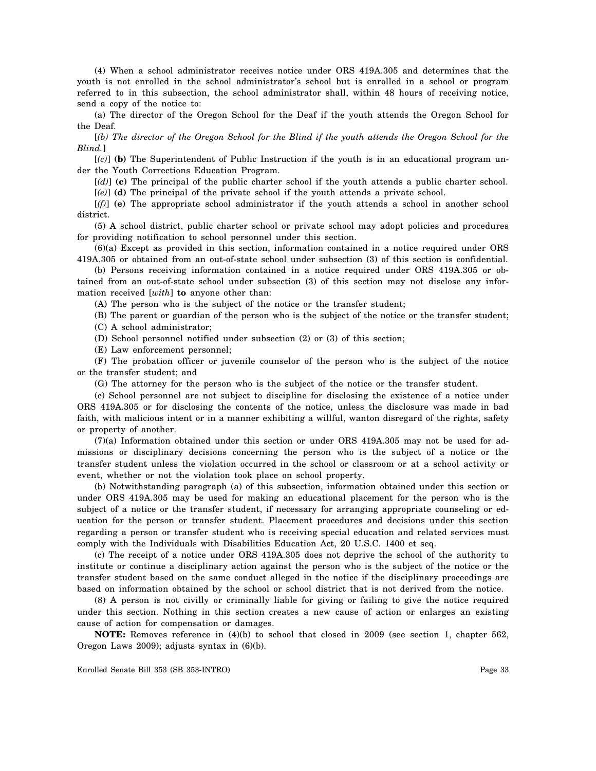(4) When a school administrator receives notice under ORS 419A.305 and determines that the youth is not enrolled in the school administrator's school but is enrolled in a school or program referred to in this subsection, the school administrator shall, within 48 hours of receiving notice, send a copy of the notice to:

(a) The director of the Oregon School for the Deaf if the youth attends the Oregon School for the Deaf.

[*(b) The director of the Oregon School for the Blind if the youth attends the Oregon School for the Blind.*]

[*(c)*] **(b)** The Superintendent of Public Instruction if the youth is in an educational program under the Youth Corrections Education Program.

[*(d)*] **(c)** The principal of the public charter school if the youth attends a public charter school.

[*(e)*] **(d)** The principal of the private school if the youth attends a private school.

[*(f)*] **(e)** The appropriate school administrator if the youth attends a school in another school district.

(5) A school district, public charter school or private school may adopt policies and procedures for providing notification to school personnel under this section.

(6)(a) Except as provided in this section, information contained in a notice required under ORS 419A.305 or obtained from an out-of-state school under subsection (3) of this section is confidential.

(b) Persons receiving information contained in a notice required under ORS 419A.305 or obtained from an out-of-state school under subsection (3) of this section may not disclose any information received [*with*] **to** anyone other than:

(A) The person who is the subject of the notice or the transfer student;

(B) The parent or guardian of the person who is the subject of the notice or the transfer student; (C) A school administrator;

(D) School personnel notified under subsection (2) or (3) of this section;

(E) Law enforcement personnel;

(F) The probation officer or juvenile counselor of the person who is the subject of the notice or the transfer student; and

(G) The attorney for the person who is the subject of the notice or the transfer student.

(c) School personnel are not subject to discipline for disclosing the existence of a notice under ORS 419A.305 or for disclosing the contents of the notice, unless the disclosure was made in bad faith, with malicious intent or in a manner exhibiting a willful, wanton disregard of the rights, safety or property of another.

(7)(a) Information obtained under this section or under ORS 419A.305 may not be used for admissions or disciplinary decisions concerning the person who is the subject of a notice or the transfer student unless the violation occurred in the school or classroom or at a school activity or event, whether or not the violation took place on school property.

(b) Notwithstanding paragraph (a) of this subsection, information obtained under this section or under ORS 419A.305 may be used for making an educational placement for the person who is the subject of a notice or the transfer student, if necessary for arranging appropriate counseling or education for the person or transfer student. Placement procedures and decisions under this section regarding a person or transfer student who is receiving special education and related services must comply with the Individuals with Disabilities Education Act, 20 U.S.C. 1400 et seq.

(c) The receipt of a notice under ORS 419A.305 does not deprive the school of the authority to institute or continue a disciplinary action against the person who is the subject of the notice or the transfer student based on the same conduct alleged in the notice if the disciplinary proceedings are based on information obtained by the school or school district that is not derived from the notice.

(8) A person is not civilly or criminally liable for giving or failing to give the notice required under this section. Nothing in this section creates a new cause of action or enlarges an existing cause of action for compensation or damages.

**NOTE:** Removes reference in (4)(b) to school that closed in 2009 (see section 1, chapter 562, Oregon Laws 2009); adjusts syntax in (6)(b).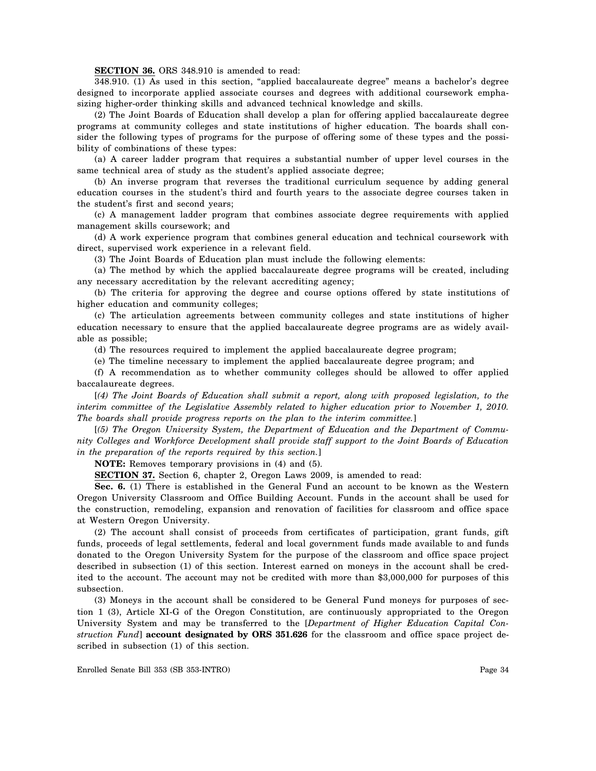## **SECTION 36.** ORS 348.910 is amended to read:

348.910. (1) As used in this section, "applied baccalaureate degree" means a bachelor's degree designed to incorporate applied associate courses and degrees with additional coursework emphasizing higher-order thinking skills and advanced technical knowledge and skills.

(2) The Joint Boards of Education shall develop a plan for offering applied baccalaureate degree programs at community colleges and state institutions of higher education. The boards shall consider the following types of programs for the purpose of offering some of these types and the possibility of combinations of these types:

(a) A career ladder program that requires a substantial number of upper level courses in the same technical area of study as the student's applied associate degree;

(b) An inverse program that reverses the traditional curriculum sequence by adding general education courses in the student's third and fourth years to the associate degree courses taken in the student's first and second years;

(c) A management ladder program that combines associate degree requirements with applied management skills coursework; and

(d) A work experience program that combines general education and technical coursework with direct, supervised work experience in a relevant field.

(3) The Joint Boards of Education plan must include the following elements:

(a) The method by which the applied baccalaureate degree programs will be created, including any necessary accreditation by the relevant accrediting agency;

(b) The criteria for approving the degree and course options offered by state institutions of higher education and community colleges;

(c) The articulation agreements between community colleges and state institutions of higher education necessary to ensure that the applied baccalaureate degree programs are as widely available as possible;

(d) The resources required to implement the applied baccalaureate degree program;

(e) The timeline necessary to implement the applied baccalaureate degree program; and

(f) A recommendation as to whether community colleges should be allowed to offer applied baccalaureate degrees.

[*(4) The Joint Boards of Education shall submit a report, along with proposed legislation, to the interim committee of the Legislative Assembly related to higher education prior to November 1, 2010. The boards shall provide progress reports on the plan to the interim committee.*]

[*(5) The Oregon University System, the Department of Education and the Department of Community Colleges and Workforce Development shall provide staff support to the Joint Boards of Education in the preparation of the reports required by this section.*]

**NOTE:** Removes temporary provisions in (4) and (5).

**SECTION 37.** Section 6, chapter 2, Oregon Laws 2009, is amended to read:

**Sec. 6.** (1) There is established in the General Fund an account to be known as the Western Oregon University Classroom and Office Building Account. Funds in the account shall be used for the construction, remodeling, expansion and renovation of facilities for classroom and office space at Western Oregon University.

(2) The account shall consist of proceeds from certificates of participation, grant funds, gift funds, proceeds of legal settlements, federal and local government funds made available to and funds donated to the Oregon University System for the purpose of the classroom and office space project described in subsection (1) of this section. Interest earned on moneys in the account shall be credited to the account. The account may not be credited with more than \$3,000,000 for purposes of this subsection.

(3) Moneys in the account shall be considered to be General Fund moneys for purposes of section 1 (3), Article XI-G of the Oregon Constitution, are continuously appropriated to the Oregon University System and may be transferred to the [*Department of Higher Education Capital Construction Fund*] **account designated by ORS 351.626** for the classroom and office space project described in subsection (1) of this section.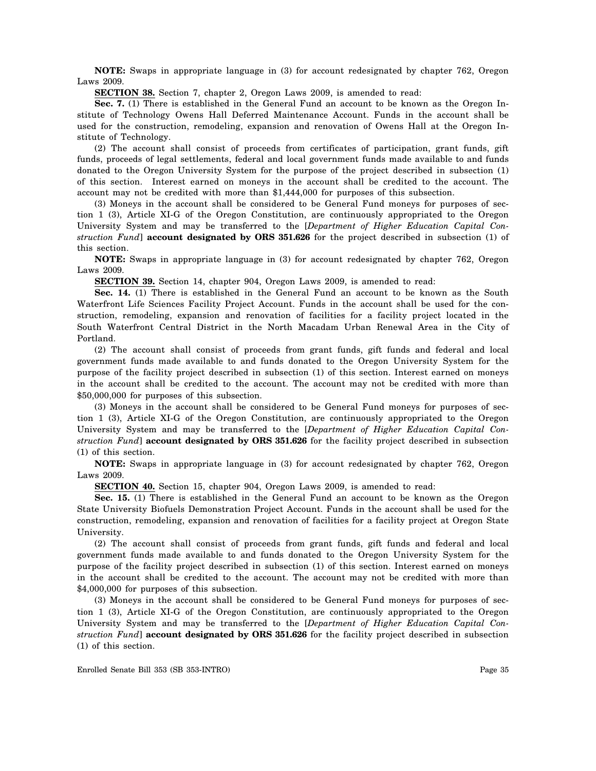**NOTE:** Swaps in appropriate language in (3) for account redesignated by chapter 762, Oregon Laws 2009.

**SECTION 38.** Section 7, chapter 2, Oregon Laws 2009, is amended to read:

**Sec. 7.** (1) There is established in the General Fund an account to be known as the Oregon Institute of Technology Owens Hall Deferred Maintenance Account. Funds in the account shall be used for the construction, remodeling, expansion and renovation of Owens Hall at the Oregon Institute of Technology.

(2) The account shall consist of proceeds from certificates of participation, grant funds, gift funds, proceeds of legal settlements, federal and local government funds made available to and funds donated to the Oregon University System for the purpose of the project described in subsection (1) of this section. Interest earned on moneys in the account shall be credited to the account. The account may not be credited with more than \$1,444,000 for purposes of this subsection.

(3) Moneys in the account shall be considered to be General Fund moneys for purposes of section 1 (3), Article XI-G of the Oregon Constitution, are continuously appropriated to the Oregon University System and may be transferred to the [*Department of Higher Education Capital Construction Fund*] **account designated by ORS 351.626** for the project described in subsection (1) of this section.

**NOTE:** Swaps in appropriate language in (3) for account redesignated by chapter 762, Oregon Laws 2009.

**SECTION 39.** Section 14, chapter 904, Oregon Laws 2009, is amended to read:

**Sec. 14.** (1) There is established in the General Fund an account to be known as the South Waterfront Life Sciences Facility Project Account. Funds in the account shall be used for the construction, remodeling, expansion and renovation of facilities for a facility project located in the South Waterfront Central District in the North Macadam Urban Renewal Area in the City of Portland.

(2) The account shall consist of proceeds from grant funds, gift funds and federal and local government funds made available to and funds donated to the Oregon University System for the purpose of the facility project described in subsection (1) of this section. Interest earned on moneys in the account shall be credited to the account. The account may not be credited with more than \$50,000,000 for purposes of this subsection.

(3) Moneys in the account shall be considered to be General Fund moneys for purposes of section 1 (3), Article XI-G of the Oregon Constitution, are continuously appropriated to the Oregon University System and may be transferred to the [*Department of Higher Education Capital Construction Fund*] **account designated by ORS 351.626** for the facility project described in subsection (1) of this section.

**NOTE:** Swaps in appropriate language in (3) for account redesignated by chapter 762, Oregon Laws 2009.

**SECTION 40.** Section 15, chapter 904, Oregon Laws 2009, is amended to read:

**Sec. 15.** (1) There is established in the General Fund an account to be known as the Oregon State University Biofuels Demonstration Project Account. Funds in the account shall be used for the construction, remodeling, expansion and renovation of facilities for a facility project at Oregon State University.

(2) The account shall consist of proceeds from grant funds, gift funds and federal and local government funds made available to and funds donated to the Oregon University System for the purpose of the facility project described in subsection (1) of this section. Interest earned on moneys in the account shall be credited to the account. The account may not be credited with more than \$4,000,000 for purposes of this subsection.

(3) Moneys in the account shall be considered to be General Fund moneys for purposes of section 1 (3), Article XI-G of the Oregon Constitution, are continuously appropriated to the Oregon University System and may be transferred to the [*Department of Higher Education Capital Construction Fund*] **account designated by ORS 351.626** for the facility project described in subsection (1) of this section.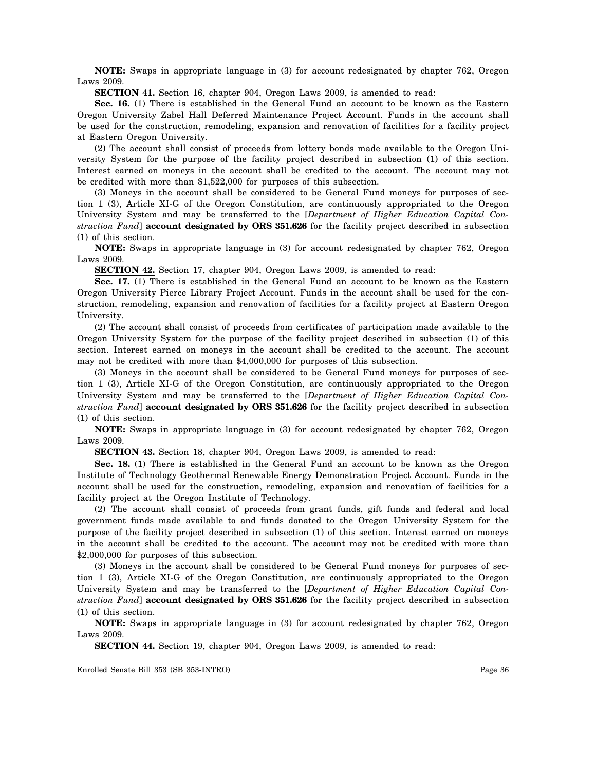**NOTE:** Swaps in appropriate language in (3) for account redesignated by chapter 762, Oregon Laws 2009.

**SECTION 41.** Section 16, chapter 904, Oregon Laws 2009, is amended to read:

**Sec. 16.** (1) There is established in the General Fund an account to be known as the Eastern Oregon University Zabel Hall Deferred Maintenance Project Account. Funds in the account shall be used for the construction, remodeling, expansion and renovation of facilities for a facility project at Eastern Oregon University.

(2) The account shall consist of proceeds from lottery bonds made available to the Oregon University System for the purpose of the facility project described in subsection (1) of this section. Interest earned on moneys in the account shall be credited to the account. The account may not be credited with more than \$1,522,000 for purposes of this subsection.

(3) Moneys in the account shall be considered to be General Fund moneys for purposes of section 1 (3), Article XI-G of the Oregon Constitution, are continuously appropriated to the Oregon University System and may be transferred to the [*Department of Higher Education Capital Construction Fund*] **account designated by ORS 351.626** for the facility project described in subsection (1) of this section.

**NOTE:** Swaps in appropriate language in (3) for account redesignated by chapter 762, Oregon Laws 2009.

**SECTION 42.** Section 17, chapter 904, Oregon Laws 2009, is amended to read:

**Sec. 17.** (1) There is established in the General Fund an account to be known as the Eastern Oregon University Pierce Library Project Account. Funds in the account shall be used for the construction, remodeling, expansion and renovation of facilities for a facility project at Eastern Oregon University.

(2) The account shall consist of proceeds from certificates of participation made available to the Oregon University System for the purpose of the facility project described in subsection (1) of this section. Interest earned on moneys in the account shall be credited to the account. The account may not be credited with more than \$4,000,000 for purposes of this subsection.

(3) Moneys in the account shall be considered to be General Fund moneys for purposes of section 1 (3), Article XI-G of the Oregon Constitution, are continuously appropriated to the Oregon University System and may be transferred to the [*Department of Higher Education Capital Construction Fund*] **account designated by ORS 351.626** for the facility project described in subsection (1) of this section.

**NOTE:** Swaps in appropriate language in (3) for account redesignated by chapter 762, Oregon Laws 2009.

**SECTION 43.** Section 18, chapter 904, Oregon Laws 2009, is amended to read:

**Sec. 18.** (1) There is established in the General Fund an account to be known as the Oregon Institute of Technology Geothermal Renewable Energy Demonstration Project Account. Funds in the account shall be used for the construction, remodeling, expansion and renovation of facilities for a facility project at the Oregon Institute of Technology.

(2) The account shall consist of proceeds from grant funds, gift funds and federal and local government funds made available to and funds donated to the Oregon University System for the purpose of the facility project described in subsection (1) of this section. Interest earned on moneys in the account shall be credited to the account. The account may not be credited with more than \$2,000,000 for purposes of this subsection.

(3) Moneys in the account shall be considered to be General Fund moneys for purposes of section 1 (3), Article XI-G of the Oregon Constitution, are continuously appropriated to the Oregon University System and may be transferred to the [*Department of Higher Education Capital Construction Fund*] **account designated by ORS 351.626** for the facility project described in subsection (1) of this section.

**NOTE:** Swaps in appropriate language in (3) for account redesignated by chapter 762, Oregon Laws 2009.

**SECTION 44.** Section 19, chapter 904, Oregon Laws 2009, is amended to read: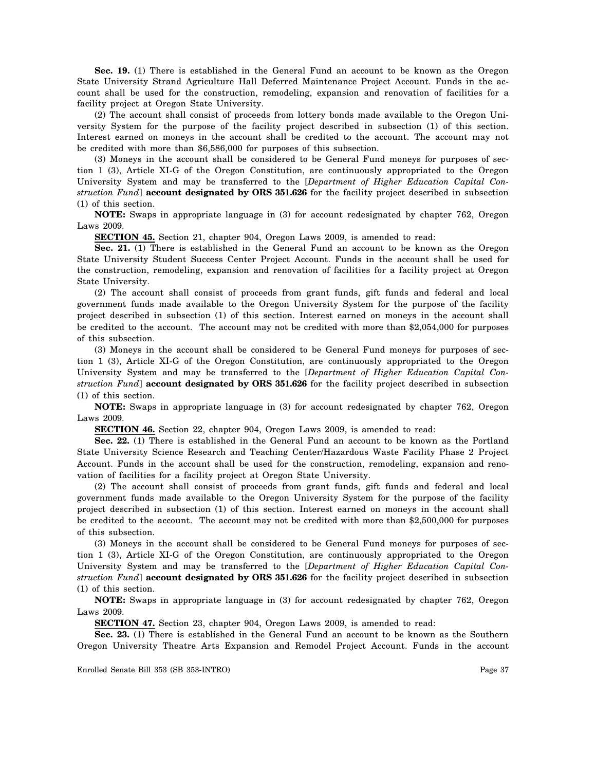**Sec. 19.** (1) There is established in the General Fund an account to be known as the Oregon State University Strand Agriculture Hall Deferred Maintenance Project Account. Funds in the account shall be used for the construction, remodeling, expansion and renovation of facilities for a facility project at Oregon State University.

(2) The account shall consist of proceeds from lottery bonds made available to the Oregon University System for the purpose of the facility project described in subsection (1) of this section. Interest earned on moneys in the account shall be credited to the account. The account may not be credited with more than \$6,586,000 for purposes of this subsection.

(3) Moneys in the account shall be considered to be General Fund moneys for purposes of section 1 (3), Article XI-G of the Oregon Constitution, are continuously appropriated to the Oregon University System and may be transferred to the [*Department of Higher Education Capital Construction Fund*] **account designated by ORS 351.626** for the facility project described in subsection (1) of this section.

**NOTE:** Swaps in appropriate language in (3) for account redesignated by chapter 762, Oregon Laws 2009.

**SECTION 45.** Section 21, chapter 904, Oregon Laws 2009, is amended to read:

**Sec. 21.** (1) There is established in the General Fund an account to be known as the Oregon State University Student Success Center Project Account. Funds in the account shall be used for the construction, remodeling, expansion and renovation of facilities for a facility project at Oregon State University.

(2) The account shall consist of proceeds from grant funds, gift funds and federal and local government funds made available to the Oregon University System for the purpose of the facility project described in subsection (1) of this section. Interest earned on moneys in the account shall be credited to the account. The account may not be credited with more than \$2,054,000 for purposes of this subsection.

(3) Moneys in the account shall be considered to be General Fund moneys for purposes of section 1 (3), Article XI-G of the Oregon Constitution, are continuously appropriated to the Oregon University System and may be transferred to the [*Department of Higher Education Capital Construction Fund*] **account designated by ORS 351.626** for the facility project described in subsection (1) of this section.

**NOTE:** Swaps in appropriate language in (3) for account redesignated by chapter 762, Oregon Laws 2009.

**SECTION 46.** Section 22, chapter 904, Oregon Laws 2009, is amended to read:

**Sec. 22.** (1) There is established in the General Fund an account to be known as the Portland State University Science Research and Teaching Center/Hazardous Waste Facility Phase 2 Project Account. Funds in the account shall be used for the construction, remodeling, expansion and renovation of facilities for a facility project at Oregon State University.

(2) The account shall consist of proceeds from grant funds, gift funds and federal and local government funds made available to the Oregon University System for the purpose of the facility project described in subsection (1) of this section. Interest earned on moneys in the account shall be credited to the account. The account may not be credited with more than \$2,500,000 for purposes of this subsection.

(3) Moneys in the account shall be considered to be General Fund moneys for purposes of section 1 (3), Article XI-G of the Oregon Constitution, are continuously appropriated to the Oregon University System and may be transferred to the [*Department of Higher Education Capital Construction Fund*] **account designated by ORS 351.626** for the facility project described in subsection (1) of this section.

**NOTE:** Swaps in appropriate language in (3) for account redesignated by chapter 762, Oregon Laws 2009.

**SECTION 47.** Section 23, chapter 904, Oregon Laws 2009, is amended to read:

**Sec. 23.** (1) There is established in the General Fund an account to be known as the Southern Oregon University Theatre Arts Expansion and Remodel Project Account. Funds in the account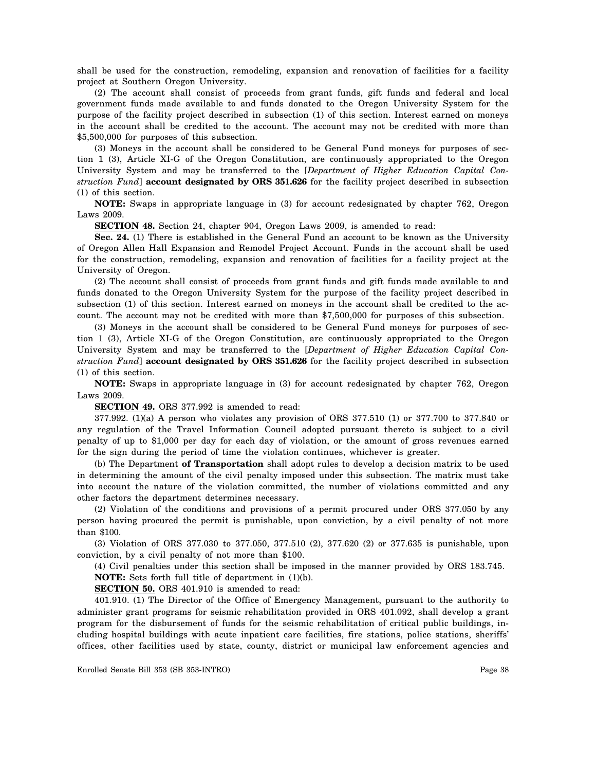shall be used for the construction, remodeling, expansion and renovation of facilities for a facility project at Southern Oregon University.

(2) The account shall consist of proceeds from grant funds, gift funds and federal and local government funds made available to and funds donated to the Oregon University System for the purpose of the facility project described in subsection (1) of this section. Interest earned on moneys in the account shall be credited to the account. The account may not be credited with more than \$5,500,000 for purposes of this subsection.

(3) Moneys in the account shall be considered to be General Fund moneys for purposes of section 1 (3), Article XI-G of the Oregon Constitution, are continuously appropriated to the Oregon University System and may be transferred to the [*Department of Higher Education Capital Construction Fund*] **account designated by ORS 351.626** for the facility project described in subsection (1) of this section.

**NOTE:** Swaps in appropriate language in (3) for account redesignated by chapter 762, Oregon Laws 2009.

**SECTION 48.** Section 24, chapter 904, Oregon Laws 2009, is amended to read:

**Sec. 24.** (1) There is established in the General Fund an account to be known as the University of Oregon Allen Hall Expansion and Remodel Project Account. Funds in the account shall be used for the construction, remodeling, expansion and renovation of facilities for a facility project at the University of Oregon.

(2) The account shall consist of proceeds from grant funds and gift funds made available to and funds donated to the Oregon University System for the purpose of the facility project described in subsection (1) of this section. Interest earned on moneys in the account shall be credited to the account. The account may not be credited with more than \$7,500,000 for purposes of this subsection.

(3) Moneys in the account shall be considered to be General Fund moneys for purposes of section 1 (3), Article XI-G of the Oregon Constitution, are continuously appropriated to the Oregon University System and may be transferred to the [*Department of Higher Education Capital Construction Fund*] **account designated by ORS 351.626** for the facility project described in subsection (1) of this section.

**NOTE:** Swaps in appropriate language in (3) for account redesignated by chapter 762, Oregon Laws 2009.

**SECTION 49.** ORS 377.992 is amended to read:

377.992. (1)(a) A person who violates any provision of ORS 377.510 (1) or 377.700 to 377.840 or any regulation of the Travel Information Council adopted pursuant thereto is subject to a civil penalty of up to \$1,000 per day for each day of violation, or the amount of gross revenues earned for the sign during the period of time the violation continues, whichever is greater.

(b) The Department **of Transportation** shall adopt rules to develop a decision matrix to be used in determining the amount of the civil penalty imposed under this subsection. The matrix must take into account the nature of the violation committed, the number of violations committed and any other factors the department determines necessary.

(2) Violation of the conditions and provisions of a permit procured under ORS 377.050 by any person having procured the permit is punishable, upon conviction, by a civil penalty of not more than \$100.

(3) Violation of ORS 377.030 to 377.050, 377.510 (2), 377.620 (2) or 377.635 is punishable, upon conviction, by a civil penalty of not more than \$100.

(4) Civil penalties under this section shall be imposed in the manner provided by ORS 183.745. **NOTE:** Sets forth full title of department in (1)(b).

**SECTION 50.** ORS 401.910 is amended to read:

401.910. (1) The Director of the Office of Emergency Management, pursuant to the authority to administer grant programs for seismic rehabilitation provided in ORS 401.092, shall develop a grant program for the disbursement of funds for the seismic rehabilitation of critical public buildings, including hospital buildings with acute inpatient care facilities, fire stations, police stations, sheriffs' offices, other facilities used by state, county, district or municipal law enforcement agencies and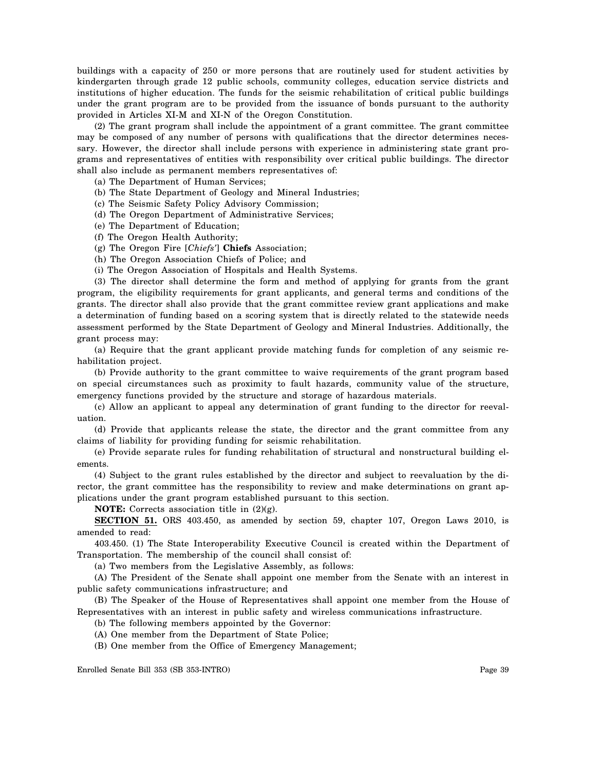buildings with a capacity of 250 or more persons that are routinely used for student activities by kindergarten through grade 12 public schools, community colleges, education service districts and institutions of higher education. The funds for the seismic rehabilitation of critical public buildings under the grant program are to be provided from the issuance of bonds pursuant to the authority provided in Articles XI-M and XI-N of the Oregon Constitution.

(2) The grant program shall include the appointment of a grant committee. The grant committee may be composed of any number of persons with qualifications that the director determines necessary. However, the director shall include persons with experience in administering state grant programs and representatives of entities with responsibility over critical public buildings. The director shall also include as permanent members representatives of:

(a) The Department of Human Services;

(b) The State Department of Geology and Mineral Industries;

(c) The Seismic Safety Policy Advisory Commission;

(d) The Oregon Department of Administrative Services;

(e) The Department of Education;

(f) The Oregon Health Authority;

(g) The Oregon Fire [*Chiefs'*] **Chiefs** Association;

(h) The Oregon Association Chiefs of Police; and

(i) The Oregon Association of Hospitals and Health Systems.

(3) The director shall determine the form and method of applying for grants from the grant program, the eligibility requirements for grant applicants, and general terms and conditions of the grants. The director shall also provide that the grant committee review grant applications and make a determination of funding based on a scoring system that is directly related to the statewide needs assessment performed by the State Department of Geology and Mineral Industries. Additionally, the grant process may:

(a) Require that the grant applicant provide matching funds for completion of any seismic rehabilitation project.

(b) Provide authority to the grant committee to waive requirements of the grant program based on special circumstances such as proximity to fault hazards, community value of the structure, emergency functions provided by the structure and storage of hazardous materials.

(c) Allow an applicant to appeal any determination of grant funding to the director for reevaluation.

(d) Provide that applicants release the state, the director and the grant committee from any claims of liability for providing funding for seismic rehabilitation.

(e) Provide separate rules for funding rehabilitation of structural and nonstructural building elements.

(4) Subject to the grant rules established by the director and subject to reevaluation by the director, the grant committee has the responsibility to review and make determinations on grant applications under the grant program established pursuant to this section.

**NOTE:** Corrects association title in (2)(g).

**SECTION 51.** ORS 403.450, as amended by section 59, chapter 107, Oregon Laws 2010, is amended to read:

403.450. (1) The State Interoperability Executive Council is created within the Department of Transportation. The membership of the council shall consist of:

(a) Two members from the Legislative Assembly, as follows:

(A) The President of the Senate shall appoint one member from the Senate with an interest in public safety communications infrastructure; and

(B) The Speaker of the House of Representatives shall appoint one member from the House of Representatives with an interest in public safety and wireless communications infrastructure.

(b) The following members appointed by the Governor:

(A) One member from the Department of State Police;

(B) One member from the Office of Emergency Management;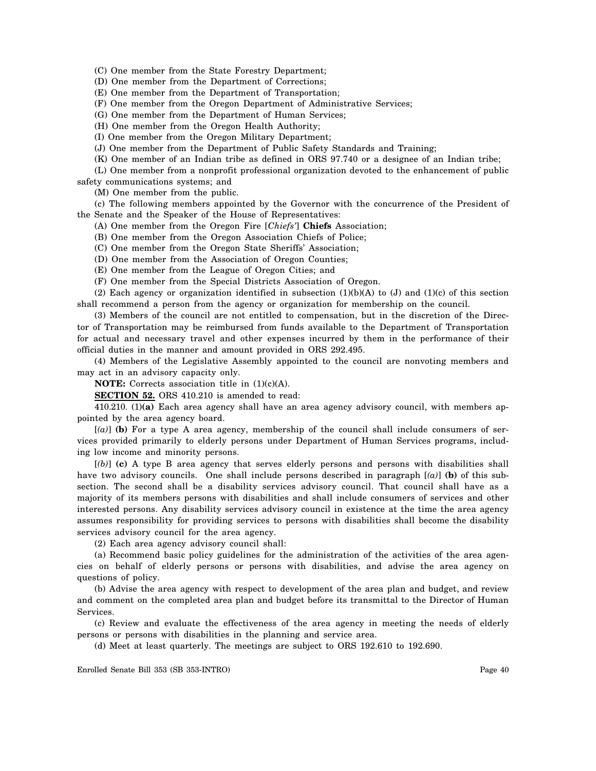(C) One member from the State Forestry Department;

(D) One member from the Department of Corrections;

(E) One member from the Department of Transportation;

(F) One member from the Oregon Department of Administrative Services;

(G) One member from the Department of Human Services;

(H) One member from the Oregon Health Authority;

(I) One member from the Oregon Military Department;

(J) One member from the Department of Public Safety Standards and Training;

(K) One member of an Indian tribe as defined in ORS 97.740 or a designee of an Indian tribe;

(L) One member from a nonprofit professional organization devoted to the enhancement of public safety communications systems; and

(M) One member from the public.

(c) The following members appointed by the Governor with the concurrence of the President of the Senate and the Speaker of the House of Representatives:

(A) One member from the Oregon Fire [*Chiefs'*] **Chiefs** Association;

(B) One member from the Oregon Association Chiefs of Police;

(C) One member from the Oregon State Sheriffs' Association;

(D) One member from the Association of Oregon Counties;

(E) One member from the League of Oregon Cities; and

(F) One member from the Special Districts Association of Oregon.

(2) Each agency or organization identified in subsection  $(1)(b)(A)$  to  $(J)$  and  $(1)(c)$  of this section shall recommend a person from the agency or organization for membership on the council.

(3) Members of the council are not entitled to compensation, but in the discretion of the Director of Transportation may be reimbursed from funds available to the Department of Transportation for actual and necessary travel and other expenses incurred by them in the performance of their official duties in the manner and amount provided in ORS 292.495.

(4) Members of the Legislative Assembly appointed to the council are nonvoting members and may act in an advisory capacity only.

**NOTE:** Corrects association title in (1)(c)(A).

**SECTION 52.** ORS 410.210 is amended to read:

410.210. (1)**(a)** Each area agency shall have an area agency advisory council, with members appointed by the area agency board.

[*(a)*] **(b)** For a type A area agency, membership of the council shall include consumers of services provided primarily to elderly persons under Department of Human Services programs, including low income and minority persons.

[*(b)*] **(c)** A type B area agency that serves elderly persons and persons with disabilities shall have two advisory councils. One shall include persons described in paragraph [*(a)*] **(b)** of this subsection. The second shall be a disability services advisory council. That council shall have as a majority of its members persons with disabilities and shall include consumers of services and other interested persons. Any disability services advisory council in existence at the time the area agency assumes responsibility for providing services to persons with disabilities shall become the disability services advisory council for the area agency.

(2) Each area agency advisory council shall:

(a) Recommend basic policy guidelines for the administration of the activities of the area agencies on behalf of elderly persons or persons with disabilities, and advise the area agency on questions of policy.

(b) Advise the area agency with respect to development of the area plan and budget, and review and comment on the completed area plan and budget before its transmittal to the Director of Human Services.

(c) Review and evaluate the effectiveness of the area agency in meeting the needs of elderly persons or persons with disabilities in the planning and service area.

(d) Meet at least quarterly. The meetings are subject to ORS 192.610 to 192.690.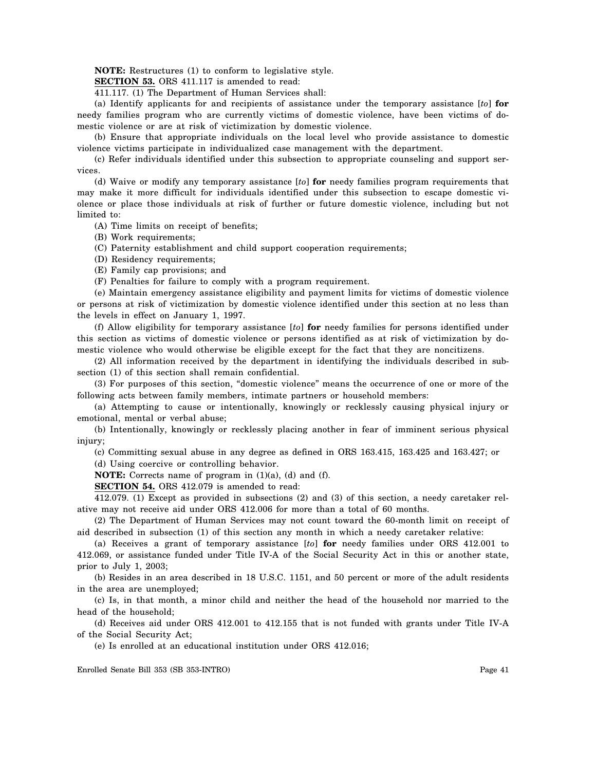**NOTE:** Restructures (1) to conform to legislative style.

**SECTION 53.** ORS 411.117 is amended to read:

411.117. (1) The Department of Human Services shall:

(a) Identify applicants for and recipients of assistance under the temporary assistance [*to*] **for**  needy families program who are currently victims of domestic violence, have been victims of domestic violence or are at risk of victimization by domestic violence.

(b) Ensure that appropriate individuals on the local level who provide assistance to domestic violence victims participate in individualized case management with the department.

(c) Refer individuals identified under this subsection to appropriate counseling and support services.

(d) Waive or modify any temporary assistance [*to*] **for** needy families program requirements that may make it more difficult for individuals identified under this subsection to escape domestic violence or place those individuals at risk of further or future domestic violence, including but not limited to:

(A) Time limits on receipt of benefits;

(B) Work requirements;

(C) Paternity establishment and child support cooperation requirements;

(D) Residency requirements;

(E) Family cap provisions; and

(F) Penalties for failure to comply with a program requirement.

(e) Maintain emergency assistance eligibility and payment limits for victims of domestic violence or persons at risk of victimization by domestic violence identified under this section at no less than the levels in effect on January 1, 1997.

(f) Allow eligibility for temporary assistance [*to*] **for** needy families for persons identified under this section as victims of domestic violence or persons identified as at risk of victimization by domestic violence who would otherwise be eligible except for the fact that they are noncitizens.

(2) All information received by the department in identifying the individuals described in subsection (1) of this section shall remain confidential.

(3) For purposes of this section, "domestic violence" means the occurrence of one or more of the following acts between family members, intimate partners or household members:

(a) Attempting to cause or intentionally, knowingly or recklessly causing physical injury or emotional, mental or verbal abuse;

(b) Intentionally, knowingly or recklessly placing another in fear of imminent serious physical injury;

(c) Committing sexual abuse in any degree as defined in ORS 163.415, 163.425 and 163.427; or

(d) Using coercive or controlling behavior.

**NOTE:** Corrects name of program in (1)(a), (d) and (f).

**SECTION 54.** ORS 412.079 is amended to read:

412.079. (1) Except as provided in subsections (2) and (3) of this section, a needy caretaker relative may not receive aid under ORS 412.006 for more than a total of 60 months.

(2) The Department of Human Services may not count toward the 60-month limit on receipt of aid described in subsection (1) of this section any month in which a needy caretaker relative:

(a) Receives a grant of temporary assistance [*to*] **for** needy families under ORS 412.001 to 412.069, or assistance funded under Title IV-A of the Social Security Act in this or another state, prior to July 1, 2003;

(b) Resides in an area described in 18 U.S.C. 1151, and 50 percent or more of the adult residents in the area are unemployed;

(c) Is, in that month, a minor child and neither the head of the household nor married to the head of the household;

(d) Receives aid under ORS 412.001 to 412.155 that is not funded with grants under Title IV-A of the Social Security Act;

(e) Is enrolled at an educational institution under ORS 412.016;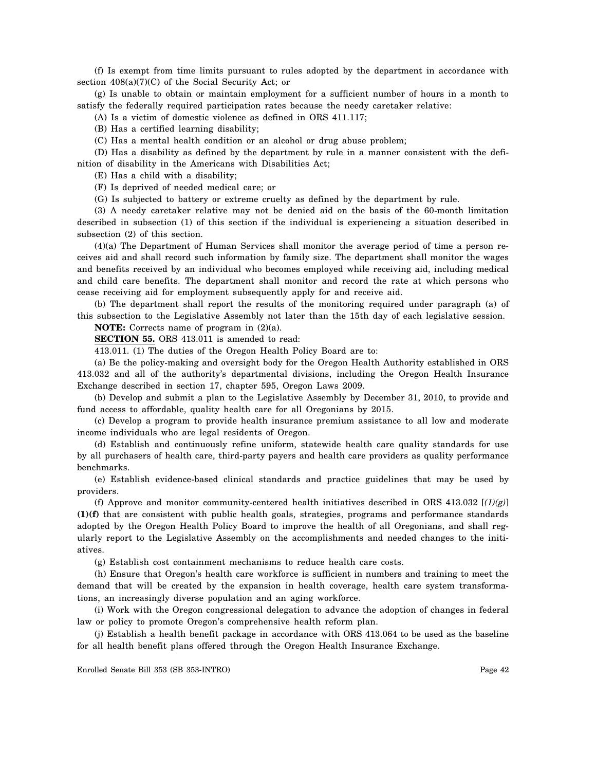(f) Is exempt from time limits pursuant to rules adopted by the department in accordance with section  $408(a)(7)(C)$  of the Social Security Act; or

(g) Is unable to obtain or maintain employment for a sufficient number of hours in a month to satisfy the federally required participation rates because the needy caretaker relative:

(A) Is a victim of domestic violence as defined in ORS 411.117;

(B) Has a certified learning disability;

(C) Has a mental health condition or an alcohol or drug abuse problem;

(D) Has a disability as defined by the department by rule in a manner consistent with the definition of disability in the Americans with Disabilities Act;

(E) Has a child with a disability;

(F) Is deprived of needed medical care; or

(G) Is subjected to battery or extreme cruelty as defined by the department by rule.

(3) A needy caretaker relative may not be denied aid on the basis of the 60-month limitation described in subsection (1) of this section if the individual is experiencing a situation described in subsection (2) of this section.

(4)(a) The Department of Human Services shall monitor the average period of time a person receives aid and shall record such information by family size. The department shall monitor the wages and benefits received by an individual who becomes employed while receiving aid, including medical and child care benefits. The department shall monitor and record the rate at which persons who cease receiving aid for employment subsequently apply for and receive aid.

(b) The department shall report the results of the monitoring required under paragraph (a) of this subsection to the Legislative Assembly not later than the 15th day of each legislative session.

**NOTE:** Corrects name of program in  $(2)(a)$ .

**SECTION 55.** ORS 413.011 is amended to read:

413.011. (1) The duties of the Oregon Health Policy Board are to:

(a) Be the policy-making and oversight body for the Oregon Health Authority established in ORS 413.032 and all of the authority's departmental divisions, including the Oregon Health Insurance Exchange described in section 17, chapter 595, Oregon Laws 2009.

(b) Develop and submit a plan to the Legislative Assembly by December 31, 2010, to provide and fund access to affordable, quality health care for all Oregonians by 2015.

(c) Develop a program to provide health insurance premium assistance to all low and moderate income individuals who are legal residents of Oregon.

(d) Establish and continuously refine uniform, statewide health care quality standards for use by all purchasers of health care, third-party payers and health care providers as quality performance benchmarks.

(e) Establish evidence-based clinical standards and practice guidelines that may be used by providers.

(f) Approve and monitor community-centered health initiatives described in ORS 413.032 [*(1)(g)*] **(1)(f)** that are consistent with public health goals, strategies, programs and performance standards adopted by the Oregon Health Policy Board to improve the health of all Oregonians, and shall regularly report to the Legislative Assembly on the accomplishments and needed changes to the initiatives.

(g) Establish cost containment mechanisms to reduce health care costs.

(h) Ensure that Oregon's health care workforce is sufficient in numbers and training to meet the demand that will be created by the expansion in health coverage, health care system transformations, an increasingly diverse population and an aging workforce.

(i) Work with the Oregon congressional delegation to advance the adoption of changes in federal law or policy to promote Oregon's comprehensive health reform plan.

(j) Establish a health benefit package in accordance with ORS 413.064 to be used as the baseline for all health benefit plans offered through the Oregon Health Insurance Exchange.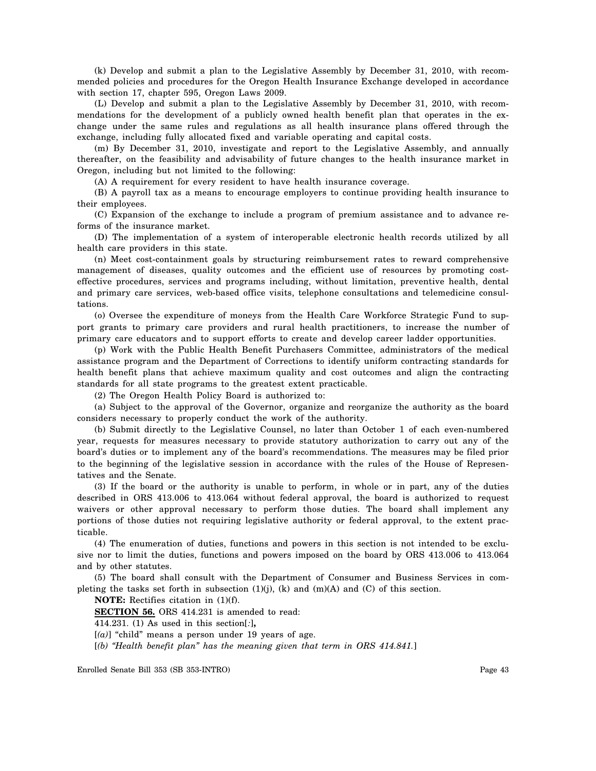(k) Develop and submit a plan to the Legislative Assembly by December 31, 2010, with recommended policies and procedures for the Oregon Health Insurance Exchange developed in accordance with section 17, chapter 595, Oregon Laws 2009.

(L) Develop and submit a plan to the Legislative Assembly by December 31, 2010, with recommendations for the development of a publicly owned health benefit plan that operates in the exchange under the same rules and regulations as all health insurance plans offered through the exchange, including fully allocated fixed and variable operating and capital costs.

(m) By December 31, 2010, investigate and report to the Legislative Assembly, and annually thereafter, on the feasibility and advisability of future changes to the health insurance market in Oregon, including but not limited to the following:

(A) A requirement for every resident to have health insurance coverage.

(B) A payroll tax as a means to encourage employers to continue providing health insurance to their employees.

(C) Expansion of the exchange to include a program of premium assistance and to advance reforms of the insurance market.

(D) The implementation of a system of interoperable electronic health records utilized by all health care providers in this state.

(n) Meet cost-containment goals by structuring reimbursement rates to reward comprehensive management of diseases, quality outcomes and the efficient use of resources by promoting costeffective procedures, services and programs including, without limitation, preventive health, dental and primary care services, web-based office visits, telephone consultations and telemedicine consultations.

(o) Oversee the expenditure of moneys from the Health Care Workforce Strategic Fund to support grants to primary care providers and rural health practitioners, to increase the number of primary care educators and to support efforts to create and develop career ladder opportunities.

(p) Work with the Public Health Benefit Purchasers Committee, administrators of the medical assistance program and the Department of Corrections to identify uniform contracting standards for health benefit plans that achieve maximum quality and cost outcomes and align the contracting standards for all state programs to the greatest extent practicable.

(2) The Oregon Health Policy Board is authorized to:

(a) Subject to the approval of the Governor, organize and reorganize the authority as the board considers necessary to properly conduct the work of the authority.

(b) Submit directly to the Legislative Counsel, no later than October 1 of each even-numbered year, requests for measures necessary to provide statutory authorization to carry out any of the board's duties or to implement any of the board's recommendations. The measures may be filed prior to the beginning of the legislative session in accordance with the rules of the House of Representatives and the Senate.

(3) If the board or the authority is unable to perform, in whole or in part, any of the duties described in ORS 413.006 to 413.064 without federal approval, the board is authorized to request waivers or other approval necessary to perform those duties. The board shall implement any portions of those duties not requiring legislative authority or federal approval, to the extent practicable.

(4) The enumeration of duties, functions and powers in this section is not intended to be exclusive nor to limit the duties, functions and powers imposed on the board by ORS 413.006 to 413.064 and by other statutes.

(5) The board shall consult with the Department of Consumer and Business Services in completing the tasks set forth in subsection  $(1)(j)$ ,  $(k)$  and  $(m)(A)$  and  $(C)$  of this section.

**NOTE:** Rectifies citation in (1)(f).

**SECTION 56.** ORS 414.231 is amended to read:

414.231. (1) As used in this section[*:*]**,** 

 $[(a)]$  "child" means a person under 19 years of age.

[*(b) "Health benefit plan" has the meaning given that term in ORS 414.841.*]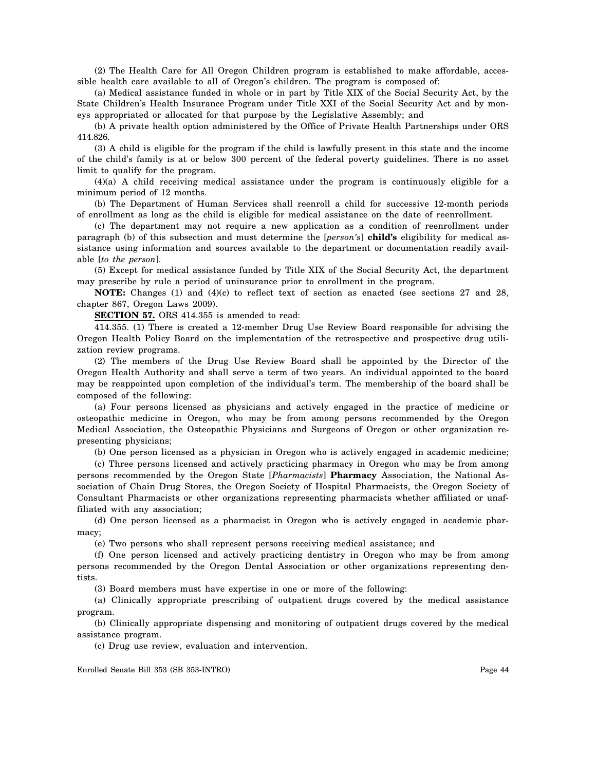(2) The Health Care for All Oregon Children program is established to make affordable, accessible health care available to all of Oregon's children. The program is composed of:

(a) Medical assistance funded in whole or in part by Title XIX of the Social Security Act, by the State Children's Health Insurance Program under Title XXI of the Social Security Act and by moneys appropriated or allocated for that purpose by the Legislative Assembly; and

(b) A private health option administered by the Office of Private Health Partnerships under ORS 414.826.

(3) A child is eligible for the program if the child is lawfully present in this state and the income of the child's family is at or below 300 percent of the federal poverty guidelines. There is no asset limit to qualify for the program.

(4)(a) A child receiving medical assistance under the program is continuously eligible for a minimum period of 12 months.

(b) The Department of Human Services shall reenroll a child for successive 12-month periods of enrollment as long as the child is eligible for medical assistance on the date of reenrollment.

(c) The department may not require a new application as a condition of reenrollment under paragraph (b) of this subsection and must determine the [*person's*] **child's** eligibility for medical assistance using information and sources available to the department or documentation readily available [*to the person*].

(5) Except for medical assistance funded by Title XIX of the Social Security Act, the department may prescribe by rule a period of uninsurance prior to enrollment in the program.

**NOTE:** Changes (1) and (4)(c) to reflect text of section as enacted (see sections 27 and 28, chapter 867, Oregon Laws 2009).

**SECTION 57.** ORS 414.355 is amended to read:

414.355. (1) There is created a 12-member Drug Use Review Board responsible for advising the Oregon Health Policy Board on the implementation of the retrospective and prospective drug utilization review programs.

(2) The members of the Drug Use Review Board shall be appointed by the Director of the Oregon Health Authority and shall serve a term of two years. An individual appointed to the board may be reappointed upon completion of the individual's term. The membership of the board shall be composed of the following:

(a) Four persons licensed as physicians and actively engaged in the practice of medicine or osteopathic medicine in Oregon, who may be from among persons recommended by the Oregon Medical Association, the Osteopathic Physicians and Surgeons of Oregon or other organization representing physicians;

(b) One person licensed as a physician in Oregon who is actively engaged in academic medicine;

(c) Three persons licensed and actively practicing pharmacy in Oregon who may be from among persons recommended by the Oregon State [*Pharmacists*] **Pharmacy** Association, the National Association of Chain Drug Stores, the Oregon Society of Hospital Pharmacists, the Oregon Society of Consultant Pharmacists or other organizations representing pharmacists whether affiliated or unaffiliated with any association;

(d) One person licensed as a pharmacist in Oregon who is actively engaged in academic pharmacy;

(e) Two persons who shall represent persons receiving medical assistance; and

(f) One person licensed and actively practicing dentistry in Oregon who may be from among persons recommended by the Oregon Dental Association or other organizations representing dentists.

(3) Board members must have expertise in one or more of the following:

(a) Clinically appropriate prescribing of outpatient drugs covered by the medical assistance program.

(b) Clinically appropriate dispensing and monitoring of outpatient drugs covered by the medical assistance program.

(c) Drug use review, evaluation and intervention.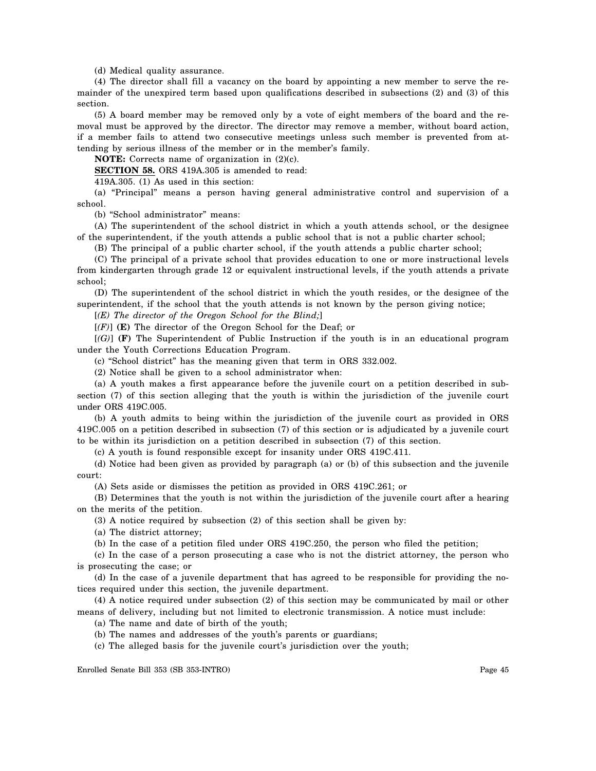(d) Medical quality assurance.

(4) The director shall fill a vacancy on the board by appointing a new member to serve the remainder of the unexpired term based upon qualifications described in subsections (2) and (3) of this section.

(5) A board member may be removed only by a vote of eight members of the board and the removal must be approved by the director. The director may remove a member, without board action, if a member fails to attend two consecutive meetings unless such member is prevented from attending by serious illness of the member or in the member's family.

**NOTE:** Corrects name of organization in (2)(c).

**SECTION 58.** ORS 419A.305 is amended to read:

419A.305. (1) As used in this section:

(a) "Principal" means a person having general administrative control and supervision of a school.

(b) "School administrator" means:

(A) The superintendent of the school district in which a youth attends school, or the designee of the superintendent, if the youth attends a public school that is not a public charter school;

(B) The principal of a public charter school, if the youth attends a public charter school;

(C) The principal of a private school that provides education to one or more instructional levels from kindergarten through grade 12 or equivalent instructional levels, if the youth attends a private school;

(D) The superintendent of the school district in which the youth resides, or the designee of the superintendent, if the school that the youth attends is not known by the person giving notice;

[*(E) The director of the Oregon School for the Blind;*]

[*(F)*] **(E)** The director of the Oregon School for the Deaf; or

[*(G)*] **(F)** The Superintendent of Public Instruction if the youth is in an educational program under the Youth Corrections Education Program.

(c) "School district" has the meaning given that term in ORS 332.002.

(2) Notice shall be given to a school administrator when:

(a) A youth makes a first appearance before the juvenile court on a petition described in subsection (7) of this section alleging that the youth is within the jurisdiction of the juvenile court under ORS 419C.005.

(b) A youth admits to being within the jurisdiction of the juvenile court as provided in ORS 419C.005 on a petition described in subsection (7) of this section or is adjudicated by a juvenile court to be within its jurisdiction on a petition described in subsection (7) of this section.

(c) A youth is found responsible except for insanity under ORS 419C.411.

(d) Notice had been given as provided by paragraph (a) or (b) of this subsection and the juvenile court:

(A) Sets aside or dismisses the petition as provided in ORS 419C.261; or

(B) Determines that the youth is not within the jurisdiction of the juvenile court after a hearing on the merits of the petition.

(3) A notice required by subsection (2) of this section shall be given by:

(a) The district attorney;

(b) In the case of a petition filed under ORS 419C.250, the person who filed the petition;

(c) In the case of a person prosecuting a case who is not the district attorney, the person who is prosecuting the case; or

(d) In the case of a juvenile department that has agreed to be responsible for providing the notices required under this section, the juvenile department.

(4) A notice required under subsection (2) of this section may be communicated by mail or other means of delivery, including but not limited to electronic transmission. A notice must include:

(a) The name and date of birth of the youth;

(b) The names and addresses of the youth's parents or guardians;

(c) The alleged basis for the juvenile court's jurisdiction over the youth;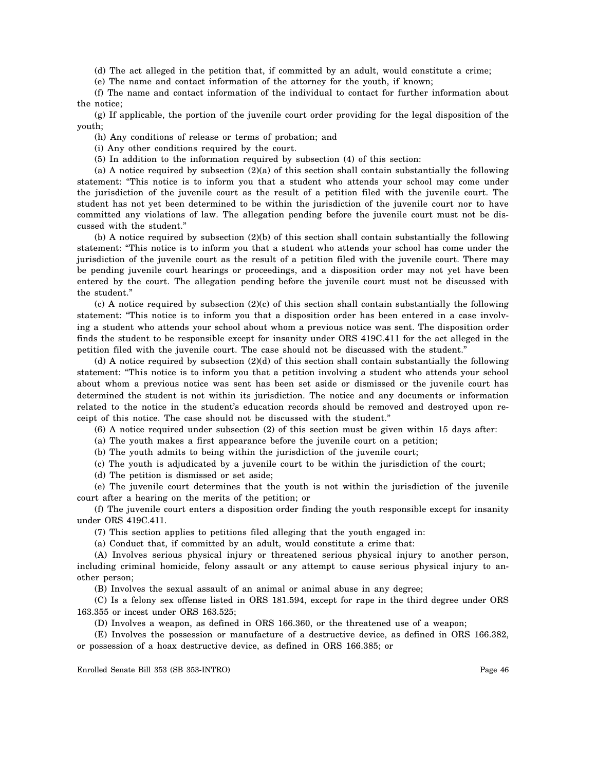(d) The act alleged in the petition that, if committed by an adult, would constitute a crime;

(e) The name and contact information of the attorney for the youth, if known;

(f) The name and contact information of the individual to contact for further information about the notice;

(g) If applicable, the portion of the juvenile court order providing for the legal disposition of the youth;

(h) Any conditions of release or terms of probation; and

(i) Any other conditions required by the court.

(5) In addition to the information required by subsection (4) of this section:

(a) A notice required by subsection (2)(a) of this section shall contain substantially the following statement: "This notice is to inform you that a student who attends your school may come under the jurisdiction of the juvenile court as the result of a petition filed with the juvenile court. The student has not yet been determined to be within the jurisdiction of the juvenile court nor to have committed any violations of law. The allegation pending before the juvenile court must not be discussed with the student."

(b) A notice required by subsection (2)(b) of this section shall contain substantially the following statement: "This notice is to inform you that a student who attends your school has come under the jurisdiction of the juvenile court as the result of a petition filed with the juvenile court. There may be pending juvenile court hearings or proceedings, and a disposition order may not yet have been entered by the court. The allegation pending before the juvenile court must not be discussed with the student."

(c) A notice required by subsection (2)(c) of this section shall contain substantially the following statement: "This notice is to inform you that a disposition order has been entered in a case involving a student who attends your school about whom a previous notice was sent. The disposition order finds the student to be responsible except for insanity under ORS 419C.411 for the act alleged in the petition filed with the juvenile court. The case should not be discussed with the student."

(d) A notice required by subsection (2)(d) of this section shall contain substantially the following statement: "This notice is to inform you that a petition involving a student who attends your school about whom a previous notice was sent has been set aside or dismissed or the juvenile court has determined the student is not within its jurisdiction. The notice and any documents or information related to the notice in the student's education records should be removed and destroyed upon receipt of this notice. The case should not be discussed with the student."

(6) A notice required under subsection (2) of this section must be given within 15 days after:

(a) The youth makes a first appearance before the juvenile court on a petition;

(b) The youth admits to being within the jurisdiction of the juvenile court;

(c) The youth is adjudicated by a juvenile court to be within the jurisdiction of the court;

(d) The petition is dismissed or set aside;

(e) The juvenile court determines that the youth is not within the jurisdiction of the juvenile court after a hearing on the merits of the petition; or

(f) The juvenile court enters a disposition order finding the youth responsible except for insanity under ORS 419C.411.

(7) This section applies to petitions filed alleging that the youth engaged in:

(a) Conduct that, if committed by an adult, would constitute a crime that:

(A) Involves serious physical injury or threatened serious physical injury to another person, including criminal homicide, felony assault or any attempt to cause serious physical injury to another person;

(B) Involves the sexual assault of an animal or animal abuse in any degree;

(C) Is a felony sex offense listed in ORS 181.594, except for rape in the third degree under ORS 163.355 or incest under ORS 163.525;

(D) Involves a weapon, as defined in ORS 166.360, or the threatened use of a weapon;

(E) Involves the possession or manufacture of a destructive device, as defined in ORS 166.382, or possession of a hoax destructive device, as defined in ORS 166.385; or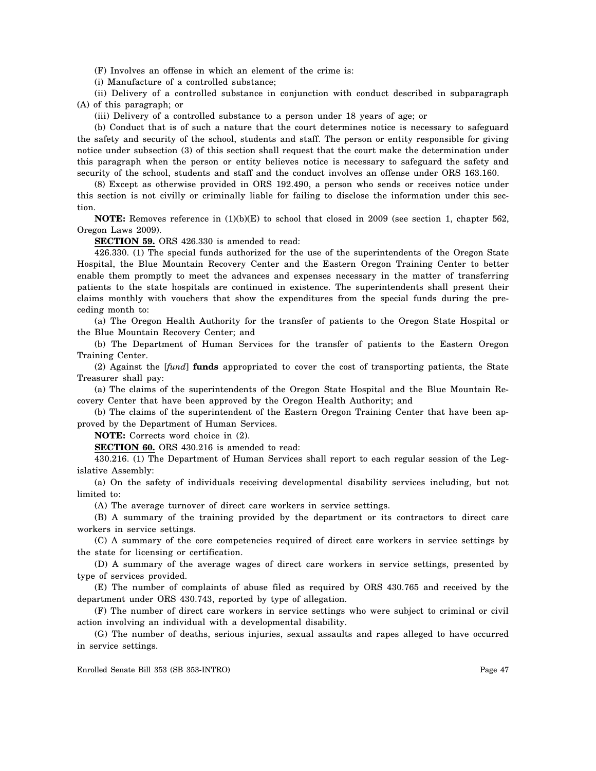(F) Involves an offense in which an element of the crime is:

(i) Manufacture of a controlled substance;

(ii) Delivery of a controlled substance in conjunction with conduct described in subparagraph (A) of this paragraph; or

(iii) Delivery of a controlled substance to a person under 18 years of age; or

(b) Conduct that is of such a nature that the court determines notice is necessary to safeguard the safety and security of the school, students and staff. The person or entity responsible for giving notice under subsection (3) of this section shall request that the court make the determination under this paragraph when the person or entity believes notice is necessary to safeguard the safety and security of the school, students and staff and the conduct involves an offense under ORS 163.160.

(8) Except as otherwise provided in ORS 192.490, a person who sends or receives notice under this section is not civilly or criminally liable for failing to disclose the information under this section.

**NOTE:** Removes reference in (1)(b)(E) to school that closed in 2009 (see section 1, chapter 562, Oregon Laws 2009).

**SECTION 59.** ORS 426.330 is amended to read:

426.330. (1) The special funds authorized for the use of the superintendents of the Oregon State Hospital, the Blue Mountain Recovery Center and the Eastern Oregon Training Center to better enable them promptly to meet the advances and expenses necessary in the matter of transferring patients to the state hospitals are continued in existence. The superintendents shall present their claims monthly with vouchers that show the expenditures from the special funds during the preceding month to:

(a) The Oregon Health Authority for the transfer of patients to the Oregon State Hospital or the Blue Mountain Recovery Center; and

(b) The Department of Human Services for the transfer of patients to the Eastern Oregon Training Center.

(2) Against the [*fund*] **funds** appropriated to cover the cost of transporting patients, the State Treasurer shall pay:

(a) The claims of the superintendents of the Oregon State Hospital and the Blue Mountain Recovery Center that have been approved by the Oregon Health Authority; and

(b) The claims of the superintendent of the Eastern Oregon Training Center that have been approved by the Department of Human Services.

**NOTE:** Corrects word choice in (2).

**SECTION 60.** ORS 430.216 is amended to read:

430.216. (1) The Department of Human Services shall report to each regular session of the Legislative Assembly:

(a) On the safety of individuals receiving developmental disability services including, but not limited to:

(A) The average turnover of direct care workers in service settings.

(B) A summary of the training provided by the department or its contractors to direct care workers in service settings.

(C) A summary of the core competencies required of direct care workers in service settings by the state for licensing or certification.

(D) A summary of the average wages of direct care workers in service settings, presented by type of services provided.

(E) The number of complaints of abuse filed as required by ORS 430.765 and received by the department under ORS 430.743, reported by type of allegation.

(F) The number of direct care workers in service settings who were subject to criminal or civil action involving an individual with a developmental disability.

(G) The number of deaths, serious injuries, sexual assaults and rapes alleged to have occurred in service settings.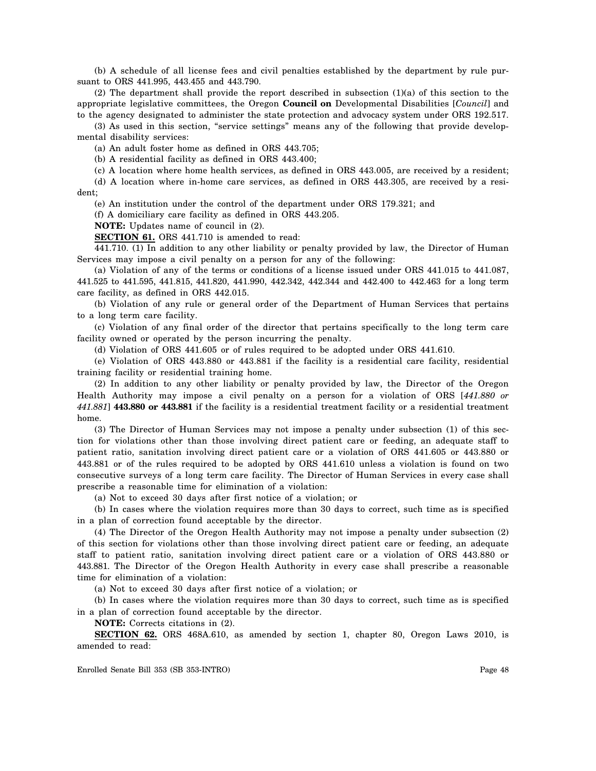(b) A schedule of all license fees and civil penalties established by the department by rule pursuant to ORS 441.995, 443.455 and 443.790.

(2) The department shall provide the report described in subsection (1)(a) of this section to the appropriate legislative committees, the Oregon **Council on** Developmental Disabilities [*Council*] and to the agency designated to administer the state protection and advocacy system under ORS 192.517.

(3) As used in this section, "service settings" means any of the following that provide developmental disability services:

(a) An adult foster home as defined in ORS 443.705;

(b) A residential facility as defined in ORS 443.400;

(c) A location where home health services, as defined in ORS 443.005, are received by a resident;

(d) A location where in-home care services, as defined in ORS 443.305, are received by a resident;

(e) An institution under the control of the department under ORS 179.321; and

(f) A domiciliary care facility as defined in ORS 443.205.

**NOTE:** Updates name of council in (2).

**SECTION 61.** ORS 441.710 is amended to read:

441.710. (1) In addition to any other liability or penalty provided by law, the Director of Human Services may impose a civil penalty on a person for any of the following:

(a) Violation of any of the terms or conditions of a license issued under ORS 441.015 to 441.087, 441.525 to 441.595, 441.815, 441.820, 441.990, 442.342, 442.344 and 442.400 to 442.463 for a long term care facility, as defined in ORS 442.015.

(b) Violation of any rule or general order of the Department of Human Services that pertains to a long term care facility.

(c) Violation of any final order of the director that pertains specifically to the long term care facility owned or operated by the person incurring the penalty.

(d) Violation of ORS 441.605 or of rules required to be adopted under ORS 441.610.

(e) Violation of ORS 443.880 or 443.881 if the facility is a residential care facility, residential training facility or residential training home.

(2) In addition to any other liability or penalty provided by law, the Director of the Oregon Health Authority may impose a civil penalty on a person for a violation of ORS [*441.880 or 441.881*] **443.880 or 443.881** if the facility is a residential treatment facility or a residential treatment home.

(3) The Director of Human Services may not impose a penalty under subsection (1) of this section for violations other than those involving direct patient care or feeding, an adequate staff to patient ratio, sanitation involving direct patient care or a violation of ORS 441.605 or 443.880 or 443.881 or of the rules required to be adopted by ORS 441.610 unless a violation is found on two consecutive surveys of a long term care facility. The Director of Human Services in every case shall prescribe a reasonable time for elimination of a violation:

(a) Not to exceed 30 days after first notice of a violation; or

(b) In cases where the violation requires more than 30 days to correct, such time as is specified in a plan of correction found acceptable by the director.

(4) The Director of the Oregon Health Authority may not impose a penalty under subsection (2) of this section for violations other than those involving direct patient care or feeding, an adequate staff to patient ratio, sanitation involving direct patient care or a violation of ORS 443.880 or 443.881. The Director of the Oregon Health Authority in every case shall prescribe a reasonable time for elimination of a violation:

(a) Not to exceed 30 days after first notice of a violation; or

(b) In cases where the violation requires more than 30 days to correct, such time as is specified in a plan of correction found acceptable by the director.

**NOTE:** Corrects citations in (2).

**SECTION 62.** ORS 468A.610, as amended by section 1, chapter 80, Oregon Laws 2010, is amended to read: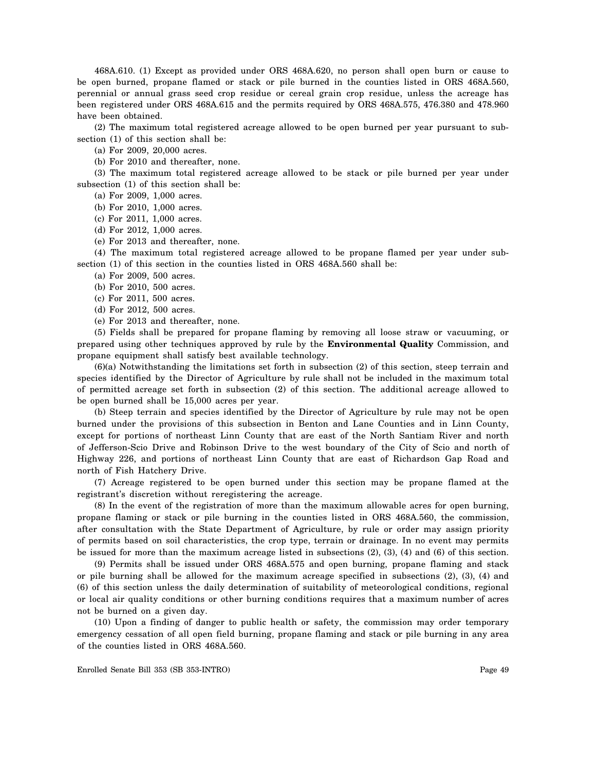468A.610. (1) Except as provided under ORS 468A.620, no person shall open burn or cause to be open burned, propane flamed or stack or pile burned in the counties listed in ORS 468A.560, perennial or annual grass seed crop residue or cereal grain crop residue, unless the acreage has been registered under ORS 468A.615 and the permits required by ORS 468A.575, 476.380 and 478.960 have been obtained.

(2) The maximum total registered acreage allowed to be open burned per year pursuant to subsection (1) of this section shall be:

(a) For 2009, 20,000 acres.

(b) For 2010 and thereafter, none.

(3) The maximum total registered acreage allowed to be stack or pile burned per year under subsection (1) of this section shall be:

(a) For 2009, 1,000 acres.

(b) For 2010, 1,000 acres.

(c) For 2011, 1,000 acres.

(d) For 2012, 1,000 acres.

(e) For 2013 and thereafter, none.

(4) The maximum total registered acreage allowed to be propane flamed per year under subsection (1) of this section in the counties listed in ORS 468A.560 shall be:

(a) For 2009, 500 acres.

(b) For 2010, 500 acres.

(c) For 2011, 500 acres.

(d) For 2012, 500 acres.

(e) For 2013 and thereafter, none.

(5) Fields shall be prepared for propane flaming by removing all loose straw or vacuuming, or prepared using other techniques approved by rule by the **Environmental Quality** Commission, and propane equipment shall satisfy best available technology.

(6)(a) Notwithstanding the limitations set forth in subsection (2) of this section, steep terrain and species identified by the Director of Agriculture by rule shall not be included in the maximum total of permitted acreage set forth in subsection (2) of this section. The additional acreage allowed to be open burned shall be 15,000 acres per year.

(b) Steep terrain and species identified by the Director of Agriculture by rule may not be open burned under the provisions of this subsection in Benton and Lane Counties and in Linn County, except for portions of northeast Linn County that are east of the North Santiam River and north of Jefferson-Scio Drive and Robinson Drive to the west boundary of the City of Scio and north of Highway 226, and portions of northeast Linn County that are east of Richardson Gap Road and north of Fish Hatchery Drive.

(7) Acreage registered to be open burned under this section may be propane flamed at the registrant's discretion without reregistering the acreage.

(8) In the event of the registration of more than the maximum allowable acres for open burning, propane flaming or stack or pile burning in the counties listed in ORS 468A.560, the commission, after consultation with the State Department of Agriculture, by rule or order may assign priority of permits based on soil characteristics, the crop type, terrain or drainage. In no event may permits be issued for more than the maximum acreage listed in subsections (2), (3), (4) and (6) of this section.

(9) Permits shall be issued under ORS 468A.575 and open burning, propane flaming and stack or pile burning shall be allowed for the maximum acreage specified in subsections (2), (3), (4) and (6) of this section unless the daily determination of suitability of meteorological conditions, regional or local air quality conditions or other burning conditions requires that a maximum number of acres not be burned on a given day.

(10) Upon a finding of danger to public health or safety, the commission may order temporary emergency cessation of all open field burning, propane flaming and stack or pile burning in any area of the counties listed in ORS 468A.560.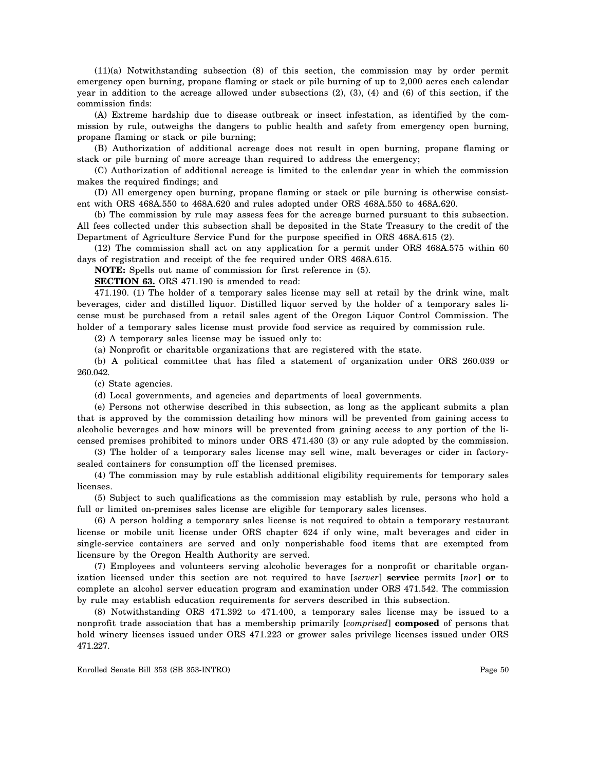(11)(a) Notwithstanding subsection (8) of this section, the commission may by order permit emergency open burning, propane flaming or stack or pile burning of up to 2,000 acres each calendar year in addition to the acreage allowed under subsections (2), (3), (4) and (6) of this section, if the commission finds:

(A) Extreme hardship due to disease outbreak or insect infestation, as identified by the commission by rule, outweighs the dangers to public health and safety from emergency open burning, propane flaming or stack or pile burning;

(B) Authorization of additional acreage does not result in open burning, propane flaming or stack or pile burning of more acreage than required to address the emergency;

(C) Authorization of additional acreage is limited to the calendar year in which the commission makes the required findings; and

(D) All emergency open burning, propane flaming or stack or pile burning is otherwise consistent with ORS 468A.550 to 468A.620 and rules adopted under ORS 468A.550 to 468A.620.

(b) The commission by rule may assess fees for the acreage burned pursuant to this subsection. All fees collected under this subsection shall be deposited in the State Treasury to the credit of the Department of Agriculture Service Fund for the purpose specified in ORS 468A.615 (2).

(12) The commission shall act on any application for a permit under ORS 468A.575 within 60 days of registration and receipt of the fee required under ORS 468A.615.

**NOTE:** Spells out name of commission for first reference in (5).

**SECTION 63.** ORS 471.190 is amended to read:

471.190. (1) The holder of a temporary sales license may sell at retail by the drink wine, malt beverages, cider and distilled liquor. Distilled liquor served by the holder of a temporary sales license must be purchased from a retail sales agent of the Oregon Liquor Control Commission. The holder of a temporary sales license must provide food service as required by commission rule.

(2) A temporary sales license may be issued only to:

(a) Nonprofit or charitable organizations that are registered with the state.

(b) A political committee that has filed a statement of organization under ORS 260.039 or 260.042.

(c) State agencies.

(d) Local governments, and agencies and departments of local governments.

(e) Persons not otherwise described in this subsection, as long as the applicant submits a plan that is approved by the commission detailing how minors will be prevented from gaining access to alcoholic beverages and how minors will be prevented from gaining access to any portion of the licensed premises prohibited to minors under ORS 471.430 (3) or any rule adopted by the commission.

(3) The holder of a temporary sales license may sell wine, malt beverages or cider in factorysealed containers for consumption off the licensed premises.

(4) The commission may by rule establish additional eligibility requirements for temporary sales licenses.

(5) Subject to such qualifications as the commission may establish by rule, persons who hold a full or limited on-premises sales license are eligible for temporary sales licenses.

(6) A person holding a temporary sales license is not required to obtain a temporary restaurant license or mobile unit license under ORS chapter 624 if only wine, malt beverages and cider in single-service containers are served and only nonperishable food items that are exempted from licensure by the Oregon Health Authority are served.

(7) Employees and volunteers serving alcoholic beverages for a nonprofit or charitable organization licensed under this section are not required to have [*server*] **service** permits [*nor*] **or** to complete an alcohol server education program and examination under ORS 471.542. The commission by rule may establish education requirements for servers described in this subsection.

(8) Notwithstanding ORS 471.392 to 471.400, a temporary sales license may be issued to a nonprofit trade association that has a membership primarily [*comprised*] **composed** of persons that hold winery licenses issued under ORS 471.223 or grower sales privilege licenses issued under ORS 471.227.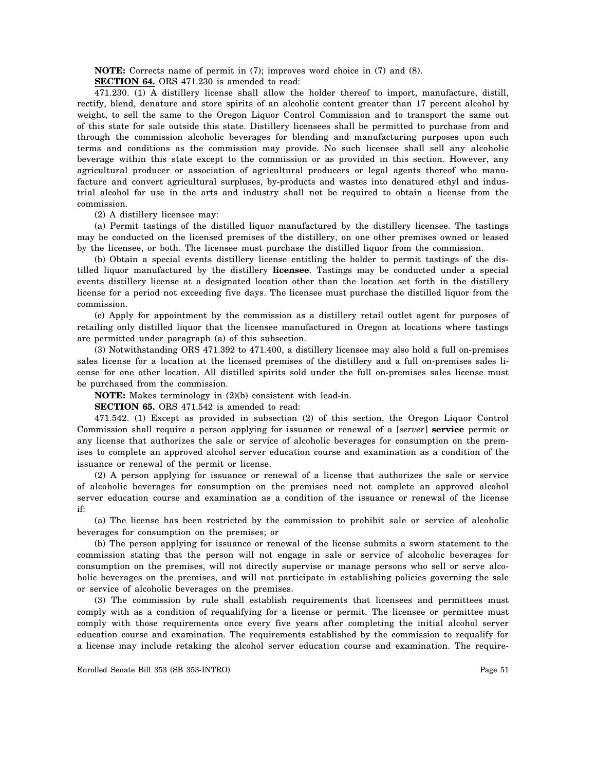**NOTE:** Corrects name of permit in (7); improves word choice in (7) and (8).

**SECTION 64.** ORS 471.230 is amended to read:

471.230. (1) A distillery license shall allow the holder thereof to import, manufacture, distill, rectify, blend, denature and store spirits of an alcoholic content greater than 17 percent alcohol by weight, to sell the same to the Oregon Liquor Control Commission and to transport the same out of this state for sale outside this state. Distillery licensees shall be permitted to purchase from and through the commission alcoholic beverages for blending and manufacturing purposes upon such terms and conditions as the commission may provide. No such licensee shall sell any alcoholic beverage within this state except to the commission or as provided in this section. However, any agricultural producer or association of agricultural producers or legal agents thereof who manufacture and convert agricultural surpluses, by-products and wastes into denatured ethyl and industrial alcohol for use in the arts and industry shall not be required to obtain a license from the commission.

(2) A distillery licensee may:

(a) Permit tastings of the distilled liquor manufactured by the distillery licensee. The tastings may be conducted on the licensed premises of the distillery, on one other premises owned or leased by the licensee, or both. The licensee must purchase the distilled liquor from the commission.

(b) Obtain a special events distillery license entitling the holder to permit tastings of the distilled liquor manufactured by the distillery **licensee**. Tastings may be conducted under a special events distillery license at a designated location other than the location set forth in the distillery license for a period not exceeding five days. The licensee must purchase the distilled liquor from the commission.

(c) Apply for appointment by the commission as a distillery retail outlet agent for purposes of retailing only distilled liquor that the licensee manufactured in Oregon at locations where tastings are permitted under paragraph (a) of this subsection.

(3) Notwithstanding ORS 471.392 to 471.400, a distillery licensee may also hold a full on-premises sales license for a location at the licensed premises of the distillery and a full on-premises sales license for one other location. All distilled spirits sold under the full on-premises sales license must be purchased from the commission.

**NOTE:** Makes terminology in (2)(b) consistent with lead-in.

**SECTION 65.** ORS 471.542 is amended to read:

471.542. (1) Except as provided in subsection (2) of this section, the Oregon Liquor Control Commission shall require a person applying for issuance or renewal of a [*server*] **service** permit or any license that authorizes the sale or service of alcoholic beverages for consumption on the premises to complete an approved alcohol server education course and examination as a condition of the issuance or renewal of the permit or license.

(2) A person applying for issuance or renewal of a license that authorizes the sale or service of alcoholic beverages for consumption on the premises need not complete an approved alcohol server education course and examination as a condition of the issuance or renewal of the license if:

(a) The license has been restricted by the commission to prohibit sale or service of alcoholic beverages for consumption on the premises; or

(b) The person applying for issuance or renewal of the license submits a sworn statement to the commission stating that the person will not engage in sale or service of alcoholic beverages for consumption on the premises, will not directly supervise or manage persons who sell or serve alcoholic beverages on the premises, and will not participate in establishing policies governing the sale or service of alcoholic beverages on the premises.

(3) The commission by rule shall establish requirements that licensees and permittees must comply with as a condition of requalifying for a license or permit. The licensee or permittee must comply with those requirements once every five years after completing the initial alcohol server education course and examination. The requirements established by the commission to requalify for a license may include retaking the alcohol server education course and examination. The require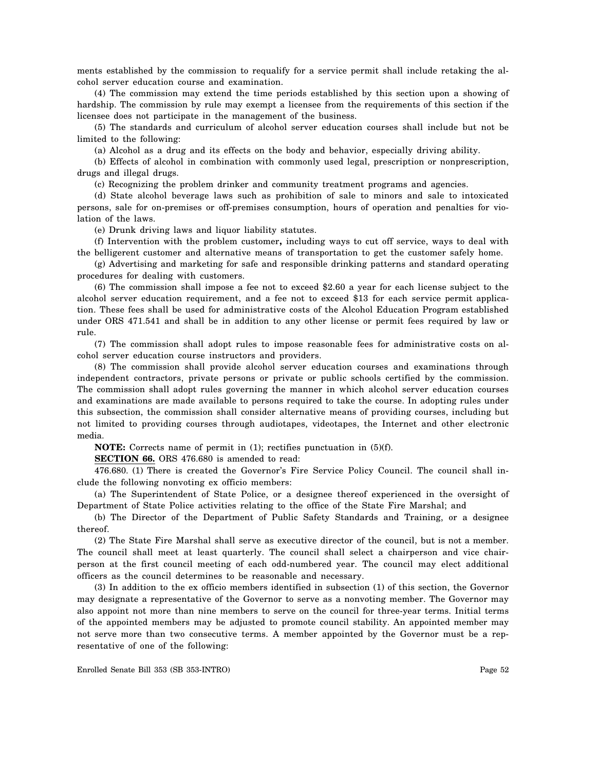ments established by the commission to requalify for a service permit shall include retaking the alcohol server education course and examination.

(4) The commission may extend the time periods established by this section upon a showing of hardship. The commission by rule may exempt a licensee from the requirements of this section if the licensee does not participate in the management of the business.

(5) The standards and curriculum of alcohol server education courses shall include but not be limited to the following:

(a) Alcohol as a drug and its effects on the body and behavior, especially driving ability.

(b) Effects of alcohol in combination with commonly used legal, prescription or nonprescription, drugs and illegal drugs.

(c) Recognizing the problem drinker and community treatment programs and agencies.

(d) State alcohol beverage laws such as prohibition of sale to minors and sale to intoxicated persons, sale for on-premises or off-premises consumption, hours of operation and penalties for violation of the laws.

(e) Drunk driving laws and liquor liability statutes.

(f) Intervention with the problem customer**,** including ways to cut off service, ways to deal with the belligerent customer and alternative means of transportation to get the customer safely home.

(g) Advertising and marketing for safe and responsible drinking patterns and standard operating procedures for dealing with customers.

(6) The commission shall impose a fee not to exceed \$2.60 a year for each license subject to the alcohol server education requirement, and a fee not to exceed \$13 for each service permit application. These fees shall be used for administrative costs of the Alcohol Education Program established under ORS 471.541 and shall be in addition to any other license or permit fees required by law or rule.

(7) The commission shall adopt rules to impose reasonable fees for administrative costs on alcohol server education course instructors and providers.

(8) The commission shall provide alcohol server education courses and examinations through independent contractors, private persons or private or public schools certified by the commission. The commission shall adopt rules governing the manner in which alcohol server education courses and examinations are made available to persons required to take the course. In adopting rules under this subsection, the commission shall consider alternative means of providing courses, including but not limited to providing courses through audiotapes, videotapes, the Internet and other electronic media.

**NOTE:** Corrects name of permit in (1); rectifies punctuation in (5)(f).

**SECTION 66.** ORS 476.680 is amended to read:

476.680. (1) There is created the Governor's Fire Service Policy Council. The council shall include the following nonvoting ex officio members:

(a) The Superintendent of State Police, or a designee thereof experienced in the oversight of Department of State Police activities relating to the office of the State Fire Marshal; and

(b) The Director of the Department of Public Safety Standards and Training, or a designee thereof.

(2) The State Fire Marshal shall serve as executive director of the council, but is not a member. The council shall meet at least quarterly. The council shall select a chairperson and vice chairperson at the first council meeting of each odd-numbered year. The council may elect additional officers as the council determines to be reasonable and necessary.

(3) In addition to the ex officio members identified in subsection (1) of this section, the Governor may designate a representative of the Governor to serve as a nonvoting member. The Governor may also appoint not more than nine members to serve on the council for three-year terms. Initial terms of the appointed members may be adjusted to promote council stability. An appointed member may not serve more than two consecutive terms. A member appointed by the Governor must be a representative of one of the following: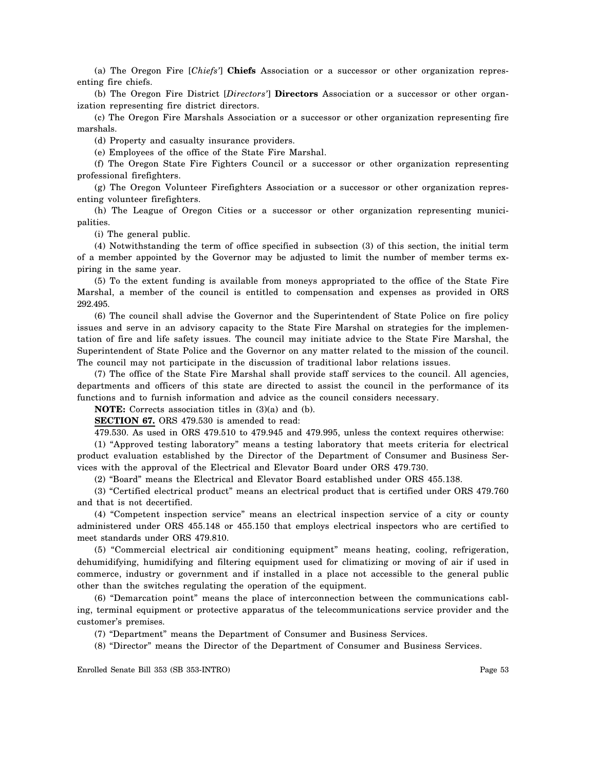(a) The Oregon Fire [*Chiefs'*] **Chiefs** Association or a successor or other organization representing fire chiefs.

(b) The Oregon Fire District [*Directors'*] **Directors** Association or a successor or other organization representing fire district directors.

(c) The Oregon Fire Marshals Association or a successor or other organization representing fire marshals.

(d) Property and casualty insurance providers.

(e) Employees of the office of the State Fire Marshal.

(f) The Oregon State Fire Fighters Council or a successor or other organization representing professional firefighters.

(g) The Oregon Volunteer Firefighters Association or a successor or other organization representing volunteer firefighters.

(h) The League of Oregon Cities or a successor or other organization representing municipalities.

(i) The general public.

(4) Notwithstanding the term of office specified in subsection (3) of this section, the initial term of a member appointed by the Governor may be adjusted to limit the number of member terms expiring in the same year.

(5) To the extent funding is available from moneys appropriated to the office of the State Fire Marshal, a member of the council is entitled to compensation and expenses as provided in ORS 292.495.

(6) The council shall advise the Governor and the Superintendent of State Police on fire policy issues and serve in an advisory capacity to the State Fire Marshal on strategies for the implementation of fire and life safety issues. The council may initiate advice to the State Fire Marshal, the Superintendent of State Police and the Governor on any matter related to the mission of the council. The council may not participate in the discussion of traditional labor relations issues.

(7) The office of the State Fire Marshal shall provide staff services to the council. All agencies, departments and officers of this state are directed to assist the council in the performance of its functions and to furnish information and advice as the council considers necessary.

**NOTE:** Corrects association titles in (3)(a) and (b).

**SECTION 67.** ORS 479.530 is amended to read:

479.530. As used in ORS 479.510 to 479.945 and 479.995, unless the context requires otherwise:

(1) "Approved testing laboratory" means a testing laboratory that meets criteria for electrical product evaluation established by the Director of the Department of Consumer and Business Services with the approval of the Electrical and Elevator Board under ORS 479.730.

(2) "Board" means the Electrical and Elevator Board established under ORS 455.138.

(3) "Certified electrical product" means an electrical product that is certified under ORS 479.760 and that is not decertified.

(4) "Competent inspection service" means an electrical inspection service of a city or county administered under ORS 455.148 or 455.150 that employs electrical inspectors who are certified to meet standards under ORS 479.810.

(5) "Commercial electrical air conditioning equipment" means heating, cooling, refrigeration, dehumidifying, humidifying and filtering equipment used for climatizing or moving of air if used in commerce, industry or government and if installed in a place not accessible to the general public other than the switches regulating the operation of the equipment.

(6) "Demarcation point" means the place of interconnection between the communications cabling, terminal equipment or protective apparatus of the telecommunications service provider and the customer's premises.

(7) "Department" means the Department of Consumer and Business Services.

(8) "Director" means the Director of the Department of Consumer and Business Services.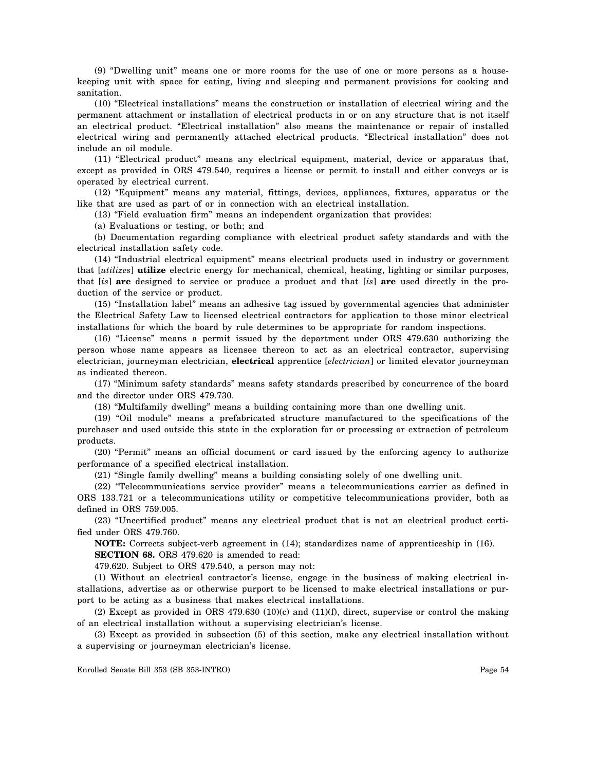(9) "Dwelling unit" means one or more rooms for the use of one or more persons as a housekeeping unit with space for eating, living and sleeping and permanent provisions for cooking and sanitation.

(10) "Electrical installations" means the construction or installation of electrical wiring and the permanent attachment or installation of electrical products in or on any structure that is not itself an electrical product. "Electrical installation" also means the maintenance or repair of installed electrical wiring and permanently attached electrical products. "Electrical installation" does not include an oil module.

(11) "Electrical product" means any electrical equipment, material, device or apparatus that, except as provided in ORS 479.540, requires a license or permit to install and either conveys or is operated by electrical current.

(12) "Equipment" means any material, fittings, devices, appliances, fixtures, apparatus or the like that are used as part of or in connection with an electrical installation.

(13) "Field evaluation firm" means an independent organization that provides:

(a) Evaluations or testing, or both; and

(b) Documentation regarding compliance with electrical product safety standards and with the electrical installation safety code.

(14) "Industrial electrical equipment" means electrical products used in industry or government that [*utilizes*] **utilize** electric energy for mechanical, chemical, heating, lighting or similar purposes, that [*is*] **are** designed to service or produce a product and that [*is*] **are** used directly in the production of the service or product.

(15) "Installation label" means an adhesive tag issued by governmental agencies that administer the Electrical Safety Law to licensed electrical contractors for application to those minor electrical installations for which the board by rule determines to be appropriate for random inspections.

(16) "License" means a permit issued by the department under ORS 479.630 authorizing the person whose name appears as licensee thereon to act as an electrical contractor, supervising electrician, journeyman electrician, **electrical** apprentice [*electrician*] or limited elevator journeyman as indicated thereon.

(17) "Minimum safety standards" means safety standards prescribed by concurrence of the board and the director under ORS 479.730.

(18) "Multifamily dwelling" means a building containing more than one dwelling unit.

(19) "Oil module" means a prefabricated structure manufactured to the specifications of the purchaser and used outside this state in the exploration for or processing or extraction of petroleum products.

(20) "Permit" means an official document or card issued by the enforcing agency to authorize performance of a specified electrical installation.

(21) "Single family dwelling" means a building consisting solely of one dwelling unit.

(22) "Telecommunications service provider" means a telecommunications carrier as defined in ORS 133.721 or a telecommunications utility or competitive telecommunications provider, both as defined in ORS 759.005.

(23) "Uncertified product" means any electrical product that is not an electrical product certified under ORS 479.760.

**NOTE:** Corrects subject-verb agreement in (14); standardizes name of apprenticeship in (16). **SECTION 68.** ORS 479.620 is amended to read:

479.620. Subject to ORS 479.540, a person may not:

(1) Without an electrical contractor's license, engage in the business of making electrical installations, advertise as or otherwise purport to be licensed to make electrical installations or purport to be acting as a business that makes electrical installations.

(2) Except as provided in ORS 479.630 (10)(c) and (11)(f), direct, supervise or control the making of an electrical installation without a supervising electrician's license.

(3) Except as provided in subsection (5) of this section, make any electrical installation without a supervising or journeyman electrician's license.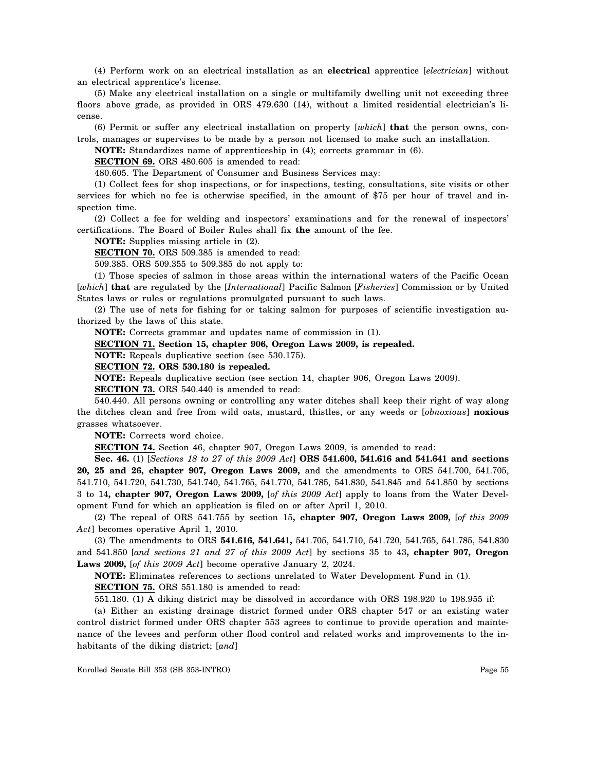(4) Perform work on an electrical installation as an **electrical** apprentice [*electrician*] without an electrical apprentice's license.

(5) Make any electrical installation on a single or multifamily dwelling unit not exceeding three floors above grade, as provided in ORS 479.630 (14), without a limited residential electrician's license.

(6) Permit or suffer any electrical installation on property [*which*] **that** the person owns, controls, manages or supervises to be made by a person not licensed to make such an installation.

**NOTE:** Standardizes name of apprenticeship in (4); corrects grammar in (6).

**SECTION 69.** ORS 480.605 is amended to read:

480.605. The Department of Consumer and Business Services may:

(1) Collect fees for shop inspections, or for inspections, testing, consultations, site visits or other services for which no fee is otherwise specified, in the amount of \$75 per hour of travel and inspection time.

(2) Collect a fee for welding and inspectors' examinations and for the renewal of inspectors' certifications. The Board of Boiler Rules shall fix  **the** amount of the fee.

**NOTE:** Supplies missing article in (2).

**SECTION 70.** ORS 509.385 is amended to read:

509.385. ORS 509.355 to 509.385 do not apply to:

(1) Those species of salmon in those areas within the international waters of the Pacific Ocean [*which*] **that** are regulated by the [*International*] Pacific Salmon [*Fisheries*] Commission or by United States laws or rules or regulations promulgated pursuant to such laws.

(2) The use of nets for fishing for or taking salmon for purposes of scientific investigation authorized by the laws of this state.

**NOTE:** Corrects grammar and updates name of commission in (1).

### **SECTION 71. Section 15, chapter 906, Oregon Laws 2009, is repealed.**

**NOTE:** Repeals duplicative section (see 530.175).

#### **SECTION 72. ORS 530.180 is repealed.**

**NOTE:** Repeals duplicative section (see section 14, chapter 906, Oregon Laws 2009).

**SECTION 73.** ORS 540.440 is amended to read:

540.440. All persons owning or controlling any water ditches shall keep their right of way along the ditches clean and free from wild oats, mustard, thistles, or any weeds or [*obnoxious*] **noxious**  grasses whatsoever.

**NOTE:** Corrects word choice.

**SECTION 74.** Section 46, chapter 907, Oregon Laws 2009, is amended to read:

**Sec. 46.** (1) [*Sections 18 to 27 of this 2009 Act*] **ORS 541.600, 541.616 and 541.641 and sections 20, 25 and 26, chapter 907, Oregon Laws 2009,** and the amendments to ORS 541.700, 541.705, 541.710, 541.720, 541.730, 541.740, 541.765, 541.770, 541.785, 541.830, 541.845 and 541.850 by sections 3 to 14**, chapter 907, Oregon Laws 2009,** [*of this 2009 Act*] apply to loans from the Water Development Fund for which an application is filed on or after April 1, 2010.

(2) The repeal of ORS 541.755 by section 15**, chapter 907, Oregon Laws 2009,** [*of this 2009 Act*] becomes operative April 1, 2010.

(3) The amendments to ORS **541.616, 541.641,** 541.705, 541.710, 541.720, 541.765, 541.785, 541.830 and 541.850 [*and sections 21 and 27 of this 2009 Act*] by sections 35 to 43**, chapter 907, Oregon Laws 2009,** [*of this 2009 Act*] become operative January 2, 2024.

**NOTE:** Eliminates references to sections unrelated to Water Development Fund in (1).

**SECTION 75.** ORS 551.180 is amended to read:

551.180. (1) A diking district may be dissolved in accordance with ORS 198.920 to 198.955 if:

(a) Either an existing drainage district formed under ORS chapter 547 or an existing water control district formed under ORS chapter 553 agrees to continue to provide operation and maintenance of the levees and perform other flood control and related works and improvements to the inhabitants of the diking district; [*and*]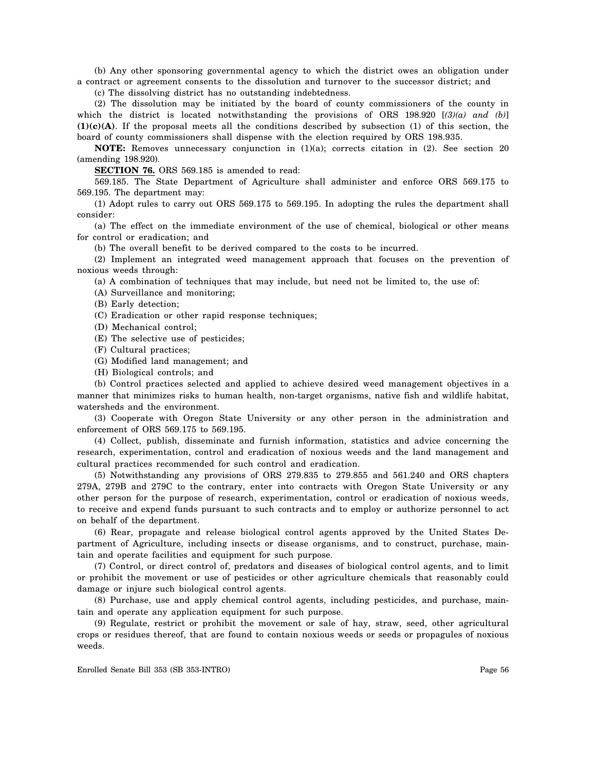(b) Any other sponsoring governmental agency to which the district owes an obligation under a contract or agreement consents to the dissolution and turnover to the successor district; and

(c) The dissolving district has no outstanding indebtedness.

(2) The dissolution may be initiated by the board of county commissioners of the county in which the district is located notwithstanding the provisions of ORS 198.920 [*(3)(a) and (b)*] **(1)(c)(A)**. If the proposal meets all the conditions described by subsection (1) of this section, the board of county commissioners shall dispense with the election required by ORS 198.935.

**NOTE:** Removes unnecessary conjunction in (1)(a); corrects citation in (2). See section 20 (amending 198.920).

**SECTION 76.** ORS 569.185 is amended to read:

569.185. The State Department of Agriculture shall administer and enforce ORS 569.175 to 569.195. The department may:

(1) Adopt rules to carry out ORS 569.175 to 569.195. In adopting the rules the department shall consider:

(a) The effect on the immediate environment of the use of chemical, biological or other means for control or eradication; and

(b) The overall benefit to be derived compared to the costs to be incurred.

(2) Implement an integrated weed management approach that focuses on the prevention of noxious weeds through:

(a) A combination of techniques that may include, but need not be limited to, the use of:

(A) Surveillance and monitoring;

(B) Early detection;

(C) Eradication or other rapid response techniques;

(D) Mechanical control;

(E) The selective use of pesticides;

(F) Cultural practices;

(G) Modified land management; and

(H) Biological controls; and

(b) Control practices selected and applied to achieve desired weed management objectives in a manner that minimizes risks to human health, non-target organisms, native fish and wildlife habitat, watersheds and the environment.

(3) Cooperate with Oregon State University or any other person in the administration and enforcement of ORS 569.175 to 569.195.

(4) Collect, publish, disseminate and furnish information, statistics and advice concerning the research, experimentation, control and eradication of noxious weeds and the land management and cultural practices recommended for such control and eradication.

(5) Notwithstanding any provisions of ORS 279.835 to 279.855 and 561.240 and ORS chapters 279A, 279B and 279C to the contrary, enter into contracts with Oregon State University or any other person for the purpose of research, experimentation, control or eradication of noxious weeds, to receive and expend funds pursuant to such contracts and to employ or authorize personnel to act on behalf of the department.

(6) Rear, propagate and release biological control agents approved by the United States Department of Agriculture, including insects or disease organisms, and to construct, purchase, maintain and operate facilities and equipment for such purpose.

(7) Control, or direct control of, predators and diseases of biological control agents, and to limit or prohibit the movement or use of pesticides or other agriculture chemicals that reasonably could damage or injure such biological control agents.

(8) Purchase, use and apply chemical control agents, including pesticides, and purchase, maintain and operate any application equipment for such purpose.

(9) Regulate, restrict or prohibit the movement or sale of hay, straw, seed, other agricultural crops or residues thereof, that are found to contain noxious weeds or seeds or propagules of noxious weeds.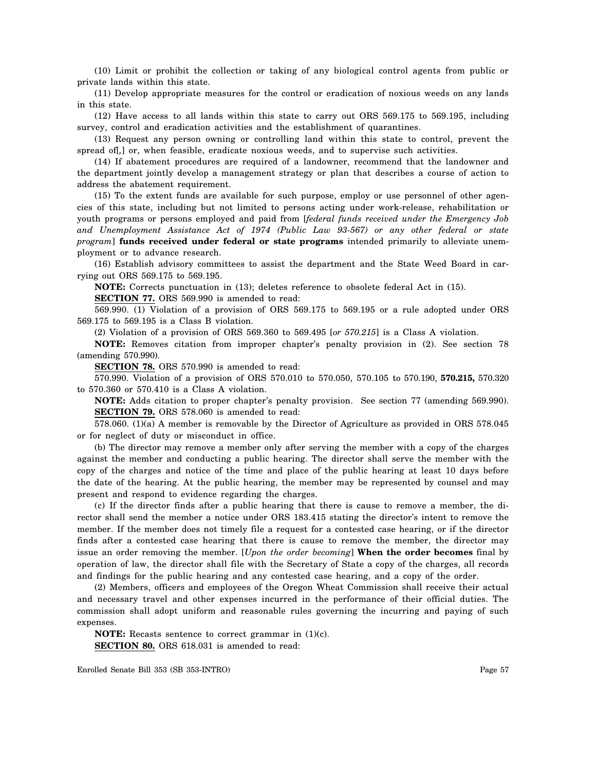(10) Limit or prohibit the collection or taking of any biological control agents from public or private lands within this state.

(11) Develop appropriate measures for the control or eradication of noxious weeds on any lands in this state.

(12) Have access to all lands within this state to carry out ORS 569.175 to 569.195, including survey, control and eradication activities and the establishment of quarantines.

(13) Request any person owning or controlling land within this state to control, prevent the spread of[*,*] or, when feasible, eradicate noxious weeds, and to supervise such activities.

(14) If abatement procedures are required of a landowner, recommend that the landowner and the department jointly develop a management strategy or plan that describes a course of action to address the abatement requirement.

(15) To the extent funds are available for such purpose, employ or use personnel of other agencies of this state, including but not limited to persons acting under work-release, rehabilitation or youth programs or persons employed and paid from [*federal funds received under the Emergency Job and Unemployment Assistance Act of 1974 (Public Law 93-567) or any other federal or state program*] **funds received under federal or state programs** intended primarily to alleviate unemployment or to advance research.

(16) Establish advisory committees to assist the department and the State Weed Board in carrying out ORS 569.175 to 569.195.

**NOTE:** Corrects punctuation in (13); deletes reference to obsolete federal Act in (15).

**SECTION 77.** ORS 569.990 is amended to read:

569.990. (1) Violation of a provision of ORS 569.175 to 569.195 or a rule adopted under ORS 569.175 to 569.195 is a Class B violation.

(2) Violation of a provision of ORS 569.360 to 569.495 [*or 570.215*] is a Class A violation.

**NOTE:** Removes citation from improper chapter's penalty provision in (2). See section 78 (amending 570.990).

**SECTION 78.** ORS 570.990 is amended to read:

570.990. Violation of a provision of ORS 570.010 to 570.050, 570.105 to 570.190, **570.215,** 570.320 to 570.360 or 570.410 is a Class A violation.

**NOTE:** Adds citation to proper chapter's penalty provision. See section 77 (amending 569.990). **SECTION 79.** ORS 578.060 is amended to read:

578.060. (1)(a) A member is removable by the Director of Agriculture as provided in ORS 578.045 or for neglect of duty or misconduct in office.

(b) The director may remove a member only after serving the member with a copy of the charges against the member and conducting a public hearing. The director shall serve the member with the copy of the charges and notice of the time and place of the public hearing at least 10 days before the date of the hearing. At the public hearing, the member may be represented by counsel and may present and respond to evidence regarding the charges.

(c) If the director finds after a public hearing that there is cause to remove a member, the director shall send the member a notice under ORS 183.415 stating the director's intent to remove the member. If the member does not timely file a request for a contested case hearing, or if the director finds after a contested case hearing that there is cause to remove the member, the director may issue an order removing the member. [*Upon the order becoming*] **When the order becomes** final by operation of law, the director shall file with the Secretary of State a copy of the charges, all records and findings for the public hearing and any contested case hearing, and a copy of the order.

(2) Members, officers and employees of the Oregon Wheat Commission shall receive their actual and necessary travel and other expenses incurred in the performance of their official duties. The commission shall adopt uniform and reasonable rules governing the incurring and paying of such expenses.

**NOTE:** Recasts sentence to correct grammar in  $(1)(c)$ . **SECTION 80.** ORS 618.031 is amended to read: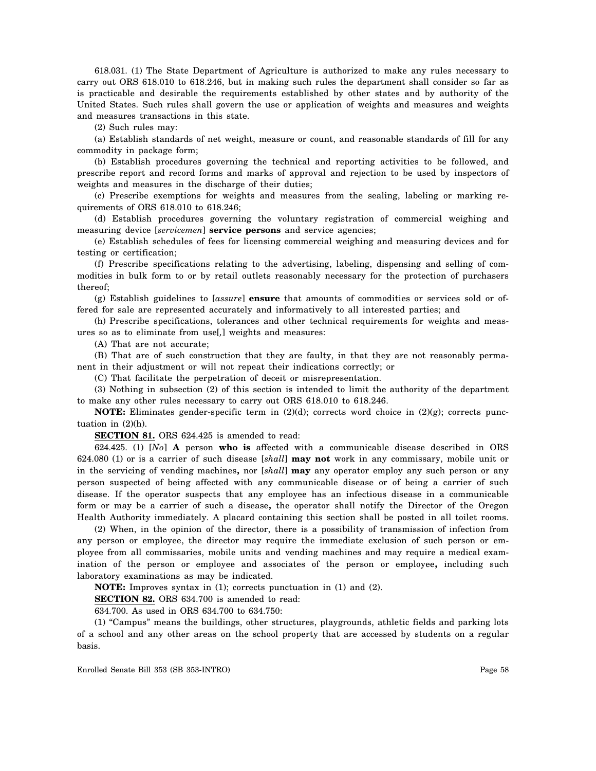618.031. (1) The State Department of Agriculture is authorized to make any rules necessary to carry out ORS 618.010 to 618.246, but in making such rules the department shall consider so far as is practicable and desirable the requirements established by other states and by authority of the United States. Such rules shall govern the use or application of weights and measures and weights and measures transactions in this state.

(2) Such rules may:

(a) Establish standards of net weight, measure or count, and reasonable standards of fill for any commodity in package form;

(b) Establish procedures governing the technical and reporting activities to be followed, and prescribe report and record forms and marks of approval and rejection to be used by inspectors of weights and measures in the discharge of their duties;

(c) Prescribe exemptions for weights and measures from the sealing, labeling or marking requirements of ORS 618.010 to 618.246;

(d) Establish procedures governing the voluntary registration of commercial weighing and measuring device [*servicemen*] **service persons** and service agencies;

(e) Establish schedules of fees for licensing commercial weighing and measuring devices and for testing or certification;

(f) Prescribe specifications relating to the advertising, labeling, dispensing and selling of commodities in bulk form to or by retail outlets reasonably necessary for the protection of purchasers thereof;

(g) Establish guidelines to [*assure*] **ensure** that amounts of commodities or services sold or offered for sale are represented accurately and informatively to all interested parties; and

(h) Prescribe specifications, tolerances and other technical requirements for weights and measures so as to eliminate from use[*,*] weights and measures:

(A) That are not accurate;

(B) That are of such construction that they are faulty, in that they are not reasonably permanent in their adjustment or will not repeat their indications correctly; or

(C) That facilitate the perpetration of deceit or misrepresentation.

(3) Nothing in subsection (2) of this section is intended to limit the authority of the department to make any other rules necessary to carry out ORS 618.010 to 618.246.

**NOTE:** Eliminates gender-specific term in (2)(d); corrects word choice in (2)(g); corrects punctuation in (2)(h).

**SECTION 81.** ORS 624.425 is amended to read:

624.425. (1) [*No*] **A** person **who is** affected with a communicable disease described in ORS 624.080 (1) or is a carrier of such disease [*shall*] **may not** work in any commissary, mobile unit or in the servicing of vending machines**,** nor [*shall*] **may** any operator employ any such person or any person suspected of being affected with any communicable disease or of being a carrier of such disease. If the operator suspects that any employee has an infectious disease in a communicable form or may be a carrier of such a disease**,** the operator shall notify the Director of the Oregon Health Authority immediately. A placard containing this section shall be posted in all toilet rooms.

(2) When, in the opinion of the director, there is a possibility of transmission of infection from any person or employee, the director may require the immediate exclusion of such person or employee from all commissaries, mobile units and vending machines and may require a medical examination of the person or employee and associates of the person or employee**,** including such laboratory examinations as may be indicated.

**NOTE:** Improves syntax in (1); corrects punctuation in (1) and (2).

**SECTION 82.** ORS 634.700 is amended to read:

634.700. As used in ORS 634.700 to 634.750:

(1) "Campus" means the buildings, other structures, playgrounds, athletic fields and parking lots of a school and any other areas on the school property that are accessed by students on a regular basis.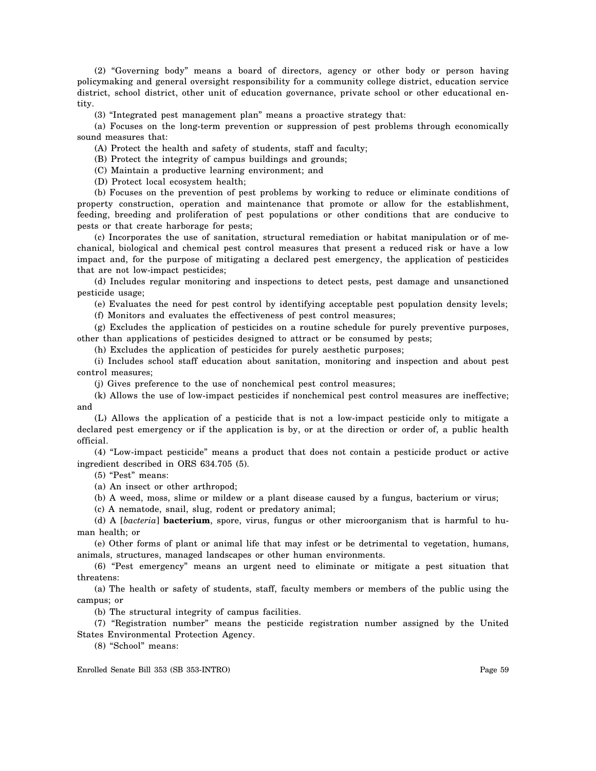(2) "Governing body" means a board of directors, agency or other body or person having policymaking and general oversight responsibility for a community college district, education service district, school district, other unit of education governance, private school or other educational entity.

(3) "Integrated pest management plan" means a proactive strategy that:

(a) Focuses on the long-term prevention or suppression of pest problems through economically sound measures that:

(A) Protect the health and safety of students, staff and faculty;

(B) Protect the integrity of campus buildings and grounds;

(C) Maintain a productive learning environment; and

(D) Protect local ecosystem health;

(b) Focuses on the prevention of pest problems by working to reduce or eliminate conditions of property construction, operation and maintenance that promote or allow for the establishment, feeding, breeding and proliferation of pest populations or other conditions that are conducive to pests or that create harborage for pests;

(c) Incorporates the use of sanitation, structural remediation or habitat manipulation or of mechanical, biological and chemical pest control measures that present a reduced risk or have a low impact and, for the purpose of mitigating a declared pest emergency, the application of pesticides that are not low-impact pesticides;

(d) Includes regular monitoring and inspections to detect pests, pest damage and unsanctioned pesticide usage;

(e) Evaluates the need for pest control by identifying acceptable pest population density levels;

(f) Monitors and evaluates the effectiveness of pest control measures;

(g) Excludes the application of pesticides on a routine schedule for purely preventive purposes, other than applications of pesticides designed to attract or be consumed by pests;

(h) Excludes the application of pesticides for purely aesthetic purposes;

(i) Includes school staff education about sanitation, monitoring and inspection and about pest control measures;

(j) Gives preference to the use of nonchemical pest control measures;

(k) Allows the use of low-impact pesticides if nonchemical pest control measures are ineffective; and

(L) Allows the application of a pesticide that is not a low-impact pesticide only to mitigate a declared pest emergency or if the application is by, or at the direction or order of, a public health official.

(4) "Low-impact pesticide" means a product that does not contain a pesticide product or active ingredient described in ORS 634.705 (5).

(5) "Pest" means:

(a) An insect or other arthropod;

(b) A weed, moss, slime or mildew or a plant disease caused by a fungus, bacterium or virus;

(c) A nematode, snail, slug, rodent or predatory animal;

(d) A [*bacteria*] **bacterium**, spore, virus, fungus or other microorganism that is harmful to human health; or

(e) Other forms of plant or animal life that may infest or be detrimental to vegetation, humans, animals, structures, managed landscapes or other human environments.

(6) "Pest emergency" means an urgent need to eliminate or mitigate a pest situation that threatens:

(a) The health or safety of students, staff, faculty members or members of the public using the campus; or

(b) The structural integrity of campus facilities.

(7) "Registration number" means the pesticide registration number assigned by the United States Environmental Protection Agency.

(8) "School" means: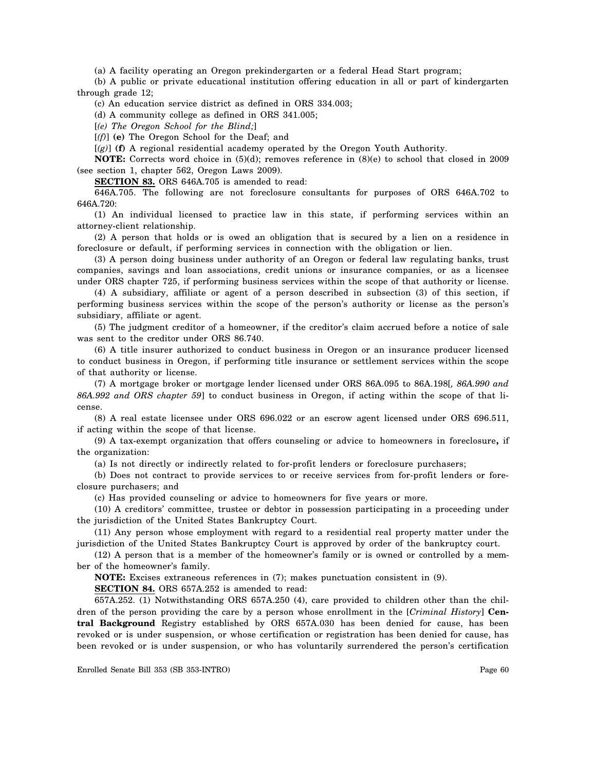(a) A facility operating an Oregon prekindergarten or a federal Head Start program;

(b) A public or private educational institution offering education in all or part of kindergarten through grade 12;

(c) An education service district as defined in ORS 334.003;

(d) A community college as defined in ORS 341.005;

[*(e) The Oregon School for the Blind;*]

[*(f)*] **(e)** The Oregon School for the Deaf; and

[*(g)*] **(f)** A regional residential academy operated by the Oregon Youth Authority.

**NOTE:** Corrects word choice in (5)(d); removes reference in (8)(e) to school that closed in 2009 (see section 1, chapter 562, Oregon Laws 2009).

**SECTION 83.** ORS 646A.705 is amended to read:

646A.705. The following are not foreclosure consultants for purposes of ORS 646A.702 to 646A.720:

(1) An individual licensed to practice law in this state, if performing services within an attorney-client relationship.

(2) A person that holds or is owed an obligation that is secured by a lien on a residence in foreclosure or default, if performing services in connection with the obligation or lien.

(3) A person doing business under authority of an Oregon or federal law regulating banks, trust companies, savings and loan associations, credit unions or insurance companies, or as a licensee under ORS chapter 725, if performing business services within the scope of that authority or license.

(4) A subsidiary, affiliate or agent of a person described in subsection (3) of this section, if performing business services within the scope of the person's authority or license as the person's subsidiary, affiliate or agent.

(5) The judgment creditor of a homeowner, if the creditor's claim accrued before a notice of sale was sent to the creditor under ORS 86.740.

(6) A title insurer authorized to conduct business in Oregon or an insurance producer licensed to conduct business in Oregon, if performing title insurance or settlement services within the scope of that authority or license.

(7) A mortgage broker or mortgage lender licensed under ORS 86A.095 to 86A.198[*, 86A.990 and 86A.992 and ORS chapter 59*] to conduct business in Oregon, if acting within the scope of that license.

(8) A real estate licensee under ORS 696.022 or an escrow agent licensed under ORS 696.511, if acting within the scope of that license.

(9) A tax-exempt organization that offers counseling or advice to homeowners in foreclosure**,** if the organization:

(a) Is not directly or indirectly related to for-profit lenders or foreclosure purchasers;

(b) Does not contract to provide services to or receive services from for-profit lenders or foreclosure purchasers; and

(c) Has provided counseling or advice to homeowners for five years or more.

(10) A creditors' committee, trustee or debtor in possession participating in a proceeding under the jurisdiction of the United States Bankruptcy Court.

(11) Any person whose employment with regard to a residential real property matter under the jurisdiction of the United States Bankruptcy Court is approved by order of the bankruptcy court.

(12) A person that is a member of the homeowner's family or is owned or controlled by a member of the homeowner's family.

**NOTE:** Excises extraneous references in (7); makes punctuation consistent in (9).

**SECTION 84.** ORS 657A.252 is amended to read:

657A.252. (1) Notwithstanding ORS 657A.250 (4), care provided to children other than the children of the person providing the care by a person whose enrollment in the [*Criminal History*] **Central Background** Registry established by ORS 657A.030 has been denied for cause, has been revoked or is under suspension, or whose certification or registration has been denied for cause, has been revoked or is under suspension, or who has voluntarily surrendered the person's certification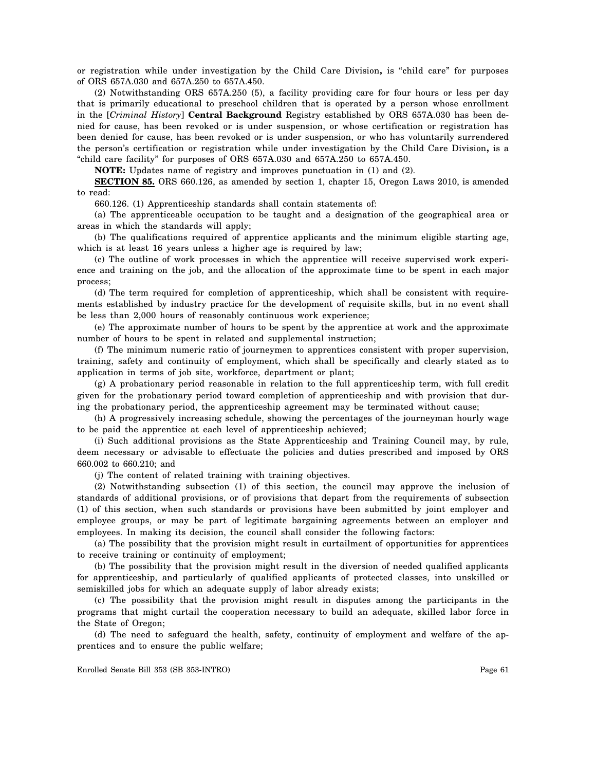or registration while under investigation by the Child Care Division**,** is "child care" for purposes of ORS 657A.030 and 657A.250 to 657A.450.

(2) Notwithstanding ORS 657A.250 (5), a facility providing care for four hours or less per day that is primarily educational to preschool children that is operated by a person whose enrollment in the [*Criminal History*] **Central Background** Registry established by ORS 657A.030 has been denied for cause, has been revoked or is under suspension, or whose certification or registration has been denied for cause, has been revoked or is under suspension, or who has voluntarily surrendered the person's certification or registration while under investigation by the Child Care Division**,** is a "child care facility" for purposes of ORS 657A.030 and 657A.250 to 657A.450.

**NOTE:** Updates name of registry and improves punctuation in (1) and (2).

**SECTION 85.** ORS 660.126, as amended by section 1, chapter 15, Oregon Laws 2010, is amended to read:

660.126. (1) Apprenticeship standards shall contain statements of:

(a) The apprenticeable occupation to be taught and a designation of the geographical area or areas in which the standards will apply;

(b) The qualifications required of apprentice applicants and the minimum eligible starting age, which is at least 16 years unless a higher age is required by law;

(c) The outline of work processes in which the apprentice will receive supervised work experience and training on the job, and the allocation of the approximate time to be spent in each major process;

(d) The term required for completion of apprenticeship, which shall be consistent with requirements established by industry practice for the development of requisite skills, but in no event shall be less than 2,000 hours of reasonably continuous work experience;

(e) The approximate number of hours to be spent by the apprentice at work and the approximate number of hours to be spent in related and supplemental instruction;

(f) The minimum numeric ratio of journeymen to apprentices consistent with proper supervision, training, safety and continuity of employment, which shall be specifically and clearly stated as to application in terms of job site, workforce, department or plant;

(g) A probationary period reasonable in relation to the full apprenticeship term, with full credit given for the probationary period toward completion of apprenticeship and with provision that during the probationary period, the apprenticeship agreement may be terminated without cause;

(h) A progressively increasing schedule, showing the percentages of the journeyman hourly wage to be paid the apprentice at each level of apprenticeship achieved;

(i) Such additional provisions as the State Apprenticeship and Training Council may, by rule, deem necessary or advisable to effectuate the policies and duties prescribed and imposed by ORS 660.002 to 660.210; and

(j) The content of related training with training objectives.

(2) Notwithstanding subsection (1) of this section, the council may approve the inclusion of standards of additional provisions, or of provisions that depart from the requirements of subsection (1) of this section, when such standards or provisions have been submitted by joint employer and employee groups, or may be part of legitimate bargaining agreements between an employer and employees. In making its decision, the council shall consider the following factors:

(a) The possibility that the provision might result in curtailment of opportunities for apprentices to receive training or continuity of employment;

(b) The possibility that the provision might result in the diversion of needed qualified applicants for apprenticeship, and particularly of qualified applicants of protected classes, into unskilled or semiskilled jobs for which an adequate supply of labor already exists;

(c) The possibility that the provision might result in disputes among the participants in the programs that might curtail the cooperation necessary to build an adequate, skilled labor force in the State of Oregon;

(d) The need to safeguard the health, safety, continuity of employment and welfare of the apprentices and to ensure the public welfare;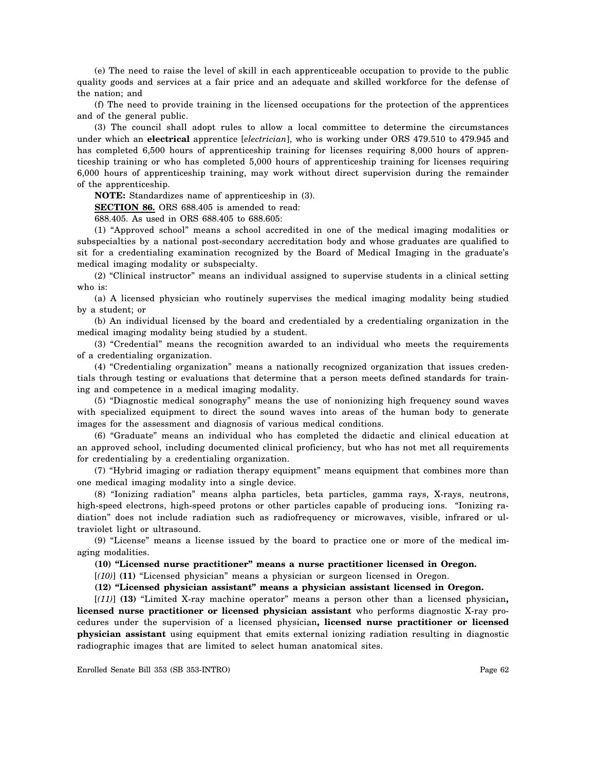(e) The need to raise the level of skill in each apprenticeable occupation to provide to the public quality goods and services at a fair price and an adequate and skilled workforce for the defense of the nation; and

(f) The need to provide training in the licensed occupations for the protection of the apprentices and of the general public.

(3) The council shall adopt rules to allow a local committee to determine the circumstances under which an **electrical** apprentice [*electrician*], who is working under ORS 479.510 to 479.945 and has completed 6,500 hours of apprenticeship training for licenses requiring 8,000 hours of apprenticeship training or who has completed 5,000 hours of apprenticeship training for licenses requiring 6,000 hours of apprenticeship training, may work without direct supervision during the remainder of the apprenticeship.

**NOTE:** Standardizes name of apprenticeship in (3).

**SECTION 86.** ORS 688.405 is amended to read:

688.405. As used in ORS 688.405 to 688.605:

(1) "Approved school" means a school accredited in one of the medical imaging modalities or subspecialties by a national post-secondary accreditation body and whose graduates are qualified to sit for a credentialing examination recognized by the Board of Medical Imaging in the graduate's medical imaging modality or subspecialty.

(2) "Clinical instructor" means an individual assigned to supervise students in a clinical setting who is:

(a) A licensed physician who routinely supervises the medical imaging modality being studied by a student; or

(b) An individual licensed by the board and credentialed by a credentialing organization in the medical imaging modality being studied by a student.

(3) "Credential" means the recognition awarded to an individual who meets the requirements of a credentialing organization.

(4) "Credentialing organization" means a nationally recognized organization that issues credentials through testing or evaluations that determine that a person meets defined standards for training and competence in a medical imaging modality.

(5) "Diagnostic medical sonography" means the use of nonionizing high frequency sound waves with specialized equipment to direct the sound waves into areas of the human body to generate images for the assessment and diagnosis of various medical conditions.

(6) "Graduate" means an individual who has completed the didactic and clinical education at an approved school, including documented clinical proficiency, but who has not met all requirements for credentialing by a credentialing organization.

(7) "Hybrid imaging or radiation therapy equipment" means equipment that combines more than one medical imaging modality into a single device.

(8) "Ionizing radiation" means alpha particles, beta particles, gamma rays, X-rays, neutrons, high-speed electrons, high-speed protons or other particles capable of producing ions. "Ionizing radiation" does not include radiation such as radiofrequency or microwaves, visible, infrared or ultraviolet light or ultrasound.

(9) "License" means a license issued by the board to practice one or more of the medical imaging modalities.

**(10) "Licensed nurse practitioner" means a nurse practitioner licensed in Oregon.** 

[*(10)*] **(11)** "Licensed physician" means a physician or surgeon licensed in Oregon.

**(12) "Licensed physician assistant" means a physician assistant licensed in Oregon.** 

[*(11)*] **(13)** "Limited X-ray machine operator" means a person other than a licensed physician**, licensed nurse practitioner or licensed physician assistant** who performs diagnostic X-ray procedures under the supervision of a licensed physician**, licensed nurse practitioner or licensed physician assistant** using equipment that emits external ionizing radiation resulting in diagnostic radiographic images that are limited to select human anatomical sites.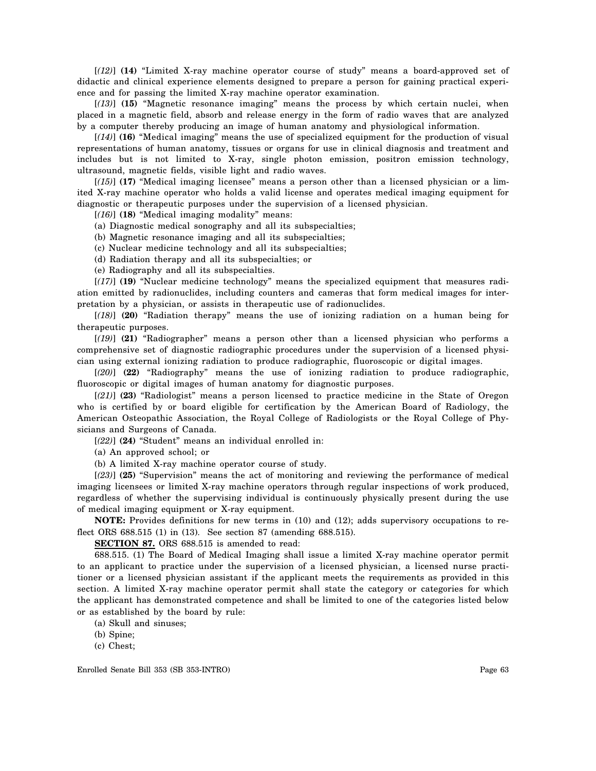[*(12)*] **(14)** "Limited X-ray machine operator course of study" means a board-approved set of didactic and clinical experience elements designed to prepare a person for gaining practical experience and for passing the limited X-ray machine operator examination.

[*(13)*] **(15)** "Magnetic resonance imaging" means the process by which certain nuclei, when placed in a magnetic field, absorb and release energy in the form of radio waves that are analyzed by a computer thereby producing an image of human anatomy and physiological information.

[*(14)*] **(16)** "Medical imaging" means the use of specialized equipment for the production of visual representations of human anatomy, tissues or organs for use in clinical diagnosis and treatment and includes but is not limited to X-ray, single photon emission, positron emission technology, ultrasound, magnetic fields, visible light and radio waves.

[*(15)*] **(17)** "Medical imaging licensee" means a person other than a licensed physician or a limited X-ray machine operator who holds a valid license and operates medical imaging equipment for diagnostic or therapeutic purposes under the supervision of a licensed physician.

[*(16)*] **(18)** "Medical imaging modality" means:

(a) Diagnostic medical sonography and all its subspecialties;

(b) Magnetic resonance imaging and all its subspecialties;

(c) Nuclear medicine technology and all its subspecialties;

(d) Radiation therapy and all its subspecialties; or

(e) Radiography and all its subspecialties.

[*(17)*] **(19)** "Nuclear medicine technology" means the specialized equipment that measures radiation emitted by radionuclides, including counters and cameras that form medical images for interpretation by a physician, or assists in therapeutic use of radionuclides.

[*(18)*] **(20)** "Radiation therapy" means the use of ionizing radiation on a human being for therapeutic purposes.

[*(19)*] **(21)** "Radiographer" means a person other than a licensed physician who performs a comprehensive set of diagnostic radiographic procedures under the supervision of a licensed physician using external ionizing radiation to produce radiographic, fluoroscopic or digital images.

[*(20)*] **(22)** "Radiography" means the use of ionizing radiation to produce radiographic, fluoroscopic or digital images of human anatomy for diagnostic purposes.

[*(21)*] **(23)** "Radiologist" means a person licensed to practice medicine in the State of Oregon who is certified by or board eligible for certification by the American Board of Radiology, the American Osteopathic Association, the Royal College of Radiologists or the Royal College of Physicians and Surgeons of Canada.

[*(22)*] **(24)** "Student" means an individual enrolled in:

(a) An approved school; or

(b) A limited X-ray machine operator course of study.

[*(23)*] **(25)** "Supervision" means the act of monitoring and reviewing the performance of medical imaging licensees or limited X-ray machine operators through regular inspections of work produced, regardless of whether the supervising individual is continuously physically present during the use of medical imaging equipment or X-ray equipment.

**NOTE:** Provides definitions for new terms in (10) and (12); adds supervisory occupations to reflect ORS 688.515 (1) in (13). See section 87 (amending 688.515).

**SECTION 87.** ORS 688.515 is amended to read:

688.515. (1) The Board of Medical Imaging shall issue a limited X-ray machine operator permit to an applicant to practice under the supervision of a licensed physician, a licensed nurse practitioner or a licensed physician assistant if the applicant meets the requirements as provided in this section. A limited X-ray machine operator permit shall state the category or categories for which the applicant has demonstrated competence and shall be limited to one of the categories listed below or as established by the board by rule:

(a) Skull and sinuses;

(b) Spine;

(c) Chest;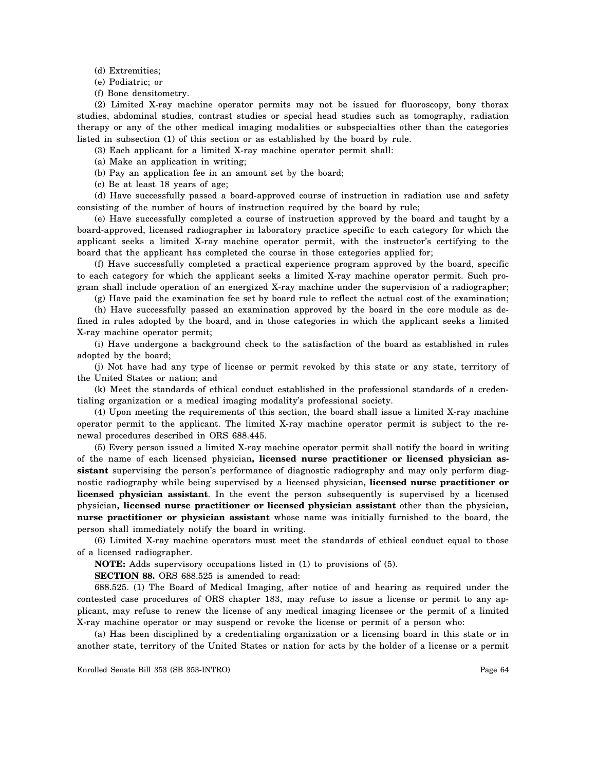- (d) Extremities;
- (e) Podiatric; or
- (f) Bone densitometry.

(2) Limited X-ray machine operator permits may not be issued for fluoroscopy, bony thorax studies, abdominal studies, contrast studies or special head studies such as tomography, radiation therapy or any of the other medical imaging modalities or subspecialties other than the categories listed in subsection (1) of this section or as established by the board by rule.

(3) Each applicant for a limited X-ray machine operator permit shall:

- (a) Make an application in writing;
- (b) Pay an application fee in an amount set by the board;
- (c) Be at least 18 years of age;

(d) Have successfully passed a board-approved course of instruction in radiation use and safety consisting of the number of hours of instruction required by the board by rule;

(e) Have successfully completed a course of instruction approved by the board and taught by a board-approved, licensed radiographer in laboratory practice specific to each category for which the applicant seeks a limited X-ray machine operator permit, with the instructor's certifying to the board that the applicant has completed the course in those categories applied for;

(f) Have successfully completed a practical experience program approved by the board, specific to each category for which the applicant seeks a limited X-ray machine operator permit. Such program shall include operation of an energized X-ray machine under the supervision of a radiographer;

(g) Have paid the examination fee set by board rule to reflect the actual cost of the examination;

(h) Have successfully passed an examination approved by the board in the core module as defined in rules adopted by the board, and in those categories in which the applicant seeks a limited X-ray machine operator permit;

(i) Have undergone a background check to the satisfaction of the board as established in rules adopted by the board;

(j) Not have had any type of license or permit revoked by this state or any state, territory of the United States or nation; and

(k) Meet the standards of ethical conduct established in the professional standards of a credentialing organization or a medical imaging modality's professional society.

(4) Upon meeting the requirements of this section, the board shall issue a limited X-ray machine operator permit to the applicant. The limited X-ray machine operator permit is subject to the renewal procedures described in ORS 688.445.

(5) Every person issued a limited X-ray machine operator permit shall notify the board in writing of the name of each licensed physician**, licensed nurse practitioner or licensed physician assistant** supervising the person's performance of diagnostic radiography and may only perform diagnostic radiography while being supervised by a licensed physician**, licensed nurse practitioner or licensed physician assistant**. In the event the person subsequently is supervised by a licensed physician**, licensed nurse practitioner or licensed physician assistant** other than the physician**, nurse practitioner or physician assistant** whose name was initially furnished to the board, the person shall immediately notify the board in writing.

(6) Limited X-ray machine operators must meet the standards of ethical conduct equal to those of a licensed radiographer.

**NOTE:** Adds supervisory occupations listed in (1) to provisions of (5).

**SECTION 88.** ORS 688.525 is amended to read:

688.525. (1) The Board of Medical Imaging, after notice of and hearing as required under the contested case procedures of ORS chapter 183, may refuse to issue a license or permit to any applicant, may refuse to renew the license of any medical imaging licensee or the permit of a limited X-ray machine operator or may suspend or revoke the license or permit of a person who:

(a) Has been disciplined by a credentialing organization or a licensing board in this state or in another state, territory of the United States or nation for acts by the holder of a license or a permit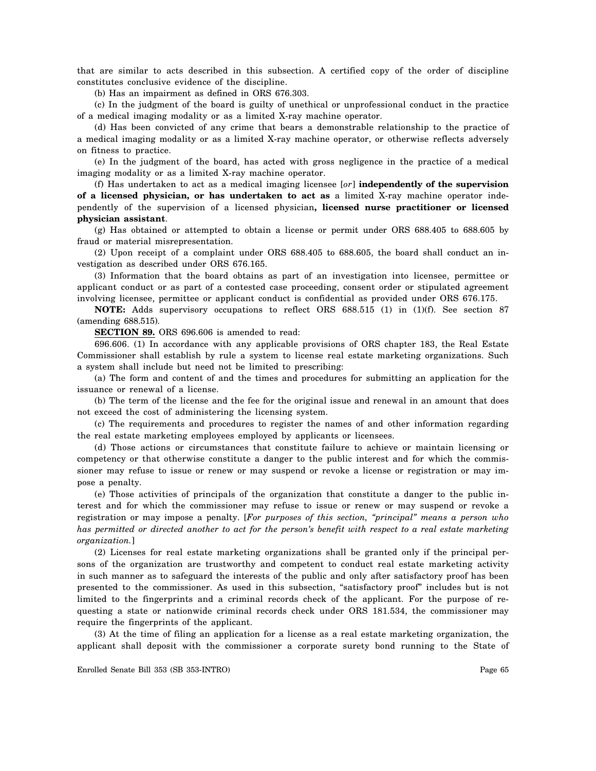that are similar to acts described in this subsection. A certified copy of the order of discipline constitutes conclusive evidence of the discipline.

(b) Has an impairment as defined in ORS 676.303.

(c) In the judgment of the board is guilty of unethical or unprofessional conduct in the practice of a medical imaging modality or as a limited X-ray machine operator.

(d) Has been convicted of any crime that bears a demonstrable relationship to the practice of a medical imaging modality or as a limited X-ray machine operator, or otherwise reflects adversely on fitness to practice.

(e) In the judgment of the board, has acted with gross negligence in the practice of a medical imaging modality or as a limited X-ray machine operator.

(f) Has undertaken to act as a medical imaging licensee [*or*] **independently of the supervision of a licensed physician, or has undertaken to act as** a limited X-ray machine operator independently of the supervision of a licensed physician**, licensed nurse practitioner or licensed physician assistant**.

(g) Has obtained or attempted to obtain a license or permit under ORS 688.405 to 688.605 by fraud or material misrepresentation.

(2) Upon receipt of a complaint under ORS 688.405 to 688.605, the board shall conduct an investigation as described under ORS 676.165.

(3) Information that the board obtains as part of an investigation into licensee, permittee or applicant conduct or as part of a contested case proceeding, consent order or stipulated agreement involving licensee, permittee or applicant conduct is confidential as provided under ORS 676.175.

**NOTE:** Adds supervisory occupations to reflect ORS 688.515 (1) in (1)(f). See section 87 (amending 688.515).

**SECTION 89.** ORS 696.606 is amended to read:

696.606. (1) In accordance with any applicable provisions of ORS chapter 183, the Real Estate Commissioner shall establish by rule a system to license real estate marketing organizations. Such a system shall include but need not be limited to prescribing:

(a) The form and content of and the times and procedures for submitting an application for the issuance or renewal of a license.

(b) The term of the license and the fee for the original issue and renewal in an amount that does not exceed the cost of administering the licensing system.

(c) The requirements and procedures to register the names of and other information regarding the real estate marketing employees employed by applicants or licensees.

(d) Those actions or circumstances that constitute failure to achieve or maintain licensing or competency or that otherwise constitute a danger to the public interest and for which the commissioner may refuse to issue or renew or may suspend or revoke a license or registration or may impose a penalty.

(e) Those activities of principals of the organization that constitute a danger to the public interest and for which the commissioner may refuse to issue or renew or may suspend or revoke a registration or may impose a penalty. [*For purposes of this section, "principal" means a person who has permitted or directed another to act for the person's benefit with respect to a real estate marketing organization.*]

(2) Licenses for real estate marketing organizations shall be granted only if the principal persons of the organization are trustworthy and competent to conduct real estate marketing activity in such manner as to safeguard the interests of the public and only after satisfactory proof has been presented to the commissioner. As used in this subsection, "satisfactory proof" includes but is not limited to the fingerprints and a criminal records check of the applicant. For the purpose of requesting a state or nationwide criminal records check under ORS 181.534, the commissioner may require the fingerprints of the applicant.

(3) At the time of filing an application for a license as a real estate marketing organization, the applicant shall deposit with the commissioner a corporate surety bond running to the State of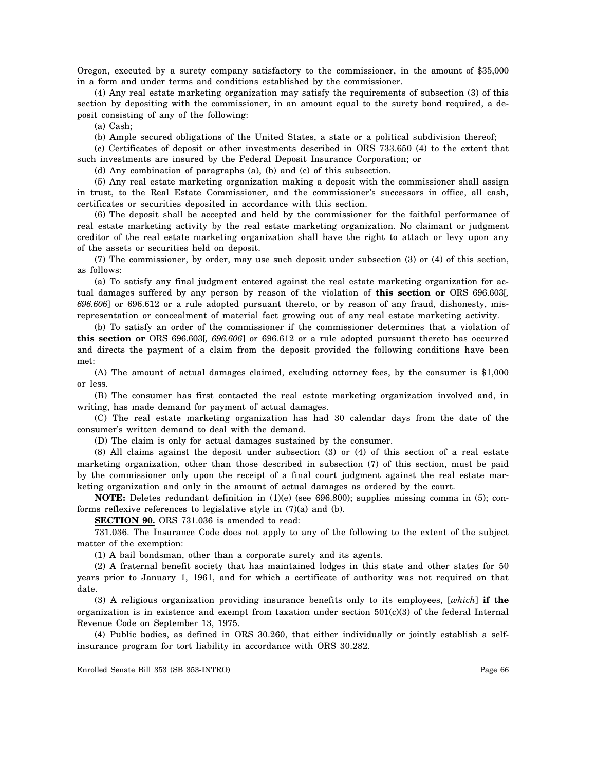Oregon, executed by a surety company satisfactory to the commissioner, in the amount of \$35,000 in a form and under terms and conditions established by the commissioner.

(4) Any real estate marketing organization may satisfy the requirements of subsection (3) of this section by depositing with the commissioner, in an amount equal to the surety bond required, a deposit consisting of any of the following:

(a) Cash;

(b) Ample secured obligations of the United States, a state or a political subdivision thereof;

(c) Certificates of deposit or other investments described in ORS 733.650 (4) to the extent that such investments are insured by the Federal Deposit Insurance Corporation; or

(d) Any combination of paragraphs (a), (b) and (c) of this subsection.

(5) Any real estate marketing organization making a deposit with the commissioner shall assign in trust, to the Real Estate Commissioner, and the commissioner's successors in office, all cash**,**  certificates or securities deposited in accordance with this section.

(6) The deposit shall be accepted and held by the commissioner for the faithful performance of real estate marketing activity by the real estate marketing organization. No claimant or judgment creditor of the real estate marketing organization shall have the right to attach or levy upon any of the assets or securities held on deposit.

(7) The commissioner, by order, may use such deposit under subsection (3) or (4) of this section, as follows:

(a) To satisfy any final judgment entered against the real estate marketing organization for actual damages suffered by any person by reason of the violation of **this section or** ORS 696.603[*, 696.606*] or 696.612 or a rule adopted pursuant thereto, or by reason of any fraud, dishonesty, misrepresentation or concealment of material fact growing out of any real estate marketing activity.

(b) To satisfy an order of the commissioner if the commissioner determines that a violation of **this section or** ORS 696.603[*, 696.606*] or 696.612 or a rule adopted pursuant thereto has occurred and directs the payment of a claim from the deposit provided the following conditions have been met:

(A) The amount of actual damages claimed, excluding attorney fees, by the consumer is \$1,000 or less.

(B) The consumer has first contacted the real estate marketing organization involved and, in writing, has made demand for payment of actual damages.

(C) The real estate marketing organization has had 30 calendar days from the date of the consumer's written demand to deal with the demand.

(D) The claim is only for actual damages sustained by the consumer.

(8) All claims against the deposit under subsection (3) or (4) of this section of a real estate marketing organization, other than those described in subsection (7) of this section, must be paid by the commissioner only upon the receipt of a final court judgment against the real estate marketing organization and only in the amount of actual damages as ordered by the court.

**NOTE:** Deletes redundant definition in (1)(e) (see 696.800); supplies missing comma in (5); conforms reflexive references to legislative style in (7)(a) and (b).

**SECTION 90.** ORS 731.036 is amended to read:

731.036. The Insurance Code does not apply to any of the following to the extent of the subject matter of the exemption:

(1) A bail bondsman, other than a corporate surety and its agents.

(2) A fraternal benefit society that has maintained lodges in this state and other states for 50 years prior to January 1, 1961, and for which a certificate of authority was not required on that date.

(3) A religious organization providing insurance benefits only to its employees, [*which*] **if the**  organization is in existence and exempt from taxation under section  $501(c)(3)$  of the federal Internal Revenue Code on September 13, 1975.

(4) Public bodies, as defined in ORS 30.260, that either individually or jointly establish a selfinsurance program for tort liability in accordance with ORS 30.282.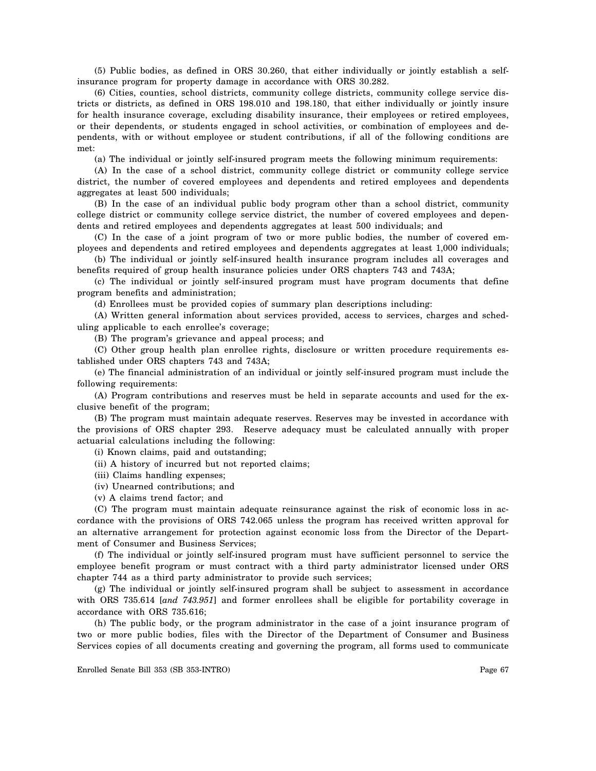(5) Public bodies, as defined in ORS 30.260, that either individually or jointly establish a selfinsurance program for property damage in accordance with ORS 30.282.

(6) Cities, counties, school districts, community college districts, community college service districts or districts, as defined in ORS 198.010 and 198.180, that either individually or jointly insure for health insurance coverage, excluding disability insurance, their employees or retired employees, or their dependents, or students engaged in school activities, or combination of employees and dependents, with or without employee or student contributions, if all of the following conditions are met:

(a) The individual or jointly self-insured program meets the following minimum requirements:

(A) In the case of a school district, community college district or community college service district, the number of covered employees and dependents and retired employees and dependents aggregates at least 500 individuals;

(B) In the case of an individual public body program other than a school district, community college district or community college service district, the number of covered employees and dependents and retired employees and dependents aggregates at least 500 individuals; and

(C) In the case of a joint program of two or more public bodies, the number of covered employees and dependents and retired employees and dependents aggregates at least 1,000 individuals;

(b) The individual or jointly self-insured health insurance program includes all coverages and benefits required of group health insurance policies under ORS chapters 743 and 743A;

(c) The individual or jointly self-insured program must have program documents that define program benefits and administration;

(d) Enrollees must be provided copies of summary plan descriptions including:

(A) Written general information about services provided, access to services, charges and scheduling applicable to each enrollee's coverage;

(B) The program's grievance and appeal process; and

(C) Other group health plan enrollee rights, disclosure or written procedure requirements established under ORS chapters 743 and 743A;

(e) The financial administration of an individual or jointly self-insured program must include the following requirements:

(A) Program contributions and reserves must be held in separate accounts and used for the exclusive benefit of the program;

(B) The program must maintain adequate reserves. Reserves may be invested in accordance with the provisions of ORS chapter 293. Reserve adequacy must be calculated annually with proper actuarial calculations including the following:

(i) Known claims, paid and outstanding;

- (ii) A history of incurred but not reported claims;
- (iii) Claims handling expenses;
- (iv) Unearned contributions; and
- (v) A claims trend factor; and

(C) The program must maintain adequate reinsurance against the risk of economic loss in accordance with the provisions of ORS 742.065 unless the program has received written approval for an alternative arrangement for protection against economic loss from the Director of the Department of Consumer and Business Services;

(f) The individual or jointly self-insured program must have sufficient personnel to service the employee benefit program or must contract with a third party administrator licensed under ORS chapter 744 as a third party administrator to provide such services;

(g) The individual or jointly self-insured program shall be subject to assessment in accordance with ORS 735.614 [*and 743.951*] and former enrollees shall be eligible for portability coverage in accordance with ORS 735.616;

(h) The public body, or the program administrator in the case of a joint insurance program of two or more public bodies, files with the Director of the Department of Consumer and Business Services copies of all documents creating and governing the program, all forms used to communicate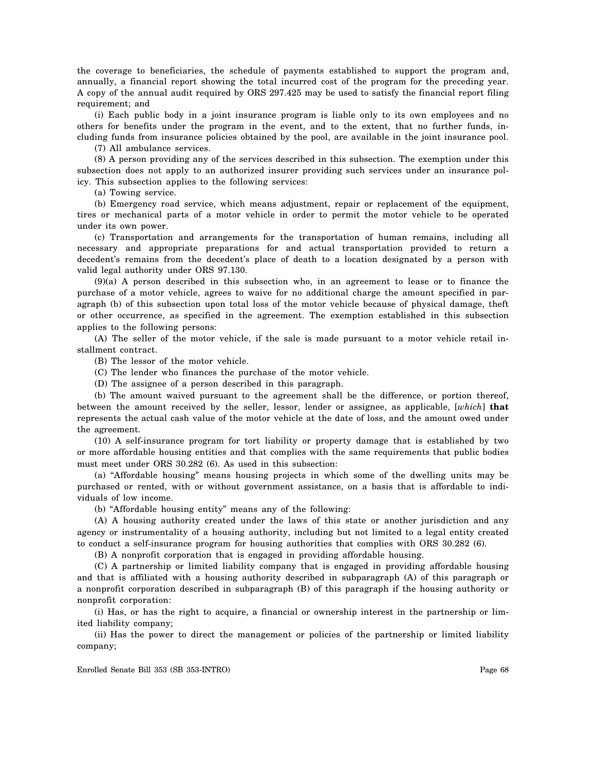the coverage to beneficiaries, the schedule of payments established to support the program and, annually, a financial report showing the total incurred cost of the program for the preceding year. A copy of the annual audit required by ORS 297.425 may be used to satisfy the financial report filing requirement; and

(i) Each public body in a joint insurance program is liable only to its own employees and no others for benefits under the program in the event, and to the extent, that no further funds, including funds from insurance policies obtained by the pool, are available in the joint insurance pool.

(7) All ambulance services.

(8) A person providing any of the services described in this subsection. The exemption under this subsection does not apply to an authorized insurer providing such services under an insurance policy. This subsection applies to the following services:

(a) Towing service.

(b) Emergency road service, which means adjustment, repair or replacement of the equipment, tires or mechanical parts of a motor vehicle in order to permit the motor vehicle to be operated under its own power.

(c) Transportation and arrangements for the transportation of human remains, including all necessary and appropriate preparations for and actual transportation provided to return a decedent's remains from the decedent's place of death to a location designated by a person with valid legal authority under ORS 97.130.

(9)(a) A person described in this subsection who, in an agreement to lease or to finance the purchase of a motor vehicle, agrees to waive for no additional charge the amount specified in paragraph (b) of this subsection upon total loss of the motor vehicle because of physical damage, theft or other occurrence, as specified in the agreement. The exemption established in this subsection applies to the following persons:

(A) The seller of the motor vehicle, if the sale is made pursuant to a motor vehicle retail installment contract.

(B) The lessor of the motor vehicle.

(C) The lender who finances the purchase of the motor vehicle.

(D) The assignee of a person described in this paragraph.

(b) The amount waived pursuant to the agreement shall be the difference, or portion thereof, between the amount received by the seller, lessor, lender or assignee, as applicable, [*which*] **that**  represents the actual cash value of the motor vehicle at the date of loss, and the amount owed under the agreement.

(10) A self-insurance program for tort liability or property damage that is established by two or more affordable housing entities and that complies with the same requirements that public bodies must meet under ORS 30.282 (6). As used in this subsection:

(a) "Affordable housing" means housing projects in which some of the dwelling units may be purchased or rented, with or without government assistance, on a basis that is affordable to individuals of low income.

(b) "Affordable housing entity" means any of the following:

(A) A housing authority created under the laws of this state or another jurisdiction and any agency or instrumentality of a housing authority, including but not limited to a legal entity created to conduct a self-insurance program for housing authorities that complies with ORS 30.282 (6).

(B) A nonprofit corporation that is engaged in providing affordable housing.

(C) A partnership or limited liability company that is engaged in providing affordable housing and that is affiliated with a housing authority described in subparagraph (A) of this paragraph or a nonprofit corporation described in subparagraph (B) of this paragraph if the housing authority or nonprofit corporation:

(i) Has, or has the right to acquire, a financial or ownership interest in the partnership or limited liability company;

(ii) Has the power to direct the management or policies of the partnership or limited liability company;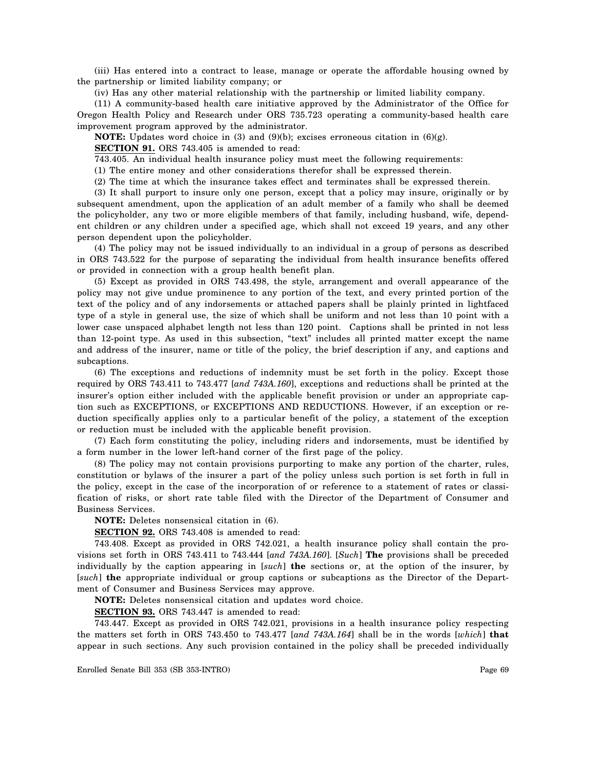(iii) Has entered into a contract to lease, manage or operate the affordable housing owned by the partnership or limited liability company; or

(iv) Has any other material relationship with the partnership or limited liability company.

(11) A community-based health care initiative approved by the Administrator of the Office for Oregon Health Policy and Research under ORS 735.723 operating a community-based health care improvement program approved by the administrator.

**NOTE:** Updates word choice in (3) and (9)(b); excises erroneous citation in (6)(g).

**SECTION 91.** ORS 743.405 is amended to read:

743.405. An individual health insurance policy must meet the following requirements:

(1) The entire money and other considerations therefor shall be expressed therein.

(2) The time at which the insurance takes effect and terminates shall be expressed therein.

(3) It shall purport to insure only one person, except that a policy may insure, originally or by subsequent amendment, upon the application of an adult member of a family who shall be deemed the policyholder, any two or more eligible members of that family, including husband, wife, dependent children or any children under a specified age, which shall not exceed 19 years, and any other person dependent upon the policyholder.

(4) The policy may not be issued individually to an individual in a group of persons as described in ORS 743.522 for the purpose of separating the individual from health insurance benefits offered or provided in connection with a group health benefit plan.

(5) Except as provided in ORS 743.498, the style, arrangement and overall appearance of the policy may not give undue prominence to any portion of the text, and every printed portion of the text of the policy and of any indorsements or attached papers shall be plainly printed in lightfaced type of a style in general use, the size of which shall be uniform and not less than 10 point with a lower case unspaced alphabet length not less than 120 point. Captions shall be printed in not less than 12-point type. As used in this subsection, "text" includes all printed matter except the name and address of the insurer, name or title of the policy, the brief description if any, and captions and subcaptions.

(6) The exceptions and reductions of indemnity must be set forth in the policy. Except those required by ORS 743.411 to 743.477 [*and 743A.160*], exceptions and reductions shall be printed at the insurer's option either included with the applicable benefit provision or under an appropriate caption such as EXCEPTIONS, or EXCEPTIONS AND REDUCTIONS. However, if an exception or reduction specifically applies only to a particular benefit of the policy, a statement of the exception or reduction must be included with the applicable benefit provision.

(7) Each form constituting the policy, including riders and indorsements, must be identified by a form number in the lower left-hand corner of the first page of the policy.

(8) The policy may not contain provisions purporting to make any portion of the charter, rules, constitution or bylaws of the insurer a part of the policy unless such portion is set forth in full in the policy, except in the case of the incorporation of or reference to a statement of rates or classification of risks, or short rate table filed with the Director of the Department of Consumer and Business Services.

**NOTE:** Deletes nonsensical citation in (6).

**SECTION 92.** ORS 743.408 is amended to read:

743.408. Except as provided in ORS 742.021, a health insurance policy shall contain the provisions set forth in ORS 743.411 to 743.444 [*and 743A.160*]. [*Such*] **The** provisions shall be preceded individually by the caption appearing in [*such*] **the** sections or, at the option of the insurer, by [*such*] **the** appropriate individual or group captions or subcaptions as the Director of the Department of Consumer and Business Services may approve.

**NOTE:** Deletes nonsensical citation and updates word choice.

**SECTION 93.** ORS 743.447 is amended to read:

743.447. Except as provided in ORS 742.021, provisions in a health insurance policy respecting the matters set forth in ORS 743.450 to 743.477 [*and 743A.164*] shall be in the words [*which*] **that**  appear in such sections. Any such provision contained in the policy shall be preceded individually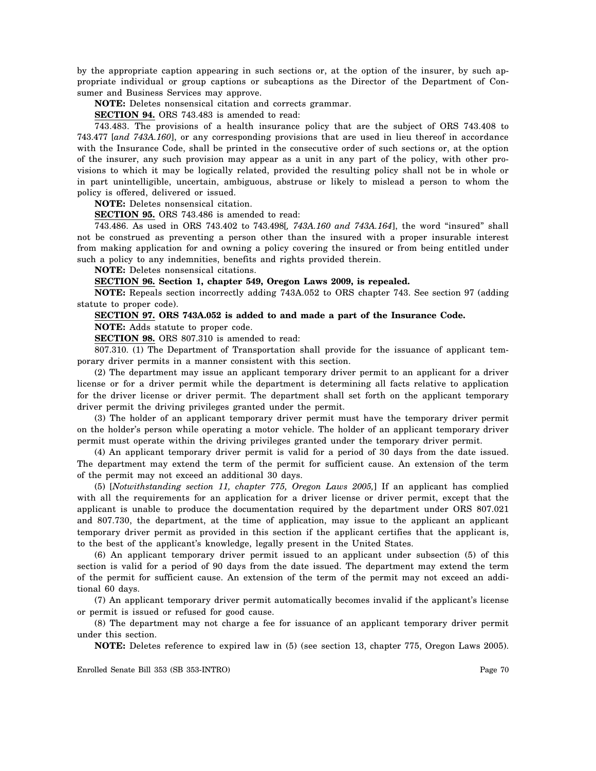by the appropriate caption appearing in such sections or, at the option of the insurer, by such appropriate individual or group captions or subcaptions as the Director of the Department of Consumer and Business Services may approve.

**NOTE:** Deletes nonsensical citation and corrects grammar.

**SECTION 94.** ORS 743.483 is amended to read:

743.483. The provisions of a health insurance policy that are the subject of ORS 743.408 to 743.477 [*and 743A.160*], or any corresponding provisions that are used in lieu thereof in accordance with the Insurance Code, shall be printed in the consecutive order of such sections or, at the option of the insurer, any such provision may appear as a unit in any part of the policy, with other provisions to which it may be logically related, provided the resulting policy shall not be in whole or in part unintelligible, uncertain, ambiguous, abstruse or likely to mislead a person to whom the policy is offered, delivered or issued.

**NOTE:** Deletes nonsensical citation.

**SECTION 95.** ORS 743.486 is amended to read:

743.486. As used in ORS 743.402 to 743.498[*, 743A.160 and 743A.164*], the word "insured" shall not be construed as preventing a person other than the insured with a proper insurable interest from making application for and owning a policy covering the insured or from being entitled under such a policy to any indemnities, benefits and rights provided therein.

**NOTE:** Deletes nonsensical citations.

**SECTION 96. Section 1, chapter 549, Oregon Laws 2009, is repealed.** 

**NOTE:** Repeals section incorrectly adding 743A.052 to ORS chapter 743. See section 97 (adding statute to proper code).

#### **SECTION 97. ORS 743A.052 is added to and made a part of the Insurance Code.**

**NOTE:** Adds statute to proper code.

**SECTION 98.** ORS 807.310 is amended to read:

807.310. (1) The Department of Transportation shall provide for the issuance of applicant temporary driver permits in a manner consistent with this section.

(2) The department may issue an applicant temporary driver permit to an applicant for a driver license or for a driver permit while the department is determining all facts relative to application for the driver license or driver permit. The department shall set forth on the applicant temporary driver permit the driving privileges granted under the permit.

(3) The holder of an applicant temporary driver permit must have the temporary driver permit on the holder's person while operating a motor vehicle. The holder of an applicant temporary driver permit must operate within the driving privileges granted under the temporary driver permit.

(4) An applicant temporary driver permit is valid for a period of 30 days from the date issued. The department may extend the term of the permit for sufficient cause. An extension of the term of the permit may not exceed an additional 30 days.

(5) [*Notwithstanding section 11, chapter 775, Oregon Laws 2005,*] If an applicant has complied with all the requirements for an application for a driver license or driver permit, except that the applicant is unable to produce the documentation required by the department under ORS 807.021 and 807.730, the department, at the time of application, may issue to the applicant an applicant temporary driver permit as provided in this section if the applicant certifies that the applicant is, to the best of the applicant's knowledge, legally present in the United States.

(6) An applicant temporary driver permit issued to an applicant under subsection (5) of this section is valid for a period of 90 days from the date issued. The department may extend the term of the permit for sufficient cause. An extension of the term of the permit may not exceed an additional 60 days.

(7) An applicant temporary driver permit automatically becomes invalid if the applicant's license or permit is issued or refused for good cause.

(8) The department may not charge a fee for issuance of an applicant temporary driver permit under this section.

**NOTE:** Deletes reference to expired law in (5) (see section 13, chapter 775, Oregon Laws 2005).